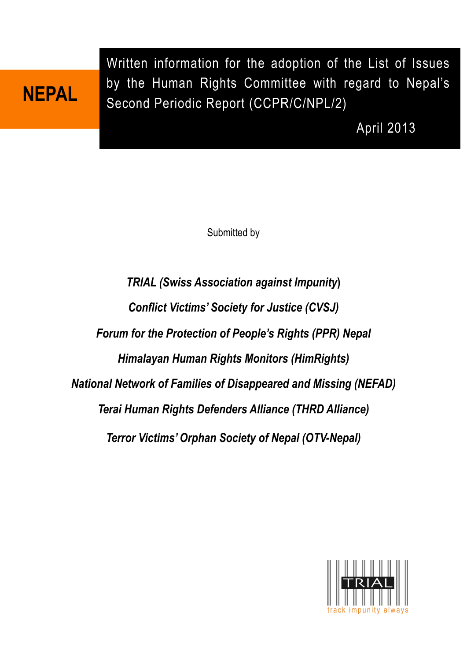# **NEPAL**

Written information for the adoption of the List of Issues by the Human Rights Committee with regard to Nepal's Second Periodic Report (CCPR/C/NPL/2)

April 2013

Submitted by

*TRIAL (Swiss Association against Impunity***)** *Conflict Victims' Society for Justice (CVSJ) Forum for the Protection of People's Rights (PPR) Nepal Himalayan Human Rights Monitors (HimRights) National Network of Families of Disappeared and Missing (NEFAD) Terai Human Rights Defenders Alliance (THRD Alliance) Terror Victims' Orphan Society of Nepal (OTV-Nepal)*

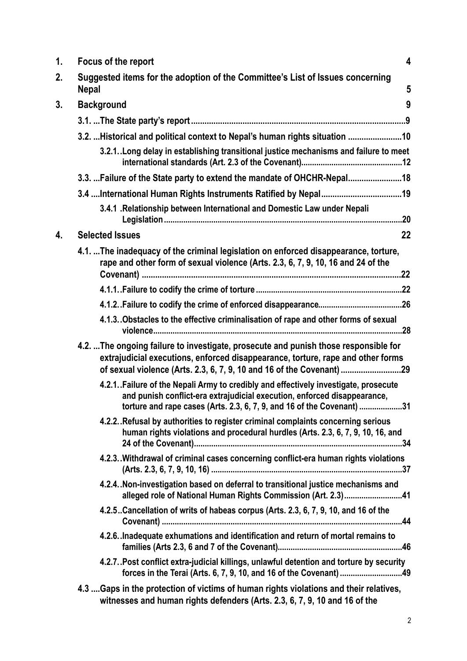| 1. | $\overline{\mathbf{4}}$<br>Focus of the report                                                                                                                                                                                                 |
|----|------------------------------------------------------------------------------------------------------------------------------------------------------------------------------------------------------------------------------------------------|
| 2. | Suggested items for the adoption of the Committee's List of Issues concerning<br>5<br><b>Nepal</b>                                                                                                                                             |
| 3. | 9<br><b>Background</b>                                                                                                                                                                                                                         |
|    |                                                                                                                                                                                                                                                |
|    | 3.2.  Historical and political context to Nepal's human rights situation  10                                                                                                                                                                   |
|    | 3.2.1. Long delay in establishing transitional justice mechanisms and failure to meet                                                                                                                                                          |
|    | 3.3.  Failure of the State party to extend the mandate of OHCHR-Nepal 18                                                                                                                                                                       |
|    | 3.4 International Human Rights Instruments Ratified by Nepal 19                                                                                                                                                                                |
|    | 3.4.1 . Relationship between International and Domestic Law under Nepali                                                                                                                                                                       |
| 4. | 22<br><b>Selected Issues</b>                                                                                                                                                                                                                   |
|    | 4.1. The inadequacy of the criminal legislation on enforced disappearance, torture,<br>rape and other form of sexual violence (Arts. 2.3, 6, 7, 9, 10, 16 and 24 of the                                                                        |
|    |                                                                                                                                                                                                                                                |
|    |                                                                                                                                                                                                                                                |
|    | 4.1.3. Obstacles to the effective criminalisation of rape and other forms of sexual                                                                                                                                                            |
|    | 4.2.  The ongoing failure to investigate, prosecute and punish those responsible for<br>extrajudicial executions, enforced disappearance, torture, rape and other forms<br>of sexual violence (Arts. 2.3, 6, 7, 9, 10 and 16 of the Covenant)  |
|    | 4.2.1. Failure of the Nepali Army to credibly and effectively investigate, prosecute<br>and punish conflict-era extrajudicial execution, enforced disappearance,<br>torture and rape cases (Arts. 2.3, 6, 7, 9, and 16 of the Covenant)<br>.31 |
|    | 4.2.2. Refusal by authorities to register criminal complaints concerning serious<br>human rights violations and procedural hurdles (Arts. 2.3, 6, 7, 9, 10, 16, and                                                                            |
|    | 4.2.3. Withdrawal of criminal cases concerning conflict-era human rights violations                                                                                                                                                            |
|    | 4.2.4. Non-investigation based on deferral to transitional justice mechanisms and<br>alleged role of National Human Rights Commission (Art. 2.3)41                                                                                             |
|    | 4.2.5. Cancellation of writs of habeas corpus (Arts. 2.3, 6, 7, 9, 10, and 16 of the                                                                                                                                                           |
|    | 4.2.6. Inadequate exhumations and identification and return of mortal remains to                                                                                                                                                               |
|    | 4.2.7. Post conflict extra-judicial killings, unlawful detention and torture by security<br>forces in the Terai (Arts. 6, 7, 9, 10, and 16 of the Covenant) 49                                                                                 |
|    | 4.3  Gaps in the protection of victims of human rights violations and their relatives,<br>witnesses and human rights defenders (Arts. 2.3, 6, 7, 9, 10 and 16 of the                                                                           |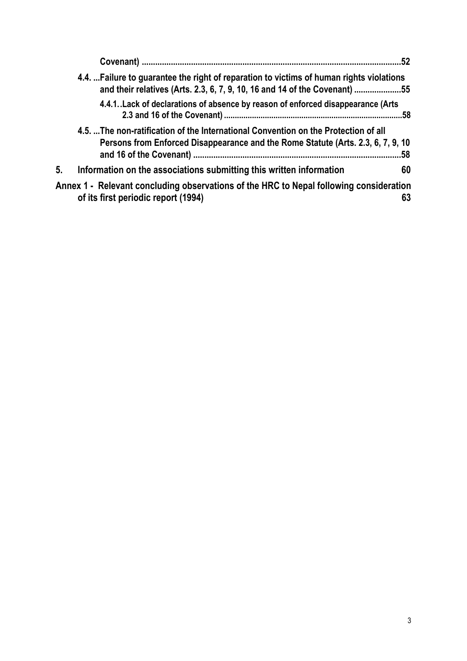|    | 4.4. Failure to guarantee the right of reparation to victims of human rights violations<br>and their relatives (Arts. 2.3, 6, 7, 9, 10, 16 and 14 of the Covenant) 55  |     |
|----|------------------------------------------------------------------------------------------------------------------------------------------------------------------------|-----|
|    | 4.4.1. Lack of declarations of absence by reason of enforced disappearance (Arts                                                                                       |     |
|    | 4.5. The non-ratification of the International Convention on the Protection of all<br>Persons from Enforced Disappearance and the Rome Statute (Arts. 2.3, 6, 7, 9, 10 | .58 |
| 5. | Information on the associations submitting this written information                                                                                                    | 60  |
|    | Annex 1 - Relevant concluding observations of the HRC to Nepal following consideration<br>of its first periodic report (1994)                                          | 63  |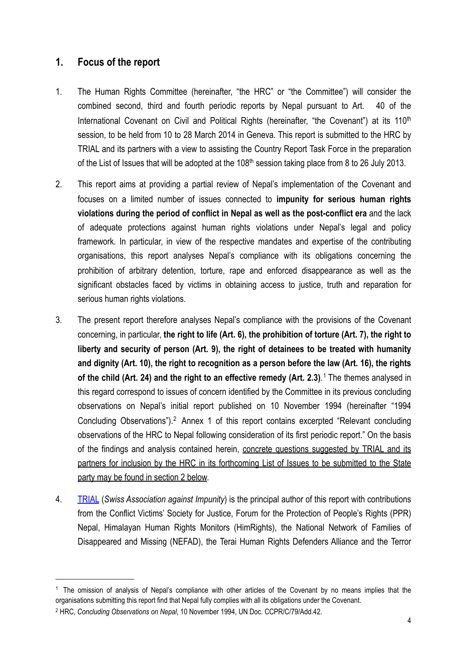## <span id="page-3-0"></span>**1. Focus of the report**

- 1. The Human Rights Committee (hereinafter, "the HRC" or "the Committee") will consider the combined second, third and fourth periodic reports by Nepal pursuant to Art. 40 of the International Covenant on Civil and Political Rights (hereinafter, "the Covenant") at its 110<sup>th</sup> session, to be held from 10 to 28 March 2014 in Geneva. This report is submitted to the HRC by TRIAL and its partners with a view to assisting the Country Report Task Force in the preparation of the List of Issues that will be adopted at the 108<sup>th</sup> session taking place from 8 to 26 July 2013.
- 2. This report aims at providing a partial review of Nepal's implementation of the Covenant and focuses on a limited number of issues connected to **impunity for serious human rights violations during the period of conflict in Nepal as well as the post-conflict era** and the lack of adequate protections against human rights violations under Nepal's legal and policy framework. In particular, in view of the respective mandates and expertise of the contributing organisations, this report analyses Nepal's compliance with its obligations concerning the prohibition of arbitrary detention, torture, rape and enforced disappearance as well as the significant obstacles faced by victims in obtaining access to justice, truth and reparation for serious human rights violations.
- 3. The present report therefore analyses Nepal's compliance with the provisions of the Covenant concerning, in particular, **the right to life (Art. 6), the prohibition of torture (Art. 7), the right to liberty and security of person (Art. 9), the right of detainees to be treated with humanity and dignity (Art. 10), the right to recognition as a person before the law (Art. 16), the rights**  of the child (Art. 24) and the right to an effective remedy (Art. 2.3).<sup>[1](#page-3-1)</sup> The themes analysed in this regard correspond to issues of concern identified by the Committee in its previous concluding observations on Nepal's initial report published on 10 November 1994 (hereinafter "1994 Concluding Observations").[2](#page-3-2) Annex 1 of this report contains excerpted "Relevant concluding observations of the HRC to Nepal following consideration of its first periodic report." On the basis of the findings and analysis contained herein, concrete questions suggested by TRIAL and its partners for inclusion by the HRC in its forthcoming List of Issues to be submitted to the State party may be found in section 2 below.
- 4. [TRIAL](http://www.trial-ch.org/) (*Swiss Association against Impunity*) is the principal author of this report with contributions from the Conflict Victims' Society for Justice, Forum for the Protection of People's Rights (PPR) Nepal, Himalayan Human Rights Monitors (HimRights), the National Network of Families of Disappeared and Missing (NEFAD), the Terai Human Rights Defenders Alliance and the Terror

<span id="page-3-1"></span><sup>&</sup>lt;sup>1</sup> The omission of analysis of Nepal's compliance with other articles of the Covenant by no means implies that the organisations submitting this report find that Nepal fully complies with all its obligations under the Covenant.

<span id="page-3-2"></span><sup>2</sup> HRC, *Concluding Observations on Nepal*, 10 November 1994, UN Doc. CCPR/C/79/Add.42.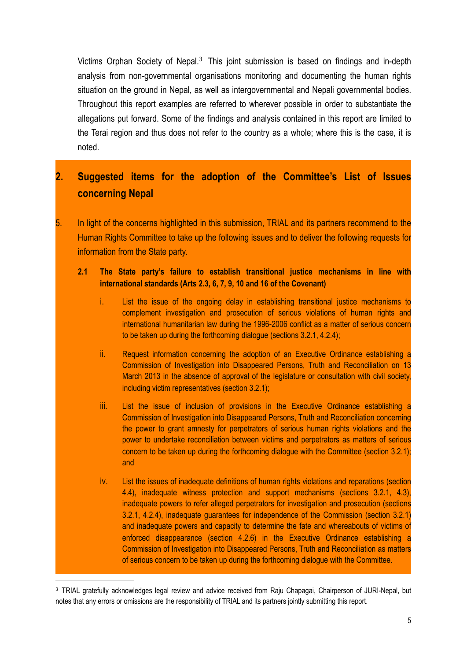Victims Orphan Society of Nepal.<sup>[3](#page-4-1)</sup> This joint submission is based on findings and in-depth analysis from non-governmental organisations monitoring and documenting the human rights situation on the ground in Nepal, as well as intergovernmental and Nepali governmental bodies. Throughout this report examples are referred to wherever possible in order to substantiate the allegations put forward. Some of the findings and analysis contained in this report are limited to the Terai region and thus does not refer to the country as a whole; where this is the case, it is noted.

# <span id="page-4-0"></span>**2. Suggested items for the adoption of the Committee's List of Issues concerning Nepal**

5. In light of the concerns highlighted in this submission, TRIAL and its partners recommend to the Human Rights Committee to take up the following issues and to deliver the following requests for information from the State party.

#### **2.1 The State party's failure to establish transitional justice mechanisms in line with international standards (Arts 2.3, 6, 7, 9, 10 and 16 of the Covenant)**

- i. List the issue of the ongoing delay in establishing transitional justice mechanisms to complement investigation and prosecution of serious violations of human rights and international humanitarian law during the 1996-2006 conflict as a matter of serious concern to be taken up during the forthcoming dialogue (sections 3.2.1, 4.2.4);
- ii. Request information concerning the adoption of an Executive Ordinance establishing a Commission of Investigation into Disappeared Persons, Truth and Reconciliation on 13 March 2013 in the absence of approval of the legislature or consultation with civil society, including victim representatives (section 3.2.1);
- iii. List the issue of inclusion of provisions in the Executive Ordinance establishing a Commission of Investigation into Disappeared Persons, Truth and Reconciliation concerning the power to grant amnesty for perpetrators of serious human rights violations and the power to undertake reconciliation between victims and perpetrators as matters of serious concern to be taken up during the forthcoming dialogue with the Committee (section 3.2.1); and
- iv. List the issues of inadequate definitions of human rights violations and reparations (section 4.4), inadequate witness protection and support mechanisms (sections 3.2.1, 4.3), inadequate powers to refer alleged perpetrators for investigation and prosecution (sections 3.2.1, 4.2.4), inadequate guarantees for independence of the Commission (section 3.2.1) and inadequate powers and capacity to determine the fate and whereabouts of victims of enforced disappearance (section 4.2.6) in the Executive Ordinance establishing a Commission of Investigation into Disappeared Persons, Truth and Reconciliation as matters of serious concern to be taken up during the forthcoming dialogue with the Committee.

<span id="page-4-1"></span><sup>&</sup>lt;sup>3</sup> TRIAL gratefully acknowledges legal review and advice received from Raju Chapagai, Chairperson of JURI-Nepal, but notes that any errors or omissions are the responsibility of TRIAL and its partners jointly submitting this report.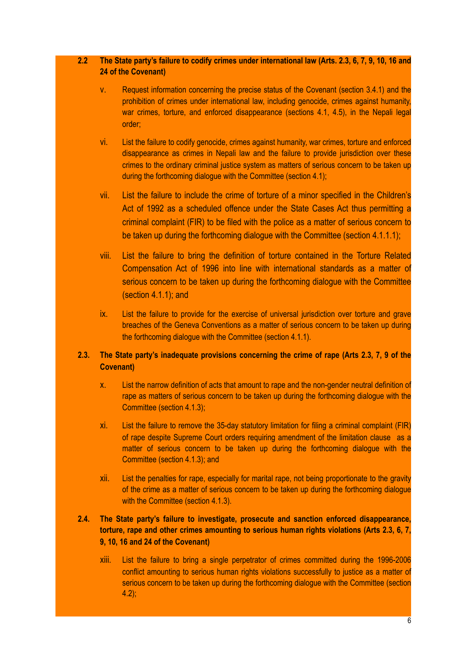#### **2.2 The State party's failure to codify crimes under international law (Arts. 2.3, 6, 7, 9, 10, 16 and 24 of the Covenant)**

- v. Request information concerning the precise status of the Covenant (section 3.4.1) and the prohibition of crimes under international law, including genocide, crimes against humanity, war crimes, torture, and enforced disappearance (sections 4.1, 4.5), in the Nepali legal order;
- vi. List the failure to codify genocide, crimes against humanity, war crimes, torture and enforced disappearance as crimes in Nepali law and the failure to provide jurisdiction over these crimes to the ordinary criminal justice system as matters of serious concern to be taken up during the forthcoming dialogue with the Committee (section 4.1);
- vii. List the failure to include the crime of torture of a minor specified in the Children's Act of 1992 as a scheduled offence under the State Cases Act thus permitting a criminal complaint (FIR) to be filed with the police as a matter of serious concern to be taken up during the forthcoming dialogue with the Committee (section 4.1.1.1);
- viii. List the failure to bring the definition of torture contained in the Torture Related Compensation Act of 1996 into line with international standards as a matter of serious concern to be taken up during the forthcoming dialogue with the Committee (section 4.1.1); and
- ix. List the failure to provide for the exercise of universal jurisdiction over torture and grave breaches of the Geneva Conventions as a matter of serious concern to be taken up during the forthcoming dialogue with the Committee (section 4.1.1).

#### **2.3. The State party's inadequate provisions concerning the crime of rape (Arts 2.3, 7, 9 of the Covenant)**

- x. List the narrow definition of acts that amount to rape and the non-gender neutral definition of rape as matters of serious concern to be taken up during the forthcoming dialogue with the Committee (section 4.1.3);
- xi. List the failure to remove the 35-day statutory limitation for filing a criminal complaint (FIR) of rape despite Supreme Court orders requiring amendment of the limitation clause as a matter of serious concern to be taken up during the forthcoming dialogue with the Committee (section 4.1.3); and
- xii. List the penalties for rape, especially for marital rape, not being proportionate to the gravity of the crime as a matter of serious concern to be taken up during the forthcoming dialogue with the Committee (section 4.1.3).

#### **2.4. The State party's failure to investigate, prosecute and sanction enforced disappearance, torture, rape and other crimes amounting to serious human rights violations (Arts 2.3, 6, 7, 9, 10, 16 and 24 of the Covenant)**

xiii. List the failure to bring a single perpetrator of crimes committed during the 1996-2006 conflict amounting to serious human rights violations successfully to justice as a matter of serious concern to be taken up during the forthcoming dialogue with the Committee (section 4.2);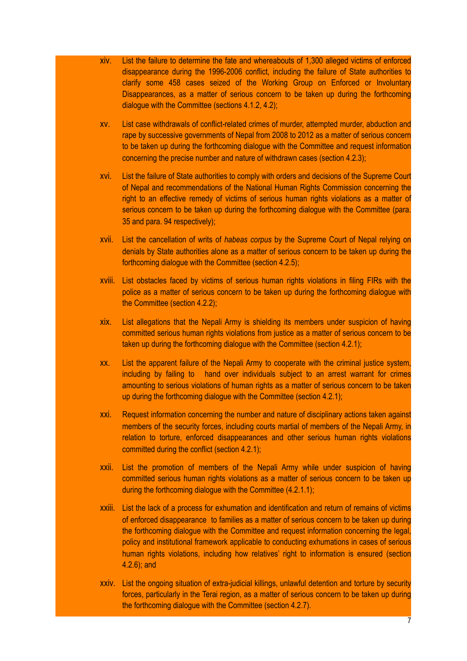- xiv. List the failure to determine the fate and whereabouts of 1,300 alleged victims of enforced disappearance during the 1996-2006 conflict, including the failure of State authorities to clarify some 458 cases seized of the Working Group on Enforced or Involuntary Disappearances, as a matter of serious concern to be taken up during the forthcoming dialogue with the Committee (sections 4.1.2, 4.2);
- xv. List case withdrawals of conflict-related crimes of murder, attempted murder, abduction and rape by successive governments of Nepal from 2008 to 2012 as a matter of serious concern to be taken up during the forthcoming dialogue with the Committee and request information concerning the precise number and nature of withdrawn cases (section 4.2.3);
- xvi. List the failure of State authorities to comply with orders and decisions of the Supreme Court of Nepal and recommendations of the National Human Rights Commission concerning the right to an effective remedy of victims of serious human rights violations as a matter of serious concern to be taken up during the forthcoming dialogue with the Committee (para. 35 and para. 94 respectively);
- xvii. List the cancellation of writs of *habeas corpus* by the Supreme Court of Nepal relying on denials by State authorities alone as a matter of serious concern to be taken up during the forthcoming dialogue with the Committee (section 4.2.5);
- xviii. List obstacles faced by victims of serious human rights violations in filing FIRs with the police as a matter of serious concern to be taken up during the forthcoming dialogue with the Committee (section 4.2.2);
- xix. List allegations that the Nepali Army is shielding its members under suspicion of having committed serious human rights violations from justice as a matter of serious concern to be taken up during the forthcoming dialogue with the Committee (section 4.2.1);
- xx. List the apparent failure of the Nepali Army to cooperate with the criminal justice system, including by failing to hand over individuals subject to an arrest warrant for crimes amounting to serious violations of human rights as a matter of serious concern to be taken up during the forthcoming dialogue with the Committee (section 4.2.1);
- xxi. Request information concerning the number and nature of disciplinary actions taken against members of the security forces, including courts martial of members of the Nepali Army, in relation to torture, enforced disappearances and other serious human rights violations committed during the conflict (section 4.2.1);
- xxii. List the promotion of members of the Nepali Army while under suspicion of having committed serious human rights violations as a matter of serious concern to be taken up during the forthcoming dialogue with the Committee (4.2.1.1);
- xxiii. List the lack of a process for exhumation and identification and return of remains of victims of enforced disappearance to families as a matter of serious concern to be taken up during the forthcoming dialogue with the Committee and request information concerning the legal, policy and institutional framework applicable to conducting exhumations in cases of serious human rights violations, including how relatives' right to information is ensured (section 4.2.6); and
- xxiv. List the ongoing situation of extra-judicial killings, unlawful detention and torture by security forces, particularly in the Terai region, as a matter of serious concern to be taken up during the forthcoming dialogue with the Committee (section 4.2.7).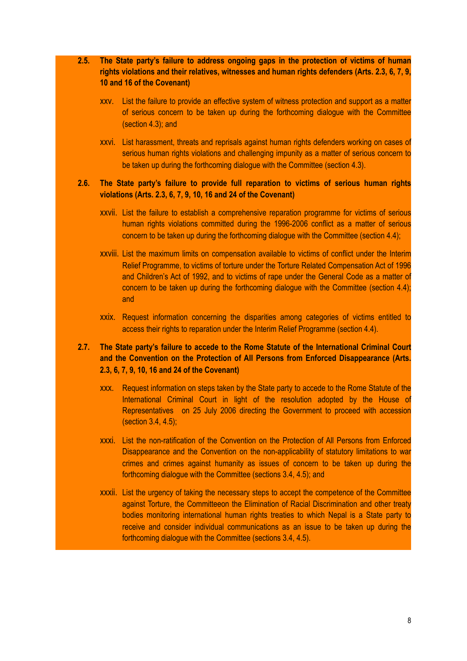#### **2.5. The State party's failure to address ongoing gaps in the protection of victims of human rights violations and their relatives, witnesses and human rights defenders (Arts. 2.3, 6, 7, 9, 10 and 16 of the Covenant)**

- xxv. List the failure to provide an effective system of witness protection and support as a matter of serious concern to be taken up during the forthcoming dialogue with the Committee (section 4.3); and
- xxvi. List harassment, threats and reprisals against human rights defenders working on cases of serious human rights violations and challenging impunity as a matter of serious concern to be taken up during the forthcoming dialogue with the Committee (section 4.3).

#### **2.6. The State party's failure to provide full reparation to victims of serious human rights violations (Arts. 2.3, 6, 7, 9, 10, 16 and 24 of the Covenant)**

- xxvii. List the failure to establish a comprehensive reparation programme for victims of serious human rights violations committed during the 1996-2006 conflict as a matter of serious concern to be taken up during the forthcoming dialogue with the Committee (section 4.4);
- xxviii. List the maximum limits on compensation available to victims of conflict under the Interim Relief Programme, to victims of torture under the Torture Related Compensation Act of 1996 and Children's Act of 1992, and to victims of rape under the General Code as a matter of concern to be taken up during the forthcoming dialogue with the Committee (section 4.4); and
- xxix. Request information concerning the disparities among categories of victims entitled to access their rights to reparation under the Interim Relief Programme (section 4.4).

#### **2.7. The State party's failure to accede to the Rome Statute of the International Criminal Court and the Convention on the Protection of All Persons from Enforced Disappearance (Arts. 2.3, 6, 7, 9, 10, 16 and 24 of the Covenant)**

- xxx. Request information on steps taken by the State party to accede to the Rome Statute of the International Criminal Court in light of the resolution adopted by the House of Representatives on 25 July 2006 directing the Government to proceed with accession (section 3.4, 4.5);
- xxxi. List the non-ratification of the Convention on the Protection of All Persons from Enforced Disappearance and the Convention on the non-applicability of statutory limitations to war crimes and crimes against humanity as issues of concern to be taken up during the forthcoming dialogue with the Committee (sections 3.4, 4.5); and
- xxxii. List the urgency of taking the necessary steps to accept the competence of the Committee against Torture, the Committeeon the Elimination of Racial Discrimination and other treaty bodies monitoring international human rights treaties to which Nepal is a State party to receive and consider individual communications as an issue to be taken up during the forthcoming dialogue with the Committee (sections 3.4, 4.5).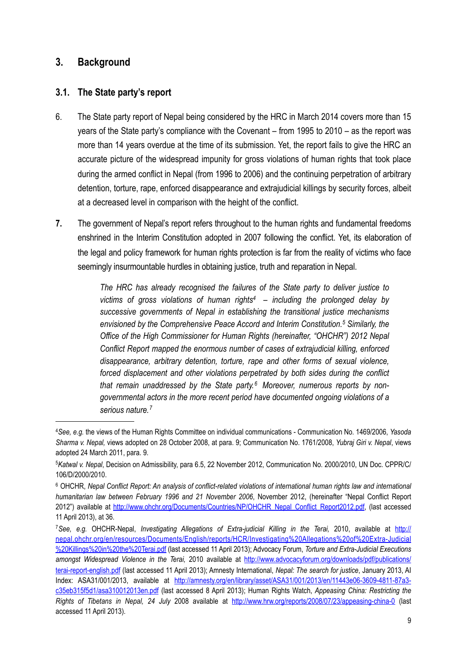## <span id="page-8-0"></span>**3. Background**

#### <span id="page-8-1"></span>**3.1. The State party's report**

- 6. The State party report of Nepal being considered by the HRC in March 2014 covers more than 15 years of the State party's compliance with the Covenant – from 1995 to 2010 – as the report was more than 14 years overdue at the time of its submission. Yet, the report fails to give the HRC an accurate picture of the widespread impunity for gross violations of human rights that took place during the armed conflict in Nepal (from 1996 to 2006) and the continuing perpetration of arbitrary detention, torture, rape, enforced disappearance and extrajudicial killings by security forces, albeit at a decreased level in comparison with the height of the conflict.
- **7.** The government of Nepal's report refers throughout to the human rights and fundamental freedoms enshrined in the Interim Constitution adopted in 2007 following the conflict. Yet, its elaboration of the legal and policy framework for human rights protection is far from the reality of victims who face seemingly insurmountable hurdles in obtaining justice, truth and reparation in Nepal.

*The HRC has already recognised the failures of the State party to deliver justice to victims of gross violations of human rights[4](#page-8-2) – including the prolonged delay by successive governments of Nepal in establishing the transitional justice mechanisms envisioned by the Comprehensive Peace Accord and Interim Constitution.[5](#page-8-3) Similarly, the Office of the High Commissioner for Human Rights (hereinafter, "OHCHR") 2012 Nepal Conflict Report mapped the enormous number of cases of extrajudicial killing, enforced disappearance, arbitrary detention, torture, rape and other forms of sexual violence, forced displacement and other violations perpetrated by both sides during the conflict that remain unaddressed by the State party.[6](#page-8-4) Moreover, numerous reports by nongovernmental actors in the more recent period have documented ongoing violations of a serious nature.[7](#page-8-5)*

<span id="page-8-2"></span><sup>4</sup> *See, e.g.* the views of the Human Rights Committee on individual communications - Communication No. 1469/2006, *Yasoda Sharma v. Nepal,* views adopted on 28 October 2008, at para. 9; Communication No. 1761/2008, *Yubraj Giri v. Nepal*, views adopted 24 March 2011, para. 9.

<span id="page-8-3"></span><sup>5</sup> *Katwal v. Nepal*, Decision on Admissibility, para 6.5, 22 November 2012, Communication No. 2000/2010, UN Doc. CPPR/C/ 106/D/2000/2010.

<span id="page-8-4"></span><sup>&</sup>lt;sup>6</sup> OHCHR, Nepal Conflict Report: An analysis of conflict-related violations of international human rights law and international *humanitarian law between February 1996 and 21 November 2006*, November 2012, (hereinafter "Nepal Conflict Report 2012") available at [http://www.ohchr.org/Documents/Countries/NP/OHCHR\\_Nepal\\_Conflict\\_Report2012.pdf,](http://www.ohchr.org/Documents/Countries/NP/OHCHR_Nepal_Conflict_Report2012.pdf) (last accessed 11 April 2013), at 36.

<span id="page-8-5"></span><sup>7</sup>*See, e.g.* OHCHR-Nepal, *Investigating Allegations of Extra-judicial Killing in the Terai,* 2010, available at [http://](http://nepal.ohchr.org/en/resources/Documents/English/reports/HCR/Investigating%20Allegations%20of%20Extra-Judicial%20Killings%20in%20the%20Terai.pdf) [nepal.ohchr.org/en/resources/Documents/English/reports/HCR/Investigating%20Allegations%20of%20Extra-Judicial](http://nepal.ohchr.org/en/resources/Documents/English/reports/HCR/Investigating%20Allegations%20of%20Extra-Judicial%20Killings%20in%20the%20Terai.pdf) [%20Killings%20in%20the%20Terai.pdf](http://nepal.ohchr.org/en/resources/Documents/English/reports/HCR/Investigating%20Allegations%20of%20Extra-Judicial%20Killings%20in%20the%20Terai.pdf) (last accessed 11 April 2013); Advocacy Forum, *Torture and Extra-Judicial Executions amongst Widespread Violence in the Terai,* 2010 available at [http://www.advocacyforum.org/downloads/pdf/publications/](http://www.advocacyforum.org/downloads/pdf/publications/terai-report-english.pdf) [terai-report-english.pdf](http://www.advocacyforum.org/downloads/pdf/publications/terai-report-english.pdf) (last accessed 11 April 2013); Amnesty International, *Nepal: The search for justice*, January 2013, AI Index: ASA31/001/2013, available at [http://amnesty.org/en/library/asset/ASA31/001/2013/en/11443e06-3609-4811-87a3](http://amnesty.org/en/library/asset/ASA31/001/2013/en/11443e06-3609-4811-87a3-c35eb315f5d1/asa310012013en.pdf) [c35eb315f5d1/asa310012013en.pdf](http://amnesty.org/en/library/asset/ASA31/001/2013/en/11443e06-3609-4811-87a3-c35eb315f5d1/asa310012013en.pdf) (last accessed 8 April 2013); Human Rights Watch, *Appeasing China: Restricting the Rights of Tibetans in Nepal, 24 July* 2008 available at <http://www.hrw.org/reports/2008/07/23/appeasing-china-0>(last accessed 11 April 2013).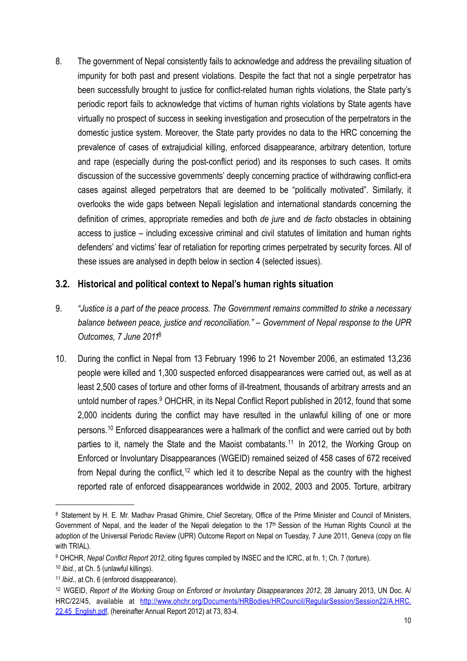8. The government of Nepal consistently fails to acknowledge and address the prevailing situation of impunity for both past and present violations. Despite the fact that not a single perpetrator has been successfully brought to justice for conflict-related human rights violations, the State party's periodic report fails to acknowledge that victims of human rights violations by State agents have virtually no prospect of success in seeking investigation and prosecution of the perpetrators in the domestic justice system. Moreover, the State party provides no data to the HRC concerning the prevalence of cases of extrajudicial killing, enforced disappearance, arbitrary detention, torture and rape (especially during the post-conflict period) and its responses to such cases. It omits discussion of the successive governments' deeply concerning practice of withdrawing conflict-era cases against alleged perpetrators that are deemed to be "politically motivated". Similarly, it overlooks the wide gaps between Nepali legislation and international standards concerning the definition of crimes, appropriate remedies and both *de jure* and *de facto* obstacles in obtaining access to justice – including excessive criminal and civil statutes of limitation and human rights defenders' and victims' fear of retaliation for reporting crimes perpetrated by security forces. All of these issues are analysed in depth below in section 4 (selected issues).

### <span id="page-9-0"></span>**3.2. Historical and political context to Nepal's human rights situation**

- 9. *"Justice is a part of the peace process. The Government remains committed to strike a necessary balance between peace, justice and reconciliation." – Government of Nepal response to the UPR Outcomes, 7 June 2011*[8](#page-9-1)
- 10. During the conflict in Nepal from 13 February 1996 to 21 November 2006, an estimated 13,236 people were killed and 1,300 suspected enforced disappearances were carried out, as well as at least 2,500 cases of torture and other forms of ill-treatment, thousands of arbitrary arrests and an untold number of rapes.<sup>9</sup> OHCHR, in its Nepal Conflict Report published in 2012, found that some 2,000 incidents during the conflict may have resulted in the unlawful killing of one or more persons.[10](#page-9-3) Enforced disappearances were a hallmark of the conflict and were carried out by both parties to it, namely the State and the Maoist combatants.<sup>[11](#page-9-4)</sup> In 2012, the Working Group on Enforced or Involuntary Disappearances (WGEID) remained seized of 458 cases of 672 received from Nepal during the conflict,<sup>[12](#page-9-5)</sup> which led it to describe Nepal as the country with the highest reported rate of enforced disappearances worldwide in 2002, 2003 and 2005. Torture, arbitrary

<span id="page-9-1"></span><sup>&</sup>lt;sup>8</sup> Statement by H. E. Mr. Madhav Prasad Ghimire, Chief Secretary, Office of the Prime Minister and Council of Ministers, Government of Nepal, and the leader of the Nepali delegation to the 17th Session of the Human Rights Council at the adoption of the Universal Periodic Review (UPR) Outcome Report on Nepal on Tuesday, 7 June 2011, Geneva (copy on file with TRIAL).

<span id="page-9-2"></span><sup>9</sup> OHCHR, *Nepal Conflict Report 2012*, citing figures compiled by INSEC and the ICRC, at fn. 1; Ch. 7 (torture).

<span id="page-9-3"></span><sup>10</sup> *Ibid.*, at Ch. 5 (unlawful killings).

<span id="page-9-4"></span><sup>11</sup> *Ibid.*, at Ch. 6 (enforced disappearance).

<span id="page-9-5"></span><sup>12</sup> WGEID, *Report of the Working Group on Enforced or Involuntary Disappearances 2012*, 28 January 2013, UN Doc. A/ HRC/22/45, available at [http://www.ohchr.org/Documents/HRBodies/HRCouncil/RegularSession/Session22/A.HRC.](http://www.ohchr.org/Documents/HRBodies/HRCouncil/RegularSession/Session22/A.HRC.22.45_English.pdf) 22.45 English.pdf, (hereinafter Annual Report 2012) at 73, 83-4.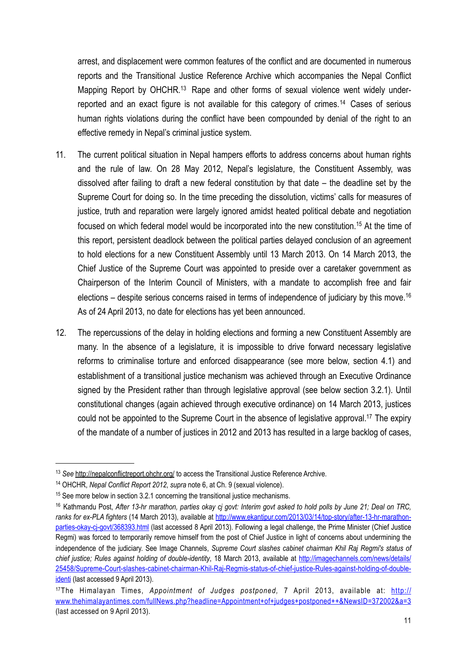arrest, and displacement were common features of the conflict and are documented in numerous reports and the Transitional Justice Reference Archive which accompanies the Nepal Conflict Mapping Report by OHCHR.<sup>13</sup> Rape and other forms of sexual violence went widely under-reported and an exact figure is not available for this category of crimes.<sup>[14](#page-10-1)</sup> Cases of serious human rights violations during the conflict have been compounded by denial of the right to an effective remedy in Nepal's criminal justice system.

- 11. The current political situation in Nepal hampers efforts to address concerns about human rights and the rule of law. On 28 May 2012, Nepal's legislature, the Constituent Assembly, was dissolved after failing to draft a new federal constitution by that date – the deadline set by the Supreme Court for doing so. In the time preceding the dissolution, victims' calls for measures of justice, truth and reparation were largely ignored amidst heated political debate and negotiation focused on which federal model would be incorporated into the new constitution.<sup>15</sup> At the time of this report, persistent deadlock between the political parties delayed conclusion of an agreement to hold elections for a new Constituent Assembly until 13 March 2013. On 14 March 2013, the Chief Justice of the Supreme Court was appointed to preside over a caretaker government as Chairperson of the Interim Council of Ministers, with a mandate to accomplish free and fair elections – despite serious concerns raised in terms of independence of judiciary by this move.<sup>16</sup> As of 24 April 2013, no date for elections has yet been announced.
- 12. The repercussions of the delay in holding elections and forming a new Constituent Assembly are many. In the absence of a legislature, it is impossible to drive forward necessary legislative reforms to criminalise torture and enforced disappearance (see more below, section 4.1) and establishment of a transitional justice mechanism was achieved through an Executive Ordinance signed by the President rather than through legislative approval (see below section 3.2.1). Until constitutional changes (again achieved through executive ordinance) on 14 March 2013, justices could not be appointed to the Supreme Court in the absence of legislative approval.<sup>17</sup> The expiry of the mandate of a number of justices in 2012 and 2013 has resulted in a large backlog of cases,

<span id="page-10-0"></span><sup>13</sup> *See* <http://nepalconflictreport.ohchr.org/>to access the Transitional Justice Reference Archive.

<span id="page-10-1"></span><sup>14</sup> OHCHR, *Nepal Conflict Report 2012*, *supra* note 6, at Ch. 9 (sexual violence).

<span id="page-10-2"></span><sup>&</sup>lt;sup>15</sup> See more below in section 3.2.1 concerning the transitional justice mechanisms.

<span id="page-10-3"></span><sup>16</sup> Kathmandu Post, *After 13-hr marathon, parties okay cj govt: Interim govt asked to hold polls by June 21; Deal on TRC,*  ranks for ex-PLA fighters (14 March 2013), available at [http://www.ekantipur.com/2013/03/14/top-story/after-13-hr-marathon](http://www.ekantipur.com/2013/03/14/top-story/after-13-hr-marathon-parties-okay-cj-govt/368393.html)[parties-okay-cj-govt/368393.html](http://www.ekantipur.com/2013/03/14/top-story/after-13-hr-marathon-parties-okay-cj-govt/368393.html) (last accessed 8 April 2013). Following a legal challenge, the Prime Minister (Chief Justice Regmi) was forced to temporarily remove himself from the post of Chief Justice in light of concerns about undermining the independence of the judiciary. See Image Channels, *Supreme Court slashes cabinet chairman Khil Raj Regmi's status of chief justice; Rules against holding of double-identity*, 18 March 2013, available at [http://imagechannels.com/news/details/](http://imagechannels.com/news/details/25458/Supreme-Court-slashes-cabinet-chairman-Khil-Raj-Regmis-status-of-chief-justice-Rules-against-holding-of-double-identi) [25458/Supreme-Court-slashes-cabinet-chairman-Khil-Raj-Regmis-status-of-chief-justice-Rules-against-holding-of-double](http://imagechannels.com/news/details/25458/Supreme-Court-slashes-cabinet-chairman-Khil-Raj-Regmis-status-of-chief-justice-Rules-against-holding-of-double-identi)[identi](http://imagechannels.com/news/details/25458/Supreme-Court-slashes-cabinet-chairman-Khil-Raj-Regmis-status-of-chief-justice-Rules-against-holding-of-double-identi) (last accessed 9 April 2013).

<span id="page-10-4"></span><sup>17</sup>The Himalayan Times, *Appointment of Judges postponed,* 7 April 2013, available at: [http://](http://www.thehimalayantimes.com/fullNews.php?headline=Appointment+of+judges+postponed++&NewsID=372002&a=3) [www.thehimalayantimes.com/fullNews.php?headline=Appointment+of+judges+postponed++&NewsID=372002&a=3](http://www.thehimalayantimes.com/fullNews.php?headline=Appointment+of+judges+postponed++&NewsID=372002&a=3) (last accessed on 9 April 2013).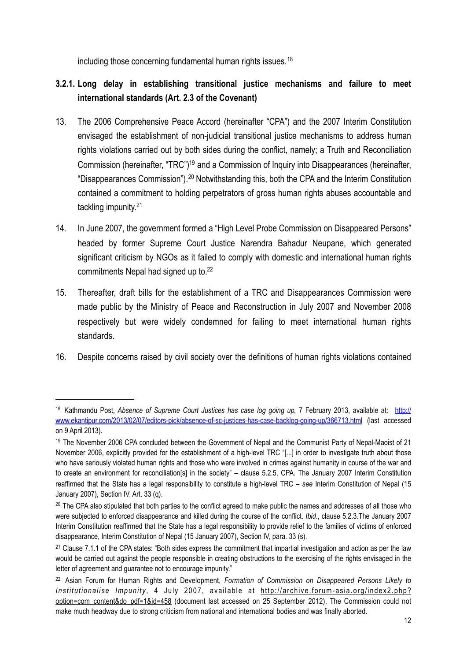including those concerning fundamental human rights issues.<sup>[18](#page-11-1)</sup>

## <span id="page-11-0"></span>**3.2.1. Long delay in establishing transitional justice mechanisms and failure to meet international standards (Art. 2.3 of the Covenant)**

- 13. The 2006 Comprehensive Peace Accord (hereinafter "CPA") and the 2007 Interim Constitution envisaged the establishment of non-judicial transitional justice mechanisms to address human rights violations carried out by both sides during the conflict, namely; a Truth and Reconciliation Commission (hereinafter, "TRC"[\)19](#page-11-2) and a Commission of Inquiry into Disappearances (hereinafter, "Disappearances Commission").[20](#page-11-3) Notwithstanding this, both the CPA and the Interim Constitution contained a commitment to holding perpetrators of gross human rights abuses accountable and tackling impunity.[21](#page-11-4)
- 14. In June 2007, the government formed a "High Level Probe Commission on Disappeared Persons" headed by former Supreme Court Justice Narendra Bahadur Neupane, which generated significant criticism by NGOs as it failed to comply with domestic and international human rights commitments Nepal had signed up to.<sup>22</sup>
- 15. Thereafter, draft bills for the establishment of a TRC and Disappearances Commission were made public by the Ministry of Peace and Reconstruction in July 2007 and November 2008 respectively but were widely condemned for failing to meet international human rights standards.
- 16. Despite concerns raised by civil society over the definitions of human rights violations contained

<span id="page-11-1"></span><sup>18</sup> Kathmandu Post, Absence of Supreme Court Justices has case log going up, 7 February 2013, available at: [http://](http://www.ekantipur.com/2013/02/07/editors-pick/absence-of-sc-justices-has-case-backlog-going-up/366713.html) [www.ekantipur.com/2013/02/07/editors-pick/absence-of-sc-justices-has-case-backlog-going-up/366713.html](http://www.ekantipur.com/2013/02/07/editors-pick/absence-of-sc-justices-has-case-backlog-going-up/366713.html) (last accessed on 9 April 2013).

<span id="page-11-2"></span><sup>&</sup>lt;sup>19</sup> The November 2006 CPA concluded between the Government of Nepal and the Communist Party of Nepal-Maoist of 21 November 2006, explicitly provided for the establishment of a high-level TRC "[...] in order to investigate truth about those who have seriously violated human rights and those who were involved in crimes against humanity in course of the war and to create an environment for reconciliation[s] in the society" – clause 5.2.5, CPA. The January 2007 Interim Constitution reaffirmed that the State has a legal responsibility to constitute a high-level TRC – *see* Interim Constitution of Nepal (15 January 2007), Section IV, Art. 33 (q).

<span id="page-11-3"></span><sup>&</sup>lt;sup>20</sup> The CPA also stipulated that both parties to the conflict agreed to make public the names and addresses of all those who were subjected to enforced disappearance and killed during the course of the conflict. *Ibid*., clause 5.2.3.The January 2007 Interim Constitution reaffirmed that the State has a legal responsibility to provide relief to the families of victims of enforced disappearance, Interim Constitution of Nepal (15 January 2007), Section IV, para. 33 (s).

<span id="page-11-4"></span> $21$  Clause 7.1.1 of the CPA states: "Both sides express the commitment that impartial investigation and action as per the law would be carried out against the people responsible in creating obstructions to the exercising of the rights envisaged in the letter of agreement and guarantee not to encourage impunity."

<span id="page-11-5"></span><sup>22</sup> Asian Forum for Human Rights and Development, *Formation of Commission on Disappeared Persons Likely to Institutionalise Impunity* , 4 July 2007, available at [http://archive.forum-asia.org/index2.php?](http://archive.forum-asia.org/index2.php?option=com_content&do_pdf=1&id=458) [option=com\\_content&do\\_pdf=1&id=458](http://archive.forum-asia.org/index2.php?option=com_content&do_pdf=1&id=458) (document last accessed on 25 September 2012). The Commission could not make much headway due to strong criticism from national and international bodies and was finally aborted.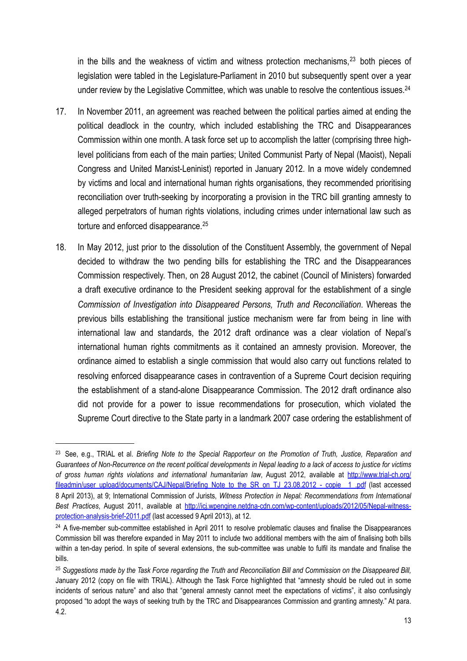in the bills and the weakness of victim and witness protection mechanisms, $23$  both pieces of legislation were tabled in the Legislature-Parliament in 2010 but subsequently spent over a year under review by the Legislative Committee, which was unable to resolve the contentious issues.<sup>24</sup>

- 17. In November 2011, an agreement was reached between the political parties aimed at ending the political deadlock in the country, which included establishing the TRC and Disappearances Commission within one month. A task force set up to accomplish the latter (comprising three highlevel politicians from each of the main parties; United Communist Party of Nepal (Maoist), Nepali Congress and United Marxist-Leninist) reported in January 2012. In a move widely condemned by victims and local and international human rights organisations, they recommended prioritising reconciliation over truth-seeking by incorporating a provision in the TRC bill granting amnesty to alleged perpetrators of human rights violations, including crimes under international law such as torture and enforced disappearance.<sup>[25](#page-12-2)</sup>
- 18. In May 2012, just prior to the dissolution of the Constituent Assembly, the government of Nepal decided to withdraw the two pending bills for establishing the TRC and the Disappearances Commission respectively. Then, on 28 August 2012, the cabinet (Council of Ministers) forwarded a draft executive ordinance to the President seeking approval for the establishment of a single *Commission of Investigation into Disappeared Persons, Truth and Reconciliation*. Whereas the previous bills establishing the transitional justice mechanism were far from being in line with international law and standards, the 2012 draft ordinance was a clear violation of Nepal's international human rights commitments as it contained an amnesty provision. Moreover, the ordinance aimed to establish a single commission that would also carry out functions related to resolving enforced disappearance cases in contravention of a Supreme Court decision requiring the establishment of a stand-alone Disappearance Commission. The 2012 draft ordinance also did not provide for a power to issue recommendations for prosecution, which violated the Supreme Court directive to the State party in a landmark 2007 case ordering the establishment of

<span id="page-12-0"></span><sup>23</sup> See, e.g., TRIAL et al. *Briefing Note to the Special Rapporteur on the Promotion of Truth, Justice, Reparation and Guarantees of Non-Recurrence on the recent political developments in Nepal leading to a lack of access to justice for victims of gross human rights violations and international humanitarian law*, August 2012, available at [http://www.trial-ch.org/](http://www.trial-ch.org/fileadmin/user_upload/documents/CAJ/Nepal/Briefing_Note_to_the_SR_on_TJ_23.08.2012_-_copie__1_.pdf) [fileadmin/user\\_upload/documents/CAJ/Nepal/Briefing\\_Note\\_to\\_the\\_SR\\_on\\_TJ\\_23.08.2012\\_-\\_copie\\_\\_1\\_.pdf](http://www.trial-ch.org/fileadmin/user_upload/documents/CAJ/Nepal/Briefing_Note_to_the_SR_on_TJ_23.08.2012_-_copie__1_.pdf) (last accessed 8 April 2013), at 9; International Commission of Jurists, *Witness Protection in Nepal: Recommendations from International Best Practices*, August 2011, available at [http://icj.wpengine.netdna-cdn.com/wp-content/uploads/2012/05/Nepal-witness](http://icj.wpengine.netdna-cdn.com/wp-content/uploads/2012/05/Nepal-witness-protection-analysis-brief-2011.pdf)[protection-analysis-brief-2011.pdf](http://icj.wpengine.netdna-cdn.com/wp-content/uploads/2012/05/Nepal-witness-protection-analysis-brief-2011.pdf) (last accessed 9 April 2013), at 12.

<span id="page-12-1"></span><sup>&</sup>lt;sup>24</sup> A five-member sub-committee established in April 2011 to resolve problematic clauses and finalise the Disappearances Commission bill was therefore expanded in May 2011 to include two additional members with the aim of finalising both bills within a ten-day period. In spite of several extensions, the sub-committee was unable to fulfil its mandate and finalise the bills.

<span id="page-12-2"></span><sup>25</sup> *Suggestions made by the Task Force regarding the Truth and Reconciliation Bill and Commission on the Disappeared Bill,* January 2012 (copy on file with TRIAL). Although the Task Force highlighted that "amnesty should be ruled out in some incidents of serious nature" and also that "general amnesty cannot meet the expectations of victims", it also confusingly proposed "to adopt the ways of seeking truth by the TRC and Disappearances Commission and granting amnesty." At para. 4.2.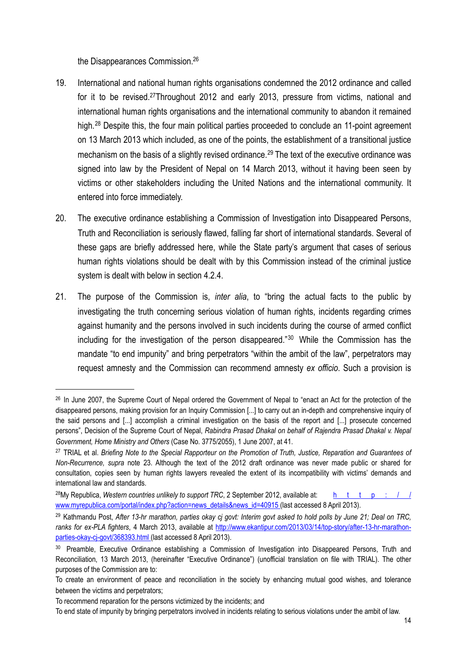the Disappearances Commission[.26](#page-13-0)

- 19. International and national human rights organisations condemned the 2012 ordinance and called for it to be revised.<sup>27</sup>Throughout 2012 and early 2013, pressure from victims, national and international human rights organisations and the international community to abandon it remained high.<sup>[28](#page-13-2)</sup> Despite this, the four main political parties proceeded to conclude an 11-point agreement on 13 March 2013 which included, as one of the points, the establishment of a transitional justice mechanism on the basis of a slightly revised ordinance.<sup>[29](#page-13-3)</sup> The text of the executive ordinance was signed into law by the President of Nepal on 14 March 2013, without it having been seen by victims or other stakeholders including the United Nations and the international community. It entered into force immediately.
- 20. The executive ordinance establishing a Commission of Investigation into Disappeared Persons, Truth and Reconciliation is seriously flawed, falling far short of international standards. Several of these gaps are briefly addressed here, while the State party's argument that cases of serious human rights violations should be dealt with by this Commission instead of the criminal justice system is dealt with below in section 4.2.4.
- 21. The purpose of the Commission is, *inter alia*, to "bring the actual facts to the public by investigating the truth concerning serious violation of human rights, incidents regarding crimes against humanity and the persons involved in such incidents during the course of armed conflict including for the investigation of the person disappeared."[30](#page-13-4) While the Commission has the mandate "to end impunity" and bring perpetrators "within the ambit of the law", perpetrators may request amnesty and the Commission can recommend amnesty *ex officio*. Such a provision is

<span id="page-13-0"></span><sup>&</sup>lt;sup>26</sup> In June 2007, the Supreme Court of Nepal ordered the Government of Nepal to "enact an Act for the protection of the disappeared persons, making provision for an Inquiry Commission [...] to carry out an in-depth and comprehensive inquiry of the said persons and [...] accomplish a criminal investigation on the basis of the report and [...] prosecute concerned persons", Decision of the Supreme Court of Nepal, *Rabindra Prasad Dhakal on behalf of Rajendra Prasad Dhakal v. Nepal Government, Home Ministry and Others* (Case No. 3775/2055), 1 June 2007, at 41.

<span id="page-13-1"></span><sup>27</sup> TRIAL et al. *Briefing Note to the Special Rapporteur on the Promotion of Truth, Justice, Reparation and Guarantees of Non-Recurrence, supra* note 23. Although the text of the 2012 draft ordinance was never made public or shared for consultation, copies seen by human rights lawyers revealed the extent of its incompatibility with victims' demands and international law and standards.

<span id="page-13-2"></span><sup>&</sup>lt;sup>28</sup>My Republica, *Western countries unlikely to support TRC*, 2 September 2012, available at: [http://](http://www.myrepublica.com/portal/index.php?action=news_details&news_id=40915) [www.myrepublica.com/portal/index.php?action=news\\_details&news\\_id=40915](http://www.myrepublica.com/portal/index.php?action=news_details&news_id=40915) (last accessed 8 April 2013).

<span id="page-13-3"></span><sup>29</sup> Kathmandu Post, *After 13-hr marathon, parties okay cj govt: Interim govt asked to hold polls by June 21; Deal on TRC, ranks for ex-PLA fighters*, 4 March 2013, available at [http://www.ekantipur.com/2013/03/14/top-story/after-13-hr-marathon](http://www.ekantipur.com/2013/03/14/top-story/after-13-hr-marathon-parties-okay-cj-govt/368393.html)[parties-okay-cj-govt/368393.html](http://www.ekantipur.com/2013/03/14/top-story/after-13-hr-marathon-parties-okay-cj-govt/368393.html) (last accessed 8 April 2013).

<span id="page-13-4"></span><sup>30</sup> Preamble, Executive Ordinance establishing a Commission of Investigation into Disappeared Persons, Truth and Reconciliation, 13 March 2013, (hereinafter "Executive Ordinance") (unofficial translation on file with TRIAL). The other purposes of the Commission are to:

To create an environment of peace and reconciliation in the society by enhancing mutual good wishes, and tolerance between the victims and perpetrators;

To recommend reparation for the persons victimized by the incidents; and

To end state of impunity by bringing perpetrators involved in incidents relating to serious violations under the ambit of law.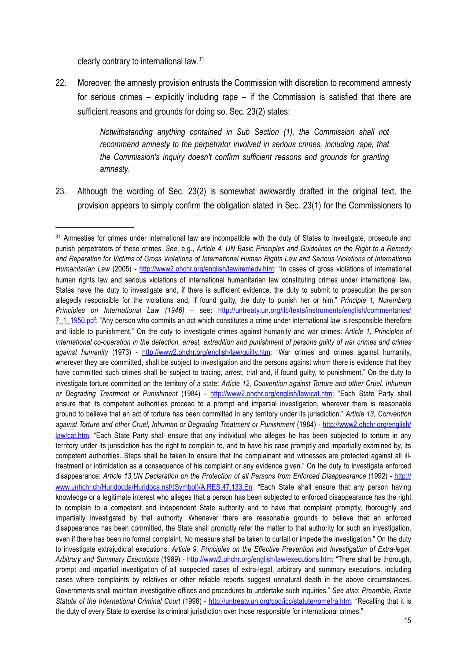clearly contrary to international law.[31](#page-14-0)

22. Moreover, the amnesty provision entrusts the Commission with discretion to recommend amnesty for serious crimes – explicitly including rape – if the Commission is satisfied that there are sufficient reasons and grounds for doing so. Sec. 23(2) states:

> *Notwithstanding anything contained in Sub Section (1), the Commission shall not recommend amnesty to the perpetrator involved in serious crimes, including rape, that the Commission's inquiry doesn't confirm sufficient reasons and grounds for granting amnesty.*

23. Although the wording of Sec. 23(2) is somewhat awkwardly drafted in the original text, the provision appears to simply confirm the obligation stated in Sec. 23(1) for the Commissioners to

<span id="page-14-0"></span><sup>31</sup> Amnesties for crimes under international law are incompatible with the duty of States to investigate, prosecute and punish perpetrators of these crimes. *See*, e.g., *Article 4, UN Basic Principles and Guidelines on the Right to a Remedy and Reparation for Victims of Gross Violations of International Human Rights Law and Serious Violations of International Humanitarian Law* (2005) - <http://www2.ohchr.org/english/law/remedy.htm>: "In cases of gross violations of international human rights law and serious violations of international humanitarian law constituting crimes under international law, States have the duty to investigate and, if there is sufficient evidence, the duty to submit to prosecution the person allegedly responsible for the violations and, if found guilty, the duty to punish her or him." *Principle 1, Nuremberg Principles on International Law (1946) –* see: [http://untreaty.un.org/ilc/texts/instruments/english/commentaries/](http://untreaty.un.org/ilc/texts/instruments/english/commentaries/7_1_1950.pdf) [7\\_1\\_1950.pdf](http://untreaty.un.org/ilc/texts/instruments/english/commentaries/7_1_1950.pdf): "Any person who commits an act which constitutes a [crime under international law](http://en.wikipedia.org/wiki/International_criminal_law) is responsible therefore and liable to punishment." On the duty to investigate crimes against humanity and war crimes: *Article 1, Principles of international co-operation in the detection, arrest, extradition and punishment of persons guilty of war crimes and crimes against humanity* (1973) - [http://www2.ohchr.org/english/law/guilty.htm:](http://www2.ohchr.org/english/law/guilty.htm) "War crimes and crimes against humanity, wherever they are committed, shall be subject to investigation and the persons against whom there is evidence that they have committed such crimes shall be subject to tracing, arrest, trial and, if found guilty, to punishment." On the duty to investigate torture committed on the territory of a state: *Article 12, Convention against Torture and other Cruel, Inhuman or Degrading Treatment or Punishment* (1984) - [http://www2.ohchr.org/english/law/cat.htm:](http://www2.ohchr.org/english/law/cat.htm) "Each State Party shall ensure that its competent authorities proceed to a prompt and impartial investigation, wherever there is reasonable ground to believe that an act of torture has been committed in any territory under its jurisdiction." *Article 13, Convention*  against Torture and other Cruel, Inhuman or Degrading Treatment or Punishment (1984) - [http://www2.ohchr.org/english/](http://www2.ohchr.org/english/law/cat.htm) [law/cat.htm](http://www2.ohchr.org/english/law/cat.htm)*.* "Each State Party shall ensure that any individual who alleges he has been subjected to torture in any territory under its jurisdiction has the right to complain to, and to have his case promptly and impartially examined by, its competent authorities. Steps shall be taken to ensure that the complainant and witnesses are protected against all illtreatment or intimidation as a consequence of his complaint or any evidence given." On the duty to investigate enforced disappearance: Article 13, UN Declaration on the Protection of all Persons from Enforced Disappearance (1992) - [http://](http://www.unhchr.ch/Huridocda/Huridoca.nsf/(Symbol)/A.RES.47.133.En) [www.unhchr.ch/Huridocda/Huridoca.nsf/\(Symbol\)/A.RES.47.133.En](http://www.unhchr.ch/Huridocda/Huridoca.nsf/(Symbol)/A.RES.47.133.En)*.* "Each State shall ensure that any person having knowledge or a legitimate interest who alleges that a person has been subjected to enforced disappearance has the right to complain to a competent and independent State authority and to have that complaint promptly, thoroughly and impartially investigated by that authority. Whenever there are reasonable grounds to believe that an enforced disappearance has been committed, the State shall promptly refer the matter to that authority for such an investigation, even if there has been no formal complaint. No measure shall be taken to curtail or impede the investigation." On the duty to investigate extrajudicial executions: *Article 9, Principles on the Effective Prevention and Investigation of Extra-legal, Arbitrary and Summary Executions* (1989) - <http://www2.ohchr.org/english/law/executions.htm>: "There shall be thorough, prompt and impartial investigation of all suspected cases of extra-legal, arbitrary and summary executions, including cases where complaints by relatives or other reliable reports suggest unnatural death in the above circumstances. Governments shall maintain investigative offices and procedures to undertake such inquiries." *See also*: *Preamble, Rome Statute of the International Criminal Court* (1998) - [http://untreaty.un.org/cod/icc/statute/romefra.htm:](http://untreaty.un.org/cod/icc/statute/romefra.htm) "Recalling that it is the duty of every State to exercise its criminal jurisdiction over those responsible for international crimes."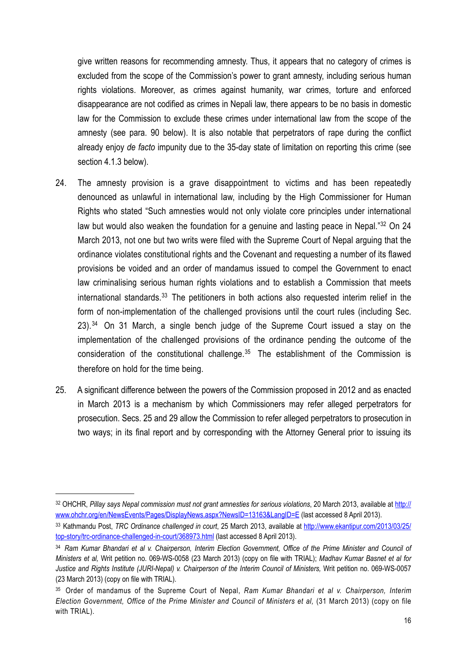give written reasons for recommending amnesty. Thus, it appears that no category of crimes is excluded from the scope of the Commission's power to grant amnesty, including serious human rights violations. Moreover, as crimes against humanity, war crimes, torture and enforced disappearance are not codified as crimes in Nepali law, there appears to be no basis in domestic law for the Commission to exclude these crimes under international law from the scope of the amnesty (see para. 90 below). It is also notable that perpetrators of rape during the conflict already enjoy *de facto* impunity due to the 35-day state of limitation on reporting this crime (see section 4.1.3 below).

- 24. The amnesty provision is a grave disappointment to victims and has been repeatedly denounced as unlawful in international law, including by the High Commissioner for Human Rights who stated "Such amnesties would not only violate core principles under international law but would also weaken the foundation for a genuine and lasting peace in Nepal."<sup>[32](#page-15-0)</sup> On 24 March 2013, not one but two writs were filed with the Supreme Court of Nepal arguing that the ordinance violates constitutional rights and the Covenant and requesting a number of its flawed provisions be voided and an order of mandamus issued to compel the Government to enact law criminalising serious human rights violations and to establish a Commission that meets international standards.<sup>[33](#page-15-1)</sup> The petitioners in both actions also requested interim relief in the form of non-implementation of the challenged provisions until the court rules (including Sec.  $23$ ).<sup>[34](#page-15-2)</sup> On 31 March, a single bench judge of the Supreme Court issued a stay on the implementation of the challenged provisions of the ordinance pending the outcome of the consideration of the constitutional challenge. $35$  The establishment of the Commission is therefore on hold for the time being.
- 25. A significant difference between the powers of the Commission proposed in 2012 and as enacted in March 2013 is a mechanism by which Commissioners may refer alleged perpetrators for prosecution. Secs. 25 and 29 allow the Commission to refer alleged perpetrators to prosecution in two ways; in its final report and by corresponding with the Attorney General prior to issuing its

<span id="page-15-0"></span><sup>32</sup> OHCHR, Pillay says Nepal commission must not grant amnesties for serious violations, 20 March 2013, available at [http://](http://www.ohchr.org/en/NewsEvents/Pages/DisplayNews.aspx?NewsID=13163&LangID=E) [www.ohchr.org/en/NewsEvents/Pages/DisplayNews.aspx?NewsID=13163&LangID=E](http://www.ohchr.org/en/NewsEvents/Pages/DisplayNews.aspx?NewsID=13163&LangID=E) (last accessed 8 April 2013).

<span id="page-15-1"></span><sup>33</sup> Kathmandu Post, *TRC Ordinance challenged in court*, 25 March 2013, available at [http://www.ekantipur.com/2013/03/25/](http://www.ekantipur.com/2013/03/25/top-story/trc-ordinance-challenged-in-court/368973.html) [top-story/trc-ordinance-challenged-in-court/368973.html](http://www.ekantipur.com/2013/03/25/top-story/trc-ordinance-challenged-in-court/368973.html) (last accessed 8 April 2013).

<span id="page-15-2"></span><sup>&</sup>lt;sup>34</sup> Ram Kumar Bhandari et al v. Chairperson, Interim Election Government, Office of the Prime Minister and Council of *Ministers et al,* Writ petition no. 069-WS-0058 (23 March 2013) (copy on file with TRIAL); *Madhav Kumar Basnet et al for*  Justice and Rights Institute (JURI-Nepal) v. Chairperson of the Interim Council of Ministers, Writ petition no. 069-WS-0057 (23 March 2013) (copy on file with TRIAL).

<span id="page-15-3"></span><sup>35</sup> Order of mandamus of the Supreme Court of Nepal, *Ram Kumar Bhandari et al v. Chairperson, Interim Election Government, Office of the Prime Minister and Council of Ministers et al,* (31 March 2013) (copy on file with TRIAL).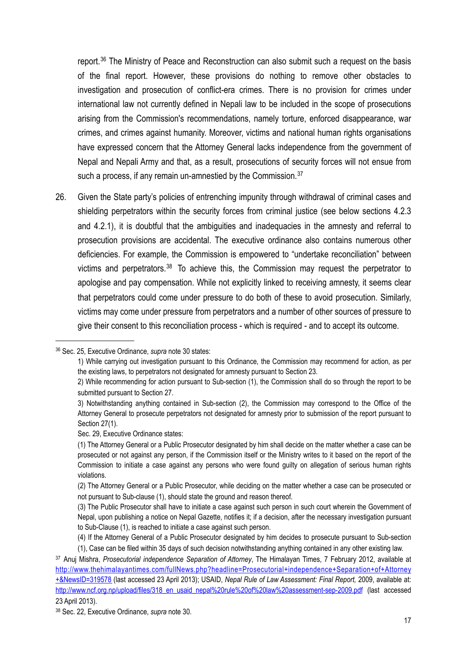report.<sup>[36](#page-16-0)</sup> The Ministry of Peace and Reconstruction can also submit such a request on the basis of the final report. However, these provisions do nothing to remove other obstacles to investigation and prosecution of conflict-era crimes. There is no provision for crimes under international law not currently defined in Nepali law to be included in the scope of prosecutions arising from the Commission's recommendations, namely torture, enforced disappearance, war crimes, and crimes against humanity. Moreover, victims and national human rights organisations have expressed concern that the Attorney General lacks independence from the government of Nepal and Nepali Army and that, as a result, prosecutions of security forces will not ensue from such a process, if any remain un-amnestied by the Commission.<sup>[37](#page-16-1)</sup>

26. Given the State party's policies of entrenching impunity through withdrawal of criminal cases and shielding perpetrators within the security forces from criminal justice (see below sections 4.2.3 and 4.2.1), it is doubtful that the ambiguities and inadequacies in the amnesty and referral to prosecution provisions are accidental. The executive ordinance also contains numerous other deficiencies. For example, the Commission is empowered to "undertake reconciliation" between victims and perpetrators.[38](#page-16-2) To achieve this, the Commission may request the perpetrator to apologise and pay compensation. While not explicitly linked to receiving amnesty, it seems clear that perpetrators could come under pressure to do both of these to avoid prosecution. Similarly, victims may come under pressure from perpetrators and a number of other sources of pressure to give their consent to this reconciliation process - which is required - and to accept its outcome.

#### <span id="page-16-0"></span>36 Sec. 25, Executive Ordinance, *supra* note 30 states:

Sec. 29, Executive Ordinance states:

<sup>1)</sup> While carrying out investigation pursuant to this Ordinance, the Commission may recommend for action, as per the existing laws, to perpetrators not designated for amnesty pursuant to Section 23.

<sup>2)</sup> While recommending for action pursuant to Sub-section (1), the Commission shall do so through the report to be submitted pursuant to Section 27.

<sup>3)</sup> Notwithstanding anything contained in Sub-section (2), the Commission may correspond to the Office of the Attorney General to prosecute perpetrators not designated for amnesty prior to submission of the report pursuant to Section 27(1).

<sup>(1)</sup> The Attorney General or a Public Prosecutor designated by him shall decide on the matter whether a case can be prosecuted or not against any person, if the Commission itself or the Ministry writes to it based on the report of the Commission to initiate a case against any persons who were found guilty on allegation of serious human rights violations.

<sup>(2)</sup> The Attorney General or a Public Prosecutor, while deciding on the matter whether a case can be prosecuted or not pursuant to Sub-clause (1), should state the ground and reason thereof.

<sup>(3)</sup> The Public Prosecutor shall have to initiate a case against such person in such court wherein the Government of Nepal, upon publishing a notice on Nepal Gazette, notifies it; if a decision, after the necessary investigation pursuant to Sub-Clause (1), is reached to initiate a case against such person.

<sup>(4)</sup> If the Attorney General of a Public Prosecutor designated by him decides to prosecute pursuant to Sub-section

<sup>(1),</sup> Case can be filed within 35 days of such decision notwithstanding anything contained in any other existing law.

<span id="page-16-1"></span><sup>37</sup> Anuj Mishra, *Prosecutorial independence Separation of Attorney*, The Himalayan Times, 7 February 2012, available at [http://www.thehimalayantimes.com/fullNews.php?headline=Prosecutorial+independence+Separation+of+Attorney](http://www.thehimalayantimes.com/fullNews.php?headline=Prosecutorial+independence+Separation+of+Attorney+&NewsID=319578) [+&NewsID=319578](http://www.thehimalayantimes.com/fullNews.php?headline=Prosecutorial+independence+Separation+of+Attorney+&NewsID=319578) (last accessed 23 April 2013); USAID, *Nepal Rule of Law Assessment: Final Report,* 2009, available at: http://www.ncf.org.np/upload/files/318 en usaid\_nepal%20rule%20of%20law%20assessment-sep-2009.pdf (last accessed 23 April 2013).

<span id="page-16-2"></span><sup>38</sup> Sec. 22, Executive Ordinance, *supra* note 30.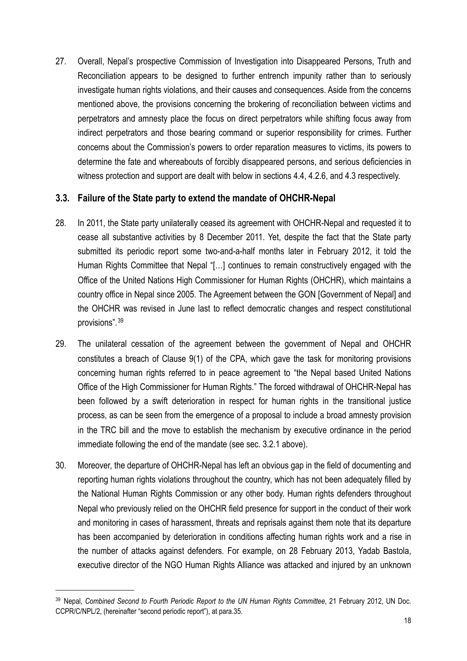27. Overall, Nepal's prospective Commission of Investigation into Disappeared Persons, Truth and Reconciliation appears to be designed to further entrench impunity rather than to seriously investigate human rights violations, and their causes and consequences. Aside from the concerns mentioned above, the provisions concerning the brokering of reconciliation between victims and perpetrators and amnesty place the focus on direct perpetrators while shifting focus away from indirect perpetrators and those bearing command or superior responsibility for crimes. Further concerns about the Commission's powers to order reparation measures to victims, its powers to determine the fate and whereabouts of forcibly disappeared persons, and serious deficiencies in witness protection and support are dealt with below in sections 4.4, 4.2.6, and 4.3 respectively.

#### <span id="page-17-0"></span>**3.3. Failure of the State party to extend the mandate of OHCHR-Nepal**

- 28. In 2011, the State party unilaterally ceased its agreement with OHCHR-Nepal and requested it to cease all substantive activities by 8 December 2011. Yet, despite the fact that the State party submitted its periodic report some two-and-a-half months later in February 2012, it told the Human Rights Committee that Nepal "[…] continues to remain constructively engaged with the Office of the United Nations High Commissioner for Human Rights (OHCHR), which maintains a country office in Nepal since 2005. The Agreement between the GON [Government of Nepal] and the OHCHR was revised in June last to reflect democratic changes and respect constitutional provisions".[39](#page-17-1)
- 29. The unilateral cessation of the agreement between the government of Nepal and OHCHR constitutes a breach of Clause 9(1) of the CPA, which gave the task for monitoring provisions concerning human rights referred to in peace agreement to "the Nepal based United Nations Office of the High Commissioner for Human Rights." The forced withdrawal of OHCHR-Nepal has been followed by a swift deterioration in respect for human rights in the transitional justice process, as can be seen from the emergence of a proposal to include a broad amnesty provision in the TRC bill and the move to establish the mechanism by executive ordinance in the period immediate following the end of the mandate (see sec. 3.2.1 above).
- 30. Moreover, the departure of OHCHR-Nepal has left an obvious gap in the field of documenting and reporting human rights violations throughout the country, which has not been adequately filled by the National Human Rights Commission or any other body. Human rights defenders throughout Nepal who previously relied on the OHCHR field presence for support in the conduct of their work and monitoring in cases of harassment, threats and reprisals against them note that its departure has been accompanied by deterioration in conditions affecting human rights work and a rise in the number of attacks against defenders. For example, on 28 February 2013, Yadab Bastola, executive director of the NGO Human Rights Alliance was attacked and injured by an unknown

<span id="page-17-1"></span><sup>39</sup> Nepal, *Combined Second to Fourth Periodic Report to the UN Human Rights Committee*, 21 February 2012, UN Doc. CCPR/C/NPL/2, (hereinafter "second periodic report"), at para.35.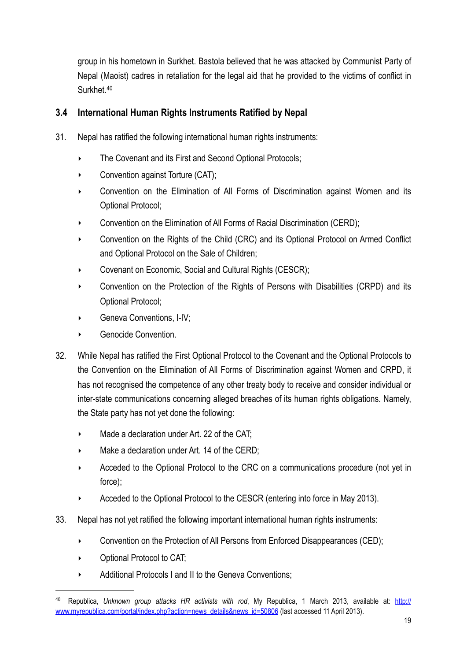group in his hometown in Surkhet. Bastola believed that he was attacked by Communist Party of Nepal (Maoist) cadres in retaliation for the legal aid that he provided to the victims of conflict in Surkhet.[40](#page-18-1)

## <span id="page-18-0"></span>**3.4 International Human Rights Instruments Ratified by Nepal**

- 31. Nepal has ratified the following international human rights instruments:
	- ‣ The Covenant and its First and Second Optional Protocols;
	- ‣ Convention against Torture (CAT);
	- ‣ Convention on the Elimination of All Forms of Discrimination against Women and its Optional Protocol;
	- ‣ Convention on the Elimination of All Forms of Racial Discrimination (CERD);
	- ‣ Convention on the Rights of the Child (CRC) and its Optional Protocol on Armed Conflict and Optional Protocol on the Sale of Children;
	- ‣ Covenant on Economic, Social and Cultural Rights (CESCR);
	- ‣ Convention on the Protection of the Rights of Persons with Disabilities (CRPD) and its Optional Protocol;
	- ‣ Geneva Conventions, I-IV;
	- Genocide Convention.
- 32. While Nepal has ratified the First Optional Protocol to the Covenant and the Optional Protocols to the Convention on the Elimination of All Forms of Discrimination against Women and CRPD, it has not recognised the competence of any other treaty body to receive and consider individual or inter-state communications concerning alleged breaches of its human rights obligations. Namely, the State party has not yet done the following:
	- Made a declaration under Art. 22 of the CAT:
	- Make a declaration under Art. 14 of the CERD;
	- Acceded to the Optional Protocol to the CRC on a communications procedure (not yet in force);
	- ‣ Acceded to the Optional Protocol to the CESCR (entering into force in May 2013).
- 33. Nepal has not yet ratified the following important international human rights instruments:
	- ‣ Convention on the Protection of All Persons from Enforced Disappearances (CED);
	- ‣ Optional Protocol to CAT;
	- ‣ Additional Protocols I and II to the Geneva Conventions;

<span id="page-18-1"></span><sup>40</sup> Republica, *Unknown group attacks HR activists with rod*, My Republica, 1 March 2013, available at: [http://](http://www.myrepublica.com/portal/index.php?action=news_details&news_id=50806) [www.myrepublica.com/portal/index.php?action=news\\_details&news\\_id=50806](http://www.myrepublica.com/portal/index.php?action=news_details&news_id=50806) (last accessed 11 April 2013).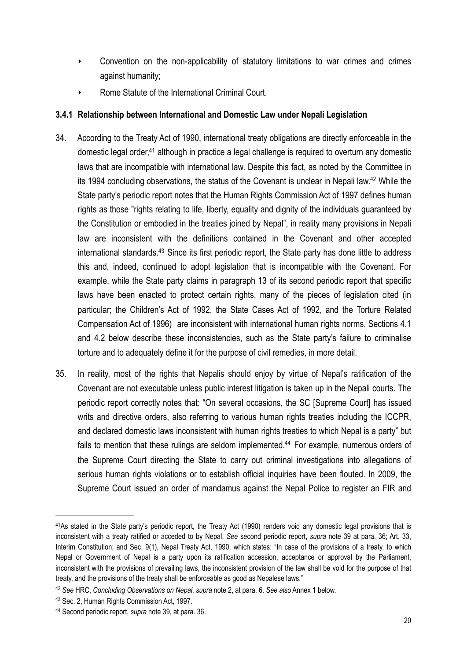- ‣ Convention on the non-applicability of statutory limitations to war crimes and crimes against humanity;
- ‣ Rome Statute of the International Criminal Court.

#### <span id="page-19-0"></span>**3.4.1 Relationship between International and Domestic Law under Nepali Legislation**

- 34. According to the Treaty Act of 1990, international treaty obligations are directly enforceable in the domestic legal order,<sup>41</sup> although in practice a legal challenge is required to overturn any domestic laws that are incompatible with international law. Despite this fact, as noted by the Committee in its 1994 concluding observations, the status of the Covenant is unclear in Nepali law[.42](#page-19-2) While the State party's periodic report notes that the Human Rights Commission Act of 1997 defines human rights as those "rights relating to life, liberty, equality and dignity of the individuals guaranteed by the Constitution or embodied in the treaties joined by Nepal", in reality many provisions in Nepali law are inconsistent with the definitions contained in the Covenant and other accepted international standards.<sup>43</sup> Since its first periodic report, the State party has done little to address this and, indeed, continued to adopt legislation that is incompatible with the Covenant. For example, while the State party claims in paragraph 13 of its second periodic report that specific laws have been enacted to protect certain rights, many of the pieces of legislation cited (in particular; the Children's Act of 1992, the State Cases Act of 1992, and the Torture Related Compensation Act of 1996) are inconsistent with international human rights norms. Sections 4.1 and 4.2 below describe these inconsistencies, such as the State party's failure to criminalise torture and to adequately define it for the purpose of civil remedies, in more detail.
- 35. In reality, most of the rights that Nepalis should enjoy by virtue of Nepal's ratification of the Covenant are not executable unless public interest litigation is taken up in the Nepali courts. The periodic report correctly notes that: "On several occasions, the SC [Supreme Court] has issued writs and directive orders, also referring to various human rights treaties including the ICCPR, and declared domestic laws inconsistent with human rights treaties to which Nepal is a party" but fails to mention that these rulings are seldom implemented.<sup>44</sup> For example, numerous orders of the Supreme Court directing the State to carry out criminal investigations into allegations of serious human rights violations or to establish official inquiries have been flouted. In 2009, the Supreme Court issued an order of mandamus against the Nepal Police to register an FIR and

<span id="page-19-1"></span><sup>41</sup>As stated in the State party's periodic report, the Treaty Act (1990) renders void any domestic legal provisions that is inconsistent with a treaty ratified or acceded to by Nepal. *See* second periodic report, *supra* note 39 at para. 36; Art. 33, Interim Constitution; and Sec. 9(1), Nepal Treaty Act, 1990, which states: "In case of the provisions of a treaty, to which Nepal or Government of Nepal is a party upon its ratification accession, acceptance or approval by the Parliament, inconsistent with the provisions of prevailing laws, the inconsistent provision of the law shall be void for the purpose of that treaty, and the provisions of the treaty shall be enforceable as good as Nepalese laws."

<span id="page-19-2"></span><sup>42</sup> *See* HRC, *Concluding Observations on Nepal*, *supra* note 2, at para. 6. *See also* Annex 1 below.

<span id="page-19-3"></span><sup>43</sup> Sec. 2, Human Rights Commission Act, 1997.

<span id="page-19-4"></span><sup>44</sup> Second periodic report, *supra* note 39, at para. 36.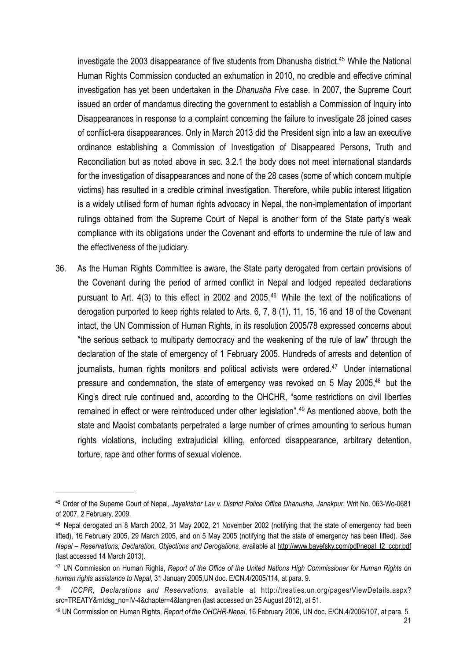investigate the 2003 disappearance of five students from Dhanusha district[.45](#page-20-0) While the National Human Rights Commission conducted an exhumation in 2010, no credible and effective criminal investigation has yet been undertaken in the *Dhanusha Five* case. In 2007, the Supreme Court issued an order of mandamus directing the government to establish a Commission of Inquiry into Disappearances in response to a complaint concerning the failure to investigate 28 joined cases of conflict-era disappearances. Only in March 2013 did the President sign into a law an executive ordinance establishing a Commission of Investigation of Disappeared Persons, Truth and Reconciliation but as noted above in sec. 3.2.1 the body does not meet international standards for the investigation of disappearances and none of the 28 cases (some of which concern multiple victims) has resulted in a credible criminal investigation. Therefore, while public interest litigation is a widely utilised form of human rights advocacy in Nepal, the non-implementation of important rulings obtained from the Supreme Court of Nepal is another form of the State party's weak compliance with its obligations under the Covenant and efforts to undermine the rule of law and the effectiveness of the judiciary.

36. As the Human Rights Committee is aware, the State party derogated from certain provisions of the Covenant during the period of armed conflict in Nepal and lodged repeated declarations pursuant to Art. 4(3) to this effect in 2002 and 2005.<sup>[46](#page-20-1)</sup> While the text of the notifications of derogation purported to keep rights related to Arts. 6, 7, 8 (1), 11, 15, 16 and 18 of the Covenant intact, the UN Commission of Human Rights, in its resolution 2005/78 expressed concerns about "the serious setback to multiparty democracy and the weakening of the rule of law" through the declaration of the state of emergency of 1 February 2005. Hundreds of arrests and detention of journalists, human rights monitors and political activists were ordered.<sup>47</sup> Under international pressure and condemnation, the state of emergency was revoked on 5 May 2005,<sup>48</sup> but the King's direct rule continued and, according to the OHCHR, "some restrictions on civil liberties remained in effect or were reintroduced under other legislation".<sup>[49](#page-20-4)</sup> As mentioned above, both the state and Maoist combatants perpetrated a large number of crimes amounting to serious human rights violations, including extrajudicial killing, enforced disappearance, arbitrary detention, torture, rape and other forms of sexual violence.

<span id="page-20-0"></span><sup>45</sup> Order of the Supeme Court of Nepal, *Jayakishor Lav v. District Police Office Dhanusha, Janakpur*, Writ No. 063-Wo-0681 of 2007, 2 February, 2009.

<span id="page-20-1"></span><sup>46</sup> Nepal derogated on 8 March 2002, 31 May 2002, 21 November 2002 (notifying that the state of emergency had been lifted), 16 February 2005, 29 March 2005, and on 5 May 2005 (notifying that the state of emergency has been lifted). *See Nepal – Reservations, Declaration, Objections and Derogations,* available at [http://www.bayefsky.com/pdf/nepal\\_t2\\_ccpr.pdf](http://www.bayefsky.com/pdf/nepal_t2_ccpr.pdf) (last accessed 14 March 2013).

<span id="page-20-2"></span><sup>47</sup> UN Commission on Human Rights, *Report of the Office of the United Nations High Commissioner for Human Rights on human rights assistance to Nepal*, 31 January 2005,UN doc. E/CN.4/2005/114, at para. 9.

<span id="page-20-3"></span><sup>48</sup> *ICCPR, Declarations and Reservations*, available at [http://treaties.un.org/pages/ViewDetails.aspx?](http://treaties.un.org/pages/ViewDetails.aspx?src=TREATY&mtdsg_no=IV-4&chapter=4&lang=en) [src=TREATY&mtdsg\\_no=IV-4&chapter=4&lang=en](http://treaties.un.org/pages/ViewDetails.aspx?src=TREATY&mtdsg_no=IV-4&chapter=4&lang=en) (last accessed on 25 August 2012), at 51.

<span id="page-20-4"></span><sup>49</sup> UN Commission on Human Rights, *Report of the OHCHR-Nepal*, 16 February 2006, UN doc. E/CN.4/2006/107, at para. 5.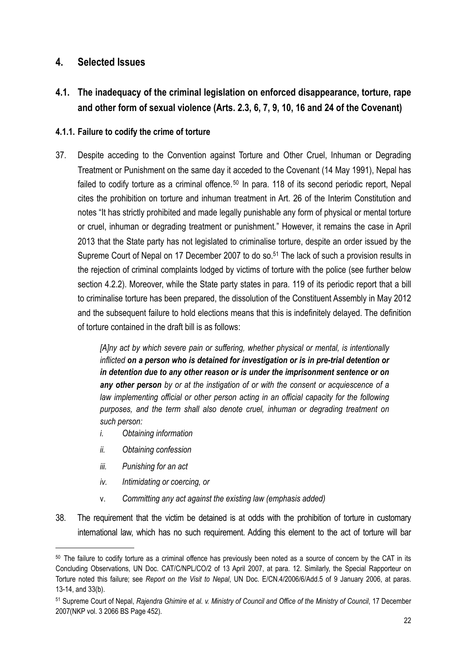## <span id="page-21-0"></span>**4. Selected Issues**

<span id="page-21-1"></span>**4.1. The inadequacy of the criminal legislation on enforced disappearance, torture, rape and other form of sexual violence (Arts. 2.3, 6, 7, 9, 10, 16 and 24 of the Covenant)**

#### <span id="page-21-2"></span>**4.1.1. Failure to codify the crime of torture**

37. Despite acceding to the Convention against Torture and Other Cruel, Inhuman or Degrading Treatment or Punishment on the same day it acceded to the Covenant (14 May 1991), Nepal has failed to codify torture as a criminal offence.<sup>[50](#page-21-3)</sup> In para. 118 of its second periodic report, Nepal cites the prohibition on torture and inhuman treatment in Art. 26 of the Interim Constitution and notes "It has strictly prohibited and made legally punishable any form of physical or mental torture or cruel, inhuman or degrading treatment or punishment." However, it remains the case in April 2013 that the State party has not legislated to criminalise torture, despite an order issued by the Supreme Court of Nepal on 17 December 2007 to do so.<sup>51</sup> The lack of such a provision results in the rejection of criminal complaints lodged by victims of torture with the police (see further below section 4.2.2). Moreover, while the State party states in para. 119 of its periodic report that a bill to criminalise torture has been prepared, the dissolution of the Constituent Assembly in May 2012 and the subsequent failure to hold elections means that this is indefinitely delayed. The definition of torture contained in the draft bill is as follows:

> *[A]ny act by which severe pain or suffering, whether physical or mental, is intentionally inflicted on a person who is detained for investigation or is in pre-trial detention or in detention due to any other reason or is under the imprisonment sentence or on any other person by or at the instigation of or with the consent or acquiescence of a*  law implementing official or other person acting in an official capacity for the following *purposes, and the term shall also denote cruel, inhuman or degrading treatment on such person:*

- *i. Obtaining information*
- *ii. Obtaining confession*
- *iii. Punishing for an act*
- *iv. Intimidating or coercing, or*
- v. *Committing any act against the existing law (emphasis added)*
- 38. The requirement that the victim be detained is at odds with the prohibition of torture in customary international law, which has no such requirement. Adding this element to the act of torture will bar

<span id="page-21-3"></span><sup>&</sup>lt;sup>50</sup> The failure to codify torture as a criminal offence has previously been noted as a source of concern by the CAT in its Concluding Observations, UN Doc. CAT/C/NPL/CO/2 of 13 April 2007, at para. 12. Similarly, the Special Rapporteur on Torture noted this failure; see *Report on the Visit to Nepal*, UN Doc. E/CN.4/2006/6/Add.5 of 9 January 2006, at paras. 13-14, and 33(b).

<span id="page-21-4"></span><sup>51</sup> Supreme Court of Nepal, *Rajendra Ghimire et al. v. Ministry of Council and Office of the Ministry of Council*, 17 December 2007(NKP vol. 3 2066 BS Page 452).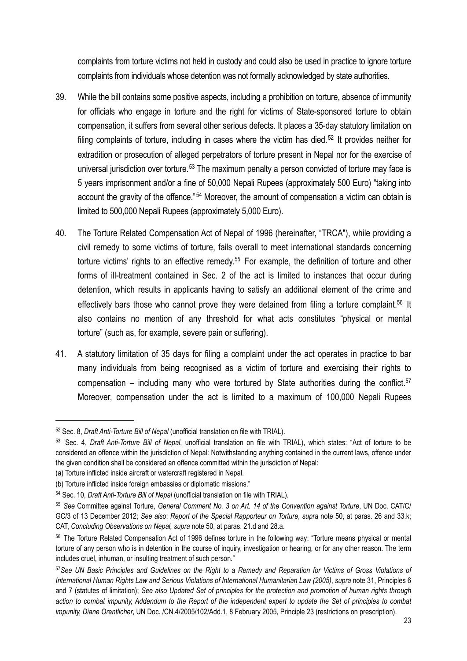complaints from torture victims not held in custody and could also be used in practice to ignore torture complaints from individuals whose detention was not formally acknowledged by state authorities.

- 39. While the bill contains some positive aspects, including a prohibition on torture, absence of immunity for officials who engage in torture and the right for victims of State-sponsored torture to obtain compensation, it suffers from several other serious defects. It places a 35-day statutory limitation on filing complaints of torture, including in cases where the victim has died.<sup>[52](#page-22-0)</sup> It provides neither for extradition or prosecution of alleged perpetrators of torture present in Nepal nor for the exercise of universal jurisdiction over torture.<sup>[53](#page-22-1)</sup> The maximum penalty a person convicted of torture may face is 5 years imprisonment and/or a fine of 50,000 Nepali Rupees (approximately 500 Euro) "taking into account the gravity of the offence."<sup>[54](#page-22-2)</sup> Moreover, the amount of compensation a victim can obtain is limited to 500,000 Nepali Rupees (approximately 5,000 Euro).
- 40. The Torture Related Compensation Act of Nepal of 1996 (hereinafter, "TRCA"), while providing a civil remedy to some victims of torture, fails overall to meet international standards concerning torture victims' rights to an effective remedy.<sup>[55](#page-22-3)</sup> For example, the definition of torture and other forms of ill-treatment contained in Sec. 2 of the act is limited to instances that occur during detention, which results in applicants having to satisfy an additional element of the crime and effectively bars those who cannot prove they were detained from filing a torture complaint.<sup>56</sup> It also contains no mention of any threshold for what acts constitutes "physical or mental torture" (such as, for example, severe pain or suffering).
- 41. A statutory limitation of 35 days for filing a complaint under the act operates in practice to bar many individuals from being recognised as a victim of torture and exercising their rights to compensation – including many who were tortured by State authorities during the conflict.<sup>[57](#page-22-5)</sup> Moreover, compensation under the act is limited to a maximum of 100,000 Nepali Rupees

<span id="page-22-0"></span><sup>52</sup> Sec. 8, *Draft Anti-Torture Bill of Nepal* (unofficial translation on file with TRIAL).

<span id="page-22-1"></span><sup>53</sup> Sec. 4, *Draft Anti-Torture Bill of Nepal*, unofficial translation on file with TRIAL), which states: "Act of torture to be considered an offence within the jurisdiction of Nepal: Notwithstanding anything contained in the current laws, offence under the given condition shall be considered an offence committed within the jurisdiction of Nepal:

<sup>(</sup>a) Torture inflicted inside aircraft or watercraft registered in Nepal.

<sup>(</sup>b) Torture inflicted inside foreign embassies or diplomatic missions."

<span id="page-22-2"></span><sup>54</sup> Sec. 10, *Draft Anti-Torture Bill of Nepal* (unofficial translation on file with TRIAL).

<span id="page-22-3"></span><sup>55</sup> *See* Committee against Torture, *General Comment No. 3 on Art. 14 of the Convention against Torture*, UN Doc. CAT/C/ GC/3 of 13 December 2012; *See also*: *Report of the Special Rapporteur on Torture*, *supra* note 50, at paras. 26 and 33.k; CAT, *Concluding Observations on Nepal, supra* note 50, at paras. 21.d and 28.a.

<span id="page-22-4"></span><sup>56</sup> The Torture Related Compensation Act of 1996 defines torture in the following way: "Torture means physical or mental torture of any person who is in detention in the course of inquiry, investigation or hearing, or for any other reason. The term includes cruel, inhuman, or insulting treatment of such person."

<span id="page-22-5"></span><sup>57</sup>*See UN Basic Principles and Guidelines on the Right to a Remedy and Reparation for Victims of Gross Violations of International Human Rights Law and Serious Violations of International Humanitarian Law (2005)*, *supra* note 31, Principles 6 and 7 (statutes of limitation); *See also Updated Set of principles for the protection and promotion of human rights through action to combat impunity, Addendum to the Report of the independent expert to update the Set of principles to combat impunity, Diane Orentlicher*, UN Doc. /CN.4/2005/102/Add.1, 8 February 2005, Principle 23 (restrictions on prescription).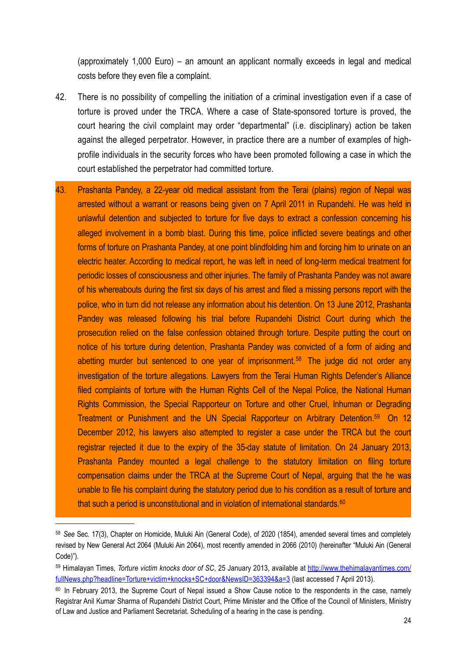(approximately 1,000 Euro) – an amount an applicant normally exceeds in legal and medical costs before they even file a complaint.

- 42. There is no possibility of compelling the initiation of a criminal investigation even if a case of torture is proved under the TRCA. Where a case of State-sponsored torture is proved, the court hearing the civil complaint may order "departmental" (i.e. disciplinary) action be taken against the alleged perpetrator. However, in practice there are a number of examples of highprofile individuals in the security forces who have been promoted following a case in which the court established the perpetrator had committed torture.
- 43. Prashanta Pandey, a 22-year old medical assistant from the Terai (plains) region of Nepal was arrested without a warrant or reasons being given on 7 April 2011 in Rupandehi. He was held in unlawful detention and subjected to torture for five days to extract a confession concerning his alleged involvement in a bomb blast. During this time, police inflicted severe beatings and other forms of torture on Prashanta Pandey, at one point blindfolding him and forcing him to urinate on an electric heater. According to medical report, he was left in need of long-term medical treatment for periodic losses of consciousness and other injuries. The family of Prashanta Pandey was not aware of his whereabouts during the first six days of his arrest and filed a missing persons report with the police, who in turn did not release any information about his detention. On 13 June 2012, Prashanta Pandey was released following his trial before Rupandehi District Court during which the prosecution relied on the false confession obtained through torture. Despite putting the court on notice of his torture during detention, Prashanta Pandey was convicted of a form of aiding and abetting murder but sentenced to one year of imprisonment.<sup>[58](#page-23-0)</sup> The judge did not order any investigation of the torture allegations. Lawyers from the Terai Human Rights Defender's Alliance filed complaints of torture with the Human Rights Cell of the Nepal Police, the National Human Rights Commission, the Special Rapporteur on Torture and other Cruel, Inhuman or Degrading Treatment or Punishment and the UN Special Rapporteur on Arbitrary Detention[.59](#page-23-1) On 12 December 2012, his lawyers also attempted to register a case under the TRCA but the court registrar rejected it due to the expiry of the 35-day statute of limitation. On 24 January 2013, Prashanta Pandey mounted a legal challenge to the statutory limitation on filing torture compensation claims under the TRCA at the Supreme Court of Nepal, arguing that the he was unable to file his complaint during the statutory period due to his condition as a result of torture and that such a period is unconstitutional and in violation of international standards.<sup>[60](#page-23-2)</sup>

<span id="page-23-0"></span><sup>58</sup> *See* Sec. 17(3), Chapter on Homicide, Muluki Ain (General Code), of 2020 (1854), amended several times and completely revised by New General Act 2064 (Muluki Ain 2064), most recently amended in 2066 (2010) (hereinafter "Muluki Ain (General Code)").

<span id="page-23-1"></span><sup>59</sup> Himalayan Times, *Torture victim knocks door of SC*, 25 January 2013, available at [http://www.thehimalayantimes.com/](http://www.thehimalayantimes.com/fullNews.php?headline=Torture+victim+knocks+SC+door&NewsID=363394&a=3) [fullNews.php?headline=Torture+victim+knocks+SC+door&NewsID=363394&a=3](http://www.thehimalayantimes.com/fullNews.php?headline=Torture+victim+knocks+SC+door&NewsID=363394&a=3) (last accessed 7 April 2013).

<span id="page-23-2"></span><sup>&</sup>lt;sup>60</sup> In February 2013, the Supreme Court of Nepal issued a Show Cause notice to the respondents in the case, namely Registrar Anil Kumar Sharma of Rupandehi District Court, Prime Minister and the Office of the Council of Ministers, Ministry of Law and Justice and Parliament Secretariat. Scheduling of a hearing in the case is pending.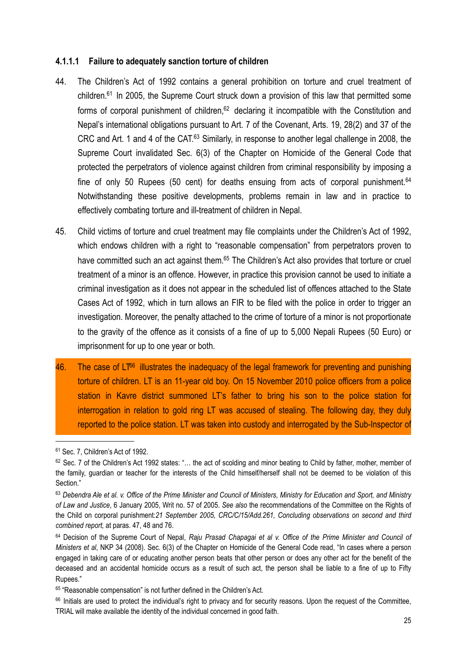#### **4.1.1.1 Failure to adequately sanction torture of children**

- 44. The Children's Act of 1992 contains a general prohibition on torture and cruel treatment of children.<sup>61</sup> In 2005, the Supreme Court struck down a provision of this law that permitted some forms of corporal punishment of children,<sup>62</sup> declaring it incompatible with the Constitution and Nepal's international obligations pursuant to Art. 7 of the Covenant, Arts. 19, 28(2) and 37 of the CRC and Art. 1 and 4 of the CAT.<sup>[63](#page-24-2)</sup> Similarly, in response to another legal challenge in 2008, the Supreme Court invalidated Sec. 6(3) of the Chapter on Homicide of the General Code that protected the perpetrators of violence against children from criminal responsibility by imposing a fine of only 50 Rupees (50 cent) for deaths ensuing from acts of corporal punishment.<sup>64</sup> Notwithstanding these positive developments, problems remain in law and in practice to effectively combating torture and ill-treatment of children in Nepal.
- 45. Child victims of torture and cruel treatment may file complaints under the Children's Act of 1992, which endows children with a right to "reasonable compensation" from perpetrators proven to have committed such an act against them.<sup>65</sup> The Children's Act also provides that torture or cruel treatment of a minor is an offence. However, in practice this provision cannot be used to initiate a criminal investigation as it does not appear in the scheduled list of offences attached to the State Cases Act of 1992, which in turn allows an FIR to be filed with the police in order to trigger an investigation. Moreover, the penalty attached to the crime of torture of a minor is not proportionate to the gravity of the offence as it consists of a fine of up to 5,000 Nepali Rupees (50 Euro) or imprisonment for up to one year or both.
- $46.$  The case of LT<sup>66</sup> illustrates the inadequacy of the legal framework for preventing and punishing torture of children. LT is an 11-year old boy. On 15 November 2010 police officers from a police station in Kavre district summoned LT's father to bring his son to the police station for interrogation in relation to gold ring LT was accused of stealing. The following day, they duly reported to the police station. LT was taken into custody and interrogated by the Sub-Inspector of

<span id="page-24-0"></span><sup>61</sup> Sec. 7, Children's Act of 1992.

<span id="page-24-1"></span><sup>62</sup> Sec. 7 of the Children's Act 1992 states: "… the act of scolding and minor beating to Child by father, mother, member of the family, guardian or teacher for the interests of the Child himself/herself shall not be deemed to be violation of this Section."

<span id="page-24-2"></span><sup>63</sup> *Debendra Ale et al. v. Office of the Prime Minister and Council of Ministers, Ministry for Education and Sport, and Ministry of Law and Justice*, 6 January 2005, Writ no. 57 of 2005. *See also* the recommendations of the Committee on the Rights of the Child on corporal punishment:*21 September 2005, CRC/C/15/Add.261, Concluding observations on second and third combined report,* at paras. 47, 48 and 76.

<span id="page-24-3"></span><sup>64</sup> Decision of the Supreme Court of Nepal, *Raju Prasad Chapagai et al v. Office of the Prime Minister and Council of Ministers et al*, NKP 34 (2008). Sec. 6(3) of the Chapter on Homicide of the General Code read, "In cases where a person engaged in taking care of or educating another person beats that other person or does any other act for the benefit of the deceased and an accidental homicide occurs as a result of such act, the person shall be liable to a fine of up to Fifty Rupees."

<span id="page-24-4"></span><sup>65 &</sup>quot;Reasonable compensation" is not further defined in the Children's Act.

<span id="page-24-5"></span><sup>&</sup>lt;sup>66</sup> Initials are used to protect the individual's right to privacy and for security reasons. Upon the request of the Committee, TRIAL will make available the identity of the individual concerned in good faith.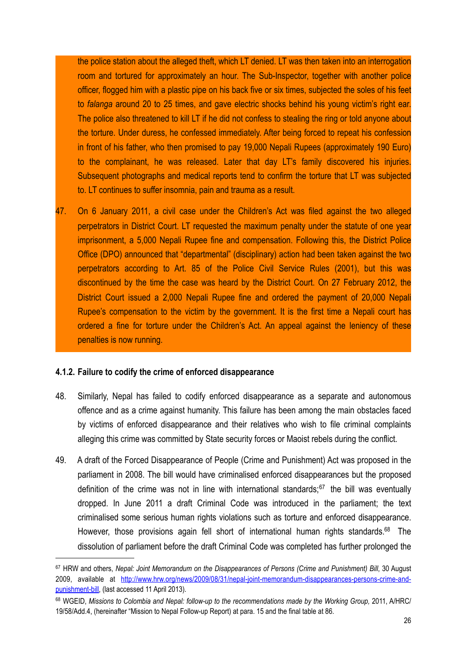the police station about the alleged theft, which LT denied. LT was then taken into an interrogation room and tortured for approximately an hour. The Sub-Inspector, together with another police officer, flogged him with a plastic pipe on his back five or six times, subjected the soles of his feet to *falanga* around 20 to 25 times, and gave electric shocks behind his young victim's right ear. The police also threatened to kill LT if he did not confess to stealing the ring or told anyone about the torture. Under duress, he confessed immediately. After being forced to repeat his confession in front of his father, who then promised to pay 19,000 Nepali Rupees (approximately 190 Euro) to the complainant, he was released. Later that day LT's family discovered his injuries. Subsequent photographs and medical reports tend to confirm the torture that LT was subjected to. LT continues to suffer insomnia, pain and trauma as a result.

47. On 6 January 2011, a civil case under the Children's Act was filed against the two alleged perpetrators in District Court. LT requested the maximum penalty under the statute of one year imprisonment, a 5,000 Nepali Rupee fine and compensation. Following this, the District Police Office (DPO) announced that "departmental" (disciplinary) action had been taken against the two perpetrators according to Art. 85 of the Police Civil Service Rules (2001), but this was discontinued by the time the case was heard by the District Court. On 27 February 2012, the District Court issued a 2,000 Nepali Rupee fine and ordered the payment of 20,000 Nepali Rupee's compensation to the victim by the government. It is the first time a Nepali court has ordered a fine for torture under the Children's Act. An appeal against the leniency of these penalties is now running.

#### <span id="page-25-0"></span>**4.1.2. Failure to codify the crime of enforced disappearance**

- 48. Similarly, Nepal has failed to codify enforced disappearance as a separate and autonomous offence and as a crime against humanity. This failure has been among the main obstacles faced by victims of enforced disappearance and their relatives who wish to file criminal complaints alleging this crime was committed by State security forces or Maoist rebels during the conflict.
- 49. A draft of the Forced Disappearance of People (Crime and Punishment) Act was proposed in the parliament in 2008. The bill would have criminalised enforced disappearances but the proposed definition of the crime was not in line with international standards: $67$  the bill was eventually dropped. In June 2011 a draft Criminal Code was introduced in the parliament; the text criminalised some serious human rights violations such as torture and enforced disappearance. However, those provisions again fell short of international human rights standards.<sup>68</sup> The dissolution of parliament before the draft Criminal Code was completed has further prolonged the

<span id="page-25-1"></span><sup>67</sup> HRW and others, *Nepal: Joint Memorandum on the Disappearances of Persons (Crime and Punishment) Bill*, 30 August 2009, available at [http://www.hrw.org/news/2009/08/31/nepal-joint-memorandum-disappearances-persons-crime-and](http://www.hrw.org/news/2009/08/31/nepal-joint-memorandum-disappearances-persons-crime-and-punishment-bill)[punishment-bill](http://www.hrw.org/news/2009/08/31/nepal-joint-memorandum-disappearances-persons-crime-and-punishment-bill), (last accessed 11 April 2013).

<span id="page-25-2"></span><sup>68</sup> WGEID, Missions to Colombia and Nepal: follow-up to the recommendations made by the Working Group, 2011, [A/HRC/](http://daccess-ods.un.org/access.nsf/Get?Open&DS=A/HRC/19/58/Add.4&Lang=E) [19/58/Add.4](http://daccess-ods.un.org/access.nsf/Get?Open&DS=A/HRC/19/58/Add.4&Lang=E), (hereinafter "Mission to Nepal Follow-up Report) at para. 15 and the final table at 86.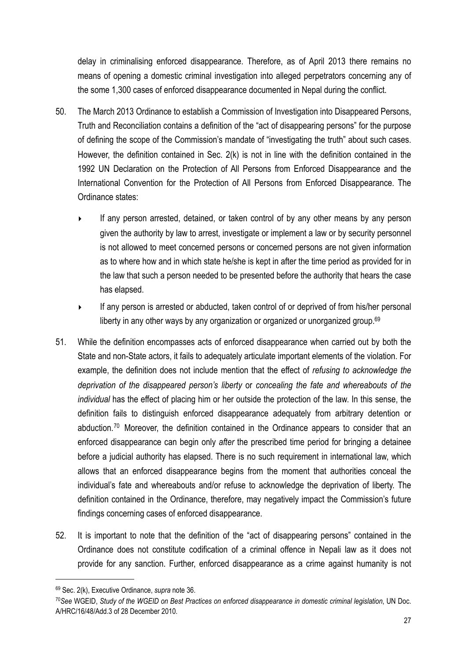delay in criminalising enforced disappearance. Therefore, as of April 2013 there remains no means of opening a domestic criminal investigation into alleged perpetrators concerning any of the some 1,300 cases of enforced disappearance documented in Nepal during the conflict.

- 50. The March 2013 Ordinance to establish a Commission of Investigation into Disappeared Persons, Truth and Reconciliation contains a definition of the "act of disappearing persons" for the purpose of defining the scope of the Commission's mandate of "investigating the truth" about such cases. However, the definition contained in Sec. 2(k) is not in line with the definition contained in the 1992 UN Declaration on the Protection of All Persons from Enforced Disappearance and the International Convention for the Protection of All Persons from Enforced Disappearance. The Ordinance states:
	- If any person arrested, detained, or taken control of by any other means by any person given the authority by law to arrest, investigate or implement a law or by security personnel is not allowed to meet concerned persons or concerned persons are not given information as to where how and in which state he/she is kept in after the time period as provided for in the law that such a person needed to be presented before the authority that hears the case has elapsed.
	- ‣ If any person is arrested or abducted, taken control of or deprived of from his/her personal liberty in any other ways by any organization or organized or unorganized group.<sup>[69](#page-26-0)</sup>
- 51. While the definition encompasses acts of enforced disappearance when carried out by both the State and non-State actors, it fails to adequately articulate important elements of the violation. For example, the definition does not include mention that the effect of *refusing to acknowledge the deprivation of the disappeared person's liberty* or *concealing the fate and whereabouts of the individual* has the effect of placing him or her outside the protection of the law. In this sense, the definition fails to distinguish enforced disappearance adequately from arbitrary detention or abduction.<sup>[70](#page-26-1)</sup> Moreover, the definition contained in the Ordinance appears to consider that an enforced disappearance can begin only *after* the prescribed time period for bringing a detainee before a judicial authority has elapsed. There is no such requirement in international law, which allows that an enforced disappearance begins from the moment that authorities conceal the individual's fate and whereabouts and/or refuse to acknowledge the deprivation of liberty. The definition contained in the Ordinance, therefore, may negatively impact the Commission's future findings concerning cases of enforced disappearance.
- 52. It is important to note that the definition of the "act of disappearing persons" contained in the Ordinance does not constitute codification of a criminal offence in Nepali law as it does not provide for any sanction. Further, enforced disappearance as a crime against humanity is not

<span id="page-26-0"></span><sup>69</sup> Sec. 2(k), Executive Ordinance, *supra* note 36.

<span id="page-26-1"></span><sup>70</sup>*See* WGEID, *Study of the WGEID on Best Practices on enforced disappearance in domestic criminal legislation*, UN Doc. A/HRC/16/48/Add.3 of 28 December 2010.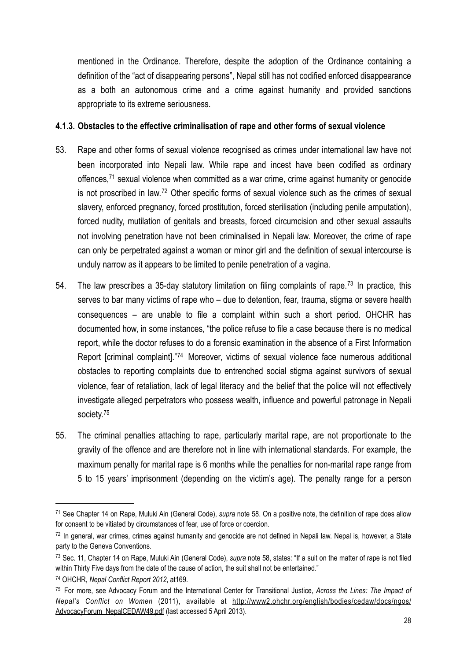mentioned in the Ordinance. Therefore, despite the adoption of the Ordinance containing a definition of the "act of disappearing persons", Nepal still has not codified enforced disappearance as a both an autonomous crime and a crime against humanity and provided sanctions appropriate to its extreme seriousness.

#### <span id="page-27-0"></span>**4.1.3. Obstacles to the effective criminalisation of rape and other forms of sexual violence**

- 53. Rape and other forms of sexual violence recognised as crimes under international law have not been incorporated into Nepali law. While rape and incest have been codified as ordinary offences,<sup>[71](#page-27-1)</sup> sexual violence when committed as a war crime, crime against humanity or genocide is not proscribed in law.[72](#page-27-2) Other specific forms of sexual violence such as the crimes of sexual slavery, enforced pregnancy, forced prostitution, forced sterilisation (including penile amputation), forced nudity, mutilation of genitals and breasts, forced circumcision and other sexual assaults not involving penetration have not been criminalised in Nepali law. Moreover, the crime of rape can only be perpetrated against a woman or minor girl and the definition of sexual intercourse is unduly narrow as it appears to be limited to penile penetration of a vagina.
- 54. The law prescribes a 35-day statutory limitation on filing complaints of rape.<sup>[73](#page-27-3)</sup> In practice, this serves to bar many victims of rape who – due to detention, fear, trauma, stigma or severe health consequences – are unable to file a complaint within such a short period. OHCHR has documented how, in some instances, "the police refuse to file a case because there is no medical report, while the doctor refuses to do a forensic examination in the absence of a First Information Report [criminal complaint]."[74](#page-27-4) Moreover, victims of sexual violence face numerous additional obstacles to reporting complaints due to entrenched social stigma against survivors of sexual violence, fear of retaliation, lack of legal literacy and the belief that the police will not effectively investigate alleged perpetrators who possess wealth, influence and powerful patronage in Nepali society.<sup>[75](#page-27-5)</sup>
- 55. The criminal penalties attaching to rape, particularly marital rape, are not proportionate to the gravity of the offence and are therefore not in line with international standards. For example, the maximum penalty for marital rape is 6 months while the penalties for non-marital rape range from 5 to 15 years' imprisonment (depending on the victim's age). The penalty range for a person

<span id="page-27-1"></span><sup>71</sup> See Chapter 14 on Rape, Muluki Ain (General Code), *supra* note 58. On a positive note, the definition of rape does allow for consent to be vitiated by circumstances of fear, use of force or coercion.

<span id="page-27-2"></span><sup>72</sup> In general, war crimes, crimes against humanity and genocide are not defined in Nepali law. Nepal is, however, a State party to the Geneva Conventions.

<span id="page-27-3"></span><sup>73</sup> Sec. 11, Chapter 14 on Rape, Muluki Ain (General Code), *supra* note 58, states: "If a suit on the matter of rape is not filed within Thirty Five days from the date of the cause of action, the suit shall not be entertained."

<span id="page-27-4"></span><sup>74</sup> OHCHR, *Nepal Conflict Report 2012*, at169.

<span id="page-27-5"></span><sup>75</sup> For more, see Advocacy Forum and the International Center for Transitional Justice, *Across the Lines: The Impact of Nepal's Conflict on Women* (2011), available at [http://www2.ohchr.org/english/bodies/cedaw/docs/ngos/](http://www2.ohchr.org/english/bodies/cedaw/docs/ngos/AdvocacyForum_NepalCEDAW49.pdf) [AdvocacyForum\\_NepalCEDAW49.pdf](http://www2.ohchr.org/english/bodies/cedaw/docs/ngos/AdvocacyForum_NepalCEDAW49.pdf) (last accessed 5 April 2013).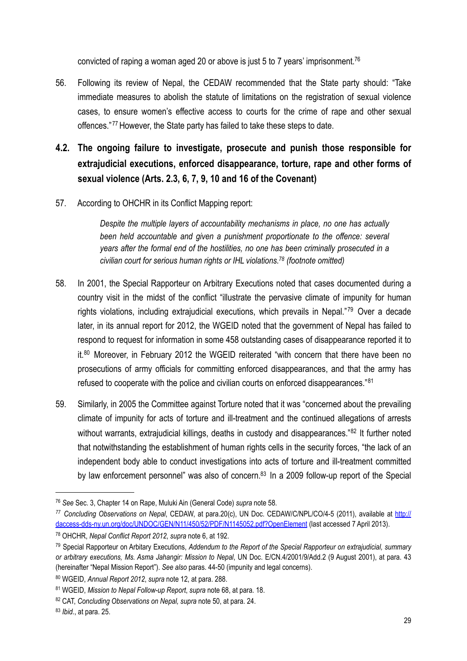convicted of raping a woman aged 20 or above is just 5 to 7 years' imprisonment[.76](#page-28-1)

- 56. Following its review of Nepal, the CEDAW recommended that the State party should: "Take immediate measures to abolish the statute of limitations on the registration of sexual violence cases, to ensure women's effective access to courts for the crime of rape and other sexual offences." [77](#page-28-2) However, the State party has failed to take these steps to date.
- <span id="page-28-0"></span>**4.2. The ongoing failure to investigate, prosecute and punish those responsible for extrajudicial executions, enforced disappearance, torture, rape and other forms of sexual violence (Arts. 2.3, 6, 7, 9, 10 and 16 of the Covenant)**
- 57. According to OHCHR in its Conflict Mapping report:

*Despite the multiple layers of accountability mechanisms in place, no one has actually been held accountable and given a punishment proportionate to the offence: several years after the formal end of the hostilities, no one has been criminally prosecuted in a civilian court for serious human rights or IHL violations.[78](#page-28-3) (footnote omitted)*

- 58. In 2001, the Special Rapporteur on Arbitrary Executions noted that cases documented during a country visit in the midst of the conflict "illustrate the pervasive climate of impunity for human rights violations, including extrajudicial executions, which prevails in Nepal."[79](#page-28-4) Over a decade later, in its annual report for 2012, the WGEID noted that the government of Nepal has failed to respond to request for information in some 458 outstanding cases of disappearance reported it to it.<sup>[80](#page-28-5)</sup> Moreover, in February 2012 the WGEID reiterated "with concern that there have been no prosecutions of army officials for committing enforced disappearances, and that the army has refused to cooperate with the police and civilian courts on enforced disappearances."[81](#page-28-6)
- 59. Similarly, in 2005 the Committee against Torture noted that it was "concerned about the prevailing climate of impunity for acts of torture and ill-treatment and the continued allegations of arrests without warrants, extrajudicial killings, deaths in custody and disappearances."<sup>[82](#page-28-7)</sup> It further noted that notwithstanding the establishment of human rights cells in the security forces, "the lack of an independent body able to conduct investigations into acts of torture and ill-treatment committed by law enforcement personnel" was also of concern.<sup>83</sup> In a 2009 follow-up report of the Special

<span id="page-28-1"></span><sup>76</sup> *See* Sec. 3, Chapter 14 on Rape, Muluki Ain (General Code) *supra* note 58.

<span id="page-28-2"></span>*<sup>77</sup> Concluding Observations on Nepal*, CEDAW, at para.20(c), UN Doc. CEDAW/C/NPL/CO/4-5 (2011), available at [http://](http://daccess-dds-ny.un.org/doc/UNDOC/GEN/N11/450/52/PDF/N1145052.pdf?OpenElement) [daccess-dds-ny.un.org/doc/UNDOC/GEN/N11/450/52/PDF/N1145052.pdf?OpenElement](http://daccess-dds-ny.un.org/doc/UNDOC/GEN/N11/450/52/PDF/N1145052.pdf?OpenElement) (last accessed 7 April 2013).

<span id="page-28-3"></span><sup>78</sup> OHCHR, *Nepal Conflict Report 2012*, *supra* note 6, at 192.

<span id="page-28-4"></span><sup>79</sup> Special Rapporteur on Arbitary Executions, *Addendum to the Report of the Special Rapporteur on extrajudicial, summary or arbitrary executions, Ms. Asma Jahangir: Mission to Nepal*, UN Doc. E/CN.4/2001/9/Add.2 (9 August 2001), at para. 43 (hereinafter "Nepal Mission Report"). *See also* paras. 44-50 (impunity and legal concerns).

<span id="page-28-5"></span><sup>80</sup> WGEID, *Annual Report 2012*, *supra* note 12, at para. 288.

<span id="page-28-6"></span><sup>81</sup> WGEID, *Mission to Nepal Follow-up Report*, *supra* note 68, at para. 18.

<span id="page-28-7"></span><sup>82</sup> CAT, *Concluding Observations on Nepal, supra* note 50, at para. 24.

<span id="page-28-8"></span><sup>83</sup> *Ibid*., at para. 25.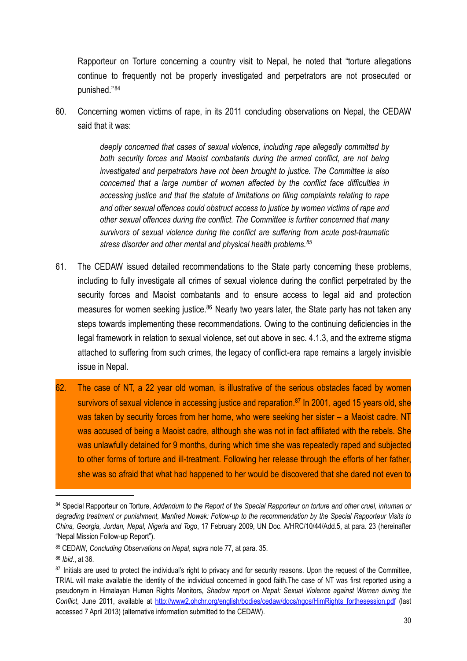Rapporteur on Torture concerning a country visit to Nepal, he noted that "torture allegations continue to frequently not be properly investigated and perpetrators are not prosecuted or punished." [84](#page-29-0)

60. Concerning women victims of rape, in its 2011 concluding observations on Nepal, the CEDAW said that it was:

> *deeply concerned that cases of sexual violence, including rape allegedly committed by both security forces and Maoist combatants during the armed conflict, are not being investigated and perpetrators have not been brought to justice. The Committee is also concerned that a large number of women affected by the conflict face difficulties in accessing justice and that the statute of limitations on filing complaints relating to rape and other sexual offences could obstruct access to justice by women victims of rape and other sexual offences during the conflict. The Committee is further concerned that many survivors of sexual violence during the conflict are suffering from acute post-traumatic stress disorder and other mental and physical health problems.[85](#page-29-1)*

- 61. The CEDAW issued detailed recommendations to the State party concerning these problems, including to fully investigate all crimes of sexual violence during the conflict perpetrated by the security forces and Maoist combatants and to ensure access to legal aid and protection measures for women seeking justice.<sup>86</sup> Nearly two years later, the State party has not taken any steps towards implementing these recommendations. Owing to the continuing deficiencies in the legal framework in relation to sexual violence, set out above in sec. 4.1.3, and the extreme stigma attached to suffering from such crimes, the legacy of conflict-era rape remains a largely invisible issue in Nepal.
- 62. The case of NT, a 22 year old woman, is illustrative of the serious obstacles faced by women survivors of sexual violence in accessing justice and reparation.<sup>87</sup> In 2001, aged 15 years old, she was taken by security forces from her home, who were seeking her sister – a Maoist cadre. NT was accused of being a Maoist cadre, although she was not in fact affiliated with the rebels. She was unlawfully detained for 9 months, during which time she was repeatedly raped and subjected to other forms of torture and ill-treatment. Following her release through the efforts of her father, she was so afraid that what had happened to her would be discovered that she dared not even to

<span id="page-29-0"></span><sup>84</sup> Special Rapporteur on Torture, *Addendum to the Report of the Special Rapporteur on torture and other cruel, inhuman or degrading treatment or punishment, Manfred Nowak: Follow-up to the recommendation by the Special Rapporteur Visits to China, Georgia, Jordan, Nepal, Nigeria and Togo*, 17 February 2009, UN Doc. A/HRC/10/44/Add.5, at para. 23 (hereinafter "Nepal Mission Follow-up Report").

<span id="page-29-1"></span><sup>85</sup> CEDAW*, Concluding Observations on Nepal*, *supra* note 77, at para. 35.

<span id="page-29-2"></span><sup>86</sup> *Ibid*., at 36.

<span id="page-29-3"></span><sup>&</sup>lt;sup>87</sup> Initials are used to protect the individual's right to privacy and for security reasons. Upon the request of the Committee, TRIAL will make available the identity of the individual concerned in good faith.The case of NT was first reported using a pseudonym in Himalayan Human Rights Monitors, *Shadow report on Nepal: Sexual Violence against Women during the*  Conflict, June 2011, available at [http://www2.ohchr.org/english/bodies/cedaw/docs/ngos/HimRights\\_forthesession.pdf](http://www2.ohchr.org/english/bodies/cedaw/docs/ngos/HimRights_forthesession.pdf) (last accessed 7 April 2013) (alternative information submitted to the CEDAW).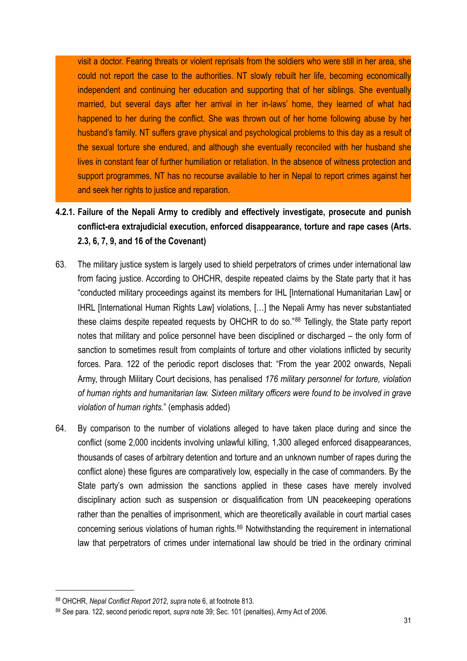visit a doctor. Fearing threats or violent reprisals from the soldiers who were still in her area, she could not report the case to the authorities. NT slowly rebuilt her life, becoming economically independent and continuing her education and supporting that of her siblings. She eventually married, but several days after her arrival in her in-laws' home, they learned of what had happened to her during the conflict. She was thrown out of her home following abuse by her husband's family. NT suffers grave physical and psychological problems to this day as a result of the sexual torture she endured, and although she eventually reconciled with her husband she lives in constant fear of further humiliation or retaliation. In the absence of witness protection and support programmes, NT has no recourse available to her in Nepal to report crimes against her and seek her rights to justice and reparation.

## <span id="page-30-0"></span>**4.2.1. Failure of the Nepali Army to credibly and effectively investigate, prosecute and punish conflict-era extrajudicial execution, enforced disappearance, torture and rape cases (Arts. 2.3, 6, 7, 9, and 16 of the Covenant)**

- 63. The military justice system is largely used to shield perpetrators of crimes under international law from facing justice. According to OHCHR, despite repeated claims by the State party that it has "conducted military proceedings against its members for IHL [International Humanitarian Law] or IHRL [International Human Rights Law] violations, […] the Nepali Army has never substantiated these claims despite repeated requests by OHCHR to do so."[88](#page-30-1) Tellingly, the State party report notes that military and police personnel have been disciplined or discharged – the only form of sanction to sometimes result from complaints of torture and other violations inflicted by security forces. Para. 122 of the periodic report discloses that: "From the year 2002 onwards, Nepali Army, through Military Court decisions, has penalised *176 military personnel for torture, violation of human rights and humanitarian law. Sixteen military officers were found to be involved in grave violation of human rights.*" (emphasis added)
- 64. By comparison to the number of violations alleged to have taken place during and since the conflict (some 2,000 incidents involving unlawful killing, 1,300 alleged enforced disappearances, thousands of cases of arbitrary detention and torture and an unknown number of rapes during the conflict alone) these figures are comparatively low, especially in the case of commanders. By the State party's own admission the sanctions applied in these cases have merely involved disciplinary action such as suspension or disqualification from UN peacekeeping operations rather than the penalties of imprisonment, which are theoretically available in court martial cases concerning serious violations of human rights[.89](#page-30-2) Notwithstanding the requirement in international law that perpetrators of crimes under international law should be tried in the ordinary criminal

<span id="page-30-1"></span><sup>88</sup> OHCHR, *Nepal Conflict Report 2012*, *supra* note 6, at footnote 813.

<span id="page-30-2"></span><sup>89</sup> *See* para. 122, second periodic report, *supra* note 39; Sec. 101 (penalties), Army Act of 2006.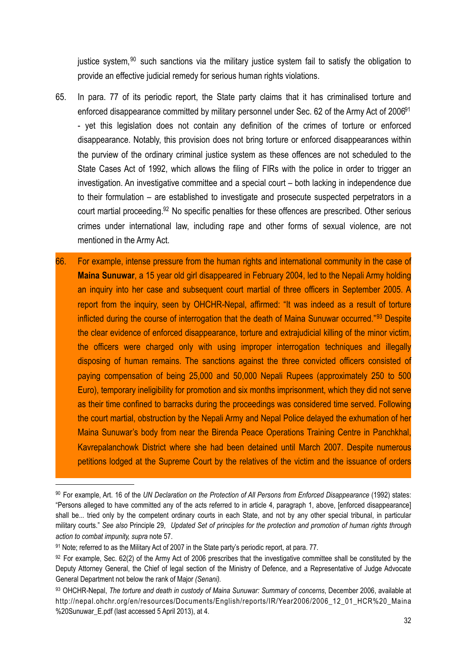justice system,  $90$  such sanctions via the military justice system fail to satisfy the obligation to provide an effective judicial remedy for serious human rights violations.

- 65. In para. 77 of its periodic report, the State party claims that it has criminalised torture and enforced disappearance committed by military personnel under Sec. 62 of the Army Act of 2006<sup>91</sup> - yet this legislation does not contain any definition of the crimes of torture or enforced disappearance. Notably, this provision does not bring torture or enforced disappearances within the purview of the ordinary criminal justice system as these offences are not scheduled to the State Cases Act of 1992, which allows the filing of FIRs with the police in order to trigger an investigation. An investigative committee and a special court – both lacking in independence due to their formulation – are established to investigate and prosecute suspected perpetrators in a court martial proceeding[.92](#page-31-2) No specific penalties for these offences are prescribed. Other serious crimes under international law, including rape and other forms of sexual violence, are not mentioned in the Army Act.
- 66. For example, intense pressure from the human rights and international community in the case of **Maina Sunuwar**, a 15 year old girl disappeared in February 2004, led to the Nepali Army holding an inquiry into her case and subsequent court martial of three officers in September 2005. A report from the inquiry, seen by OHCHR-Nepal, affirmed: "It was indeed as a result of torture inflicted during the course of interrogation that the death of Maina Sunuwar occurred."[93](#page-31-3) Despite the clear evidence of enforced disappearance, torture and extrajudicial killing of the minor victim, the officers were charged only with using improper interrogation techniques and illegally disposing of human remains. The sanctions against the three convicted officers consisted of paying compensation of being 25,000 and 50,000 Nepali Rupees (approximately 250 to 500 Euro), temporary ineligibility for promotion and six months imprisonment, which they did not serve as their time confined to barracks during the proceedings was considered time served. Following the court martial, obstruction by the Nepali Army and Nepal Police delayed the exhumation of her Maina Sunuwar's body from near the Birenda Peace Operations Training Centre in Panchkhal, Kavrepalanchowk District where she had been detained until March 2007. Despite numerous petitions lodged at the Supreme Court by the relatives of the victim and the issuance of orders

<span id="page-31-0"></span><sup>90</sup> For example, Art. 16 of the *UN Declaration on the Protection of All Persons from Enforced Disappearance* (1992) states: "Persons alleged to have committed any of the acts referred to in article 4, paragraph 1, above, [enforced disappearance] shall be... tried only by the competent ordinary courts in each State, and not by any other special tribunal, in particular military courts." *See also* Principle 29, *Updated Set of principles for the protection and promotion of human rights through action to combat impunity, supra* note 57.

<span id="page-31-1"></span><sup>91</sup> Note; referred to as the Military Act of 2007 in the State party's periodic report, at para. 77.

<span id="page-31-2"></span> $92$  For example, Sec. 62(2) of the Army Act of 2006 prescribes that the investigative committee shall be constituted by the Deputy Attorney General, the Chief of legal section of the Ministry of Defence, and a Representative of Judge Advocate General Department not below the rank of Major *(Senani).*

<span id="page-31-3"></span><sup>93</sup> OHCHR-Nepal, *The torture and death in custody of Maina Sunuwar: Summary of concerns*, December 2006, available at [http://nepal.ohchr.org/en/resources/Documents/English/reports/IR/Year2006/2006\\_12\\_01\\_HCR%20\\_Maina](http://nepal.ohchr.org/en/resources/Documents/English/reports/IR/Year2006/2006_12_01_HCR%20_Maina%20Sunuwar_E.pdf) [%20Sunuwar\\_E.pdf](http://nepal.ohchr.org/en/resources/Documents/English/reports/IR/Year2006/2006_12_01_HCR%20_Maina%20Sunuwar_E.pdf) (last accessed 5 April 2013), at 4.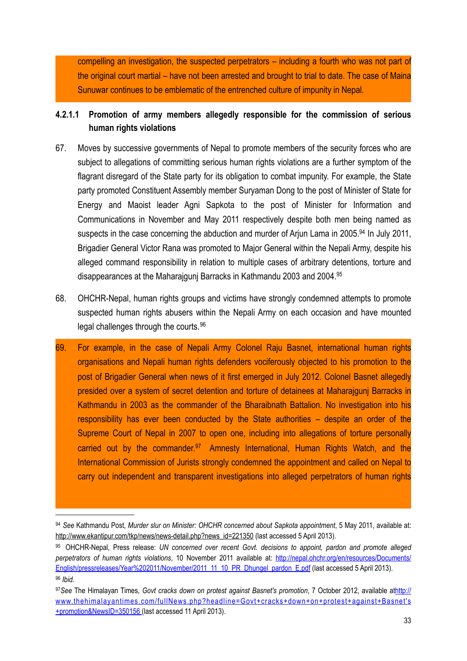compelling an investigation, the suspected perpetrators – including a fourth who was not part of the original court martial – have not been arrested and brought to trial to date. The case of Maina Sunuwar continues to be emblematic of the entrenched culture of impunity in Nepal.

## **4.2.1.1 Promotion of army members allegedly responsible for the commission of serious human rights violations**

- 67. Moves by successive governments of Nepal to promote members of the security forces who are subiect to allegations of committing serious human rights violations are a further symptom of the flagrant disregard of the State party for its obligation to combat impunity. For example, the State party promoted Constituent Assembly member Suryaman Dong to the post of Minister of State for Energy and Maoist leader Agni Sapkota to the post of Minister for Information and Communications in November and May 2011 respectively despite both men being named as suspects in the case concerning the abduction and murder of Ariun Lama in 2005.<sup>94</sup> In July 2011, Brigadier General Victor Rana was promoted to Major General within the Nepali Army, despite his alleged command responsibility in relation to multiple cases of arbitrary detentions, torture and disappearances at the Maharajgunj Barracks in Kathmandu 2003 and 2004[.95](#page-32-1)
- 68. OHCHR-Nepal, human rights groups and victims have strongly condemned attempts to promote suspected human rights abusers within the Nepali Army on each occasion and have mounted legal challenges through the courts.<sup>[96](#page-32-2)</sup>
- 69. For example, in the case of Nepali Army Colonel Raju Basnet, international human rights organisations and Nepali human rights defenders vociferously objected to his promotion to the post of Brigadier General when news of it first emerged in July 2012. Colonel Basnet allegedly presided over a system of secret detention and torture of detainees at Maharajgunj Barracks in Kathmandu in 2003 as the commander of the Bharaibnath Battalion. No investigation into his responsibility has ever been conducted by the State authorities – despite an order of the Supreme Court of Nepal in 2007 to open one, including into allegations of torture personally carried out by the commander.<sup>97</sup> Amnesty International, Human Rights Watch, and the International Commission of Jurists strongly condemned the appointment and called on Nepal to carry out independent and transparent investigations into alleged perpetrators of human rights

<span id="page-32-0"></span><sup>94</sup> *See* Kathmandu Post, *Murder slur on Minister: OHCHR concerned about Sapkota appointment*, 5 May 2011, available at: [http://www.ekantipur.com/tkp/news/news-detail.php?news\\_id=221350](http://www.ekantipur.com/tkp/news/news-detail.php?news_id=221350) (last accessed 5 April 2013).

<span id="page-32-1"></span><sup>95</sup> OHCHR-Nepal, Press release: *UN concerned over recent Govt. decisions to appoint, pardon and promote alleged perpetrators of human rights violations*, 10 November 2011 available at: [http://nepal.ohchr.org/en/resources/Documents/](http://nepal.ohchr.org/en/resources/Documents/English/pressreleases/Year%202011/November/2011_11_10_PR_Dhungel_pardon_E.pdf) [English/pressreleases/Year%202011/November/2011\\_11\\_10\\_PR\\_Dhungel\\_pardon\\_E.pdf](http://nepal.ohchr.org/en/resources/Documents/English/pressreleases/Year%202011/November/2011_11_10_PR_Dhungel_pardon_E.pdf) (last accessed 5 April 2013). <sup>96</sup> *Ibid.*

<span id="page-32-3"></span><span id="page-32-2"></span><sup>97</sup>*See* The Himalayan Times, *Govt cracks down on protest against Basnet's promotion*, 7 October 2012, available at[http://](http://www.thehimalayantimes.com/fullNews.php?headline=Govt+cracks+down+on+protest+against+Basnet) [www.thehimalayantimes.com/fullNews.php?headline=Govt+cracks+down+on+protest+against+Basnet's](http://www.thehimalayantimes.com/fullNews.php?headline=Govt+cracks+down+on+protest+against+Basnet) [+promotion&NewsID=350156](http://www.thehimalayantimes.com/fullNews.php?headline=Govt+cracks+down+on+protest+against+Basnet) (last accessed 11 April 2013).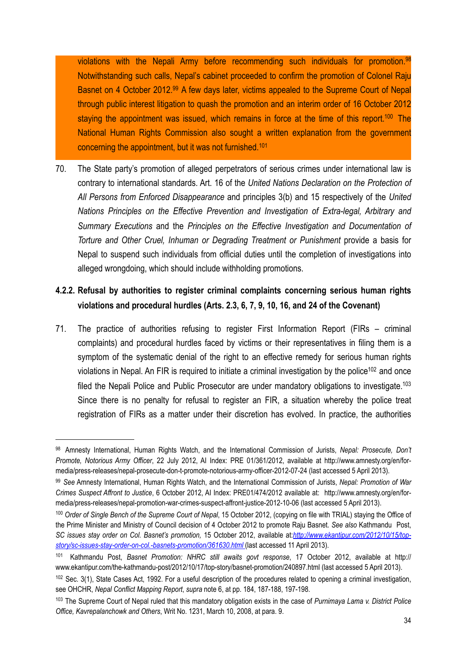violations with the Nepali Army before recommending such individuals for promotion.<sup>98</sup> Notwithstanding such calls, Nepal's cabinet proceeded to confirm the promotion of Colonel Raju Basnet on 4 October 2012.<sup>99</sup> A few days later, victims appealed to the Supreme Court of Nepal through public interest litigation to quash the promotion and an interim order of 16 October 2012 staying the appointment was issued, which remains in force at the time of this report.<sup>100</sup> The National Human Rights Commission also sought a written explanation from the government concerning the appointment, but it was not furnished[.101](#page-33-4)

70. The State party's promotion of alleged perpetrators of serious crimes under international law is contrary to international standards. Art. 16 of the *United Nations Declaration on the Protection of All Persons from Enforced Disappearance* and principles 3(b) and 15 respectively of the *United Nations Principles on the Effective Prevention and Investigation of Extra-legal, Arbitrary and Summary Executions* and the *Principles on the Effective Investigation and Documentation of Torture and Other Cruel, Inhuman or Degrading Treatment or Punishment* provide a basis for Nepal to suspend such individuals from official duties until the completion of investigations into alleged wrongdoing, which should include withholding promotions.

## <span id="page-33-0"></span>**4.2.2. Refusal by authorities to register criminal complaints concerning serious human rights violations and procedural hurdles (Arts. 2.3, 6, 7, 9, 10, 16, and 24 of the Covenant)**

71. The practice of authorities refusing to register First Information Report (FIRs – criminal complaints) and procedural hurdles faced by victims or their representatives in filing them is a symptom of the systematic denial of the right to an effective remedy for serious human rights violations in Nepal. An FIR is required to initiate a criminal investigation by the police<sup>102</sup> and once filed the Nepali Police and Public Prosecutor are under mandatory obligations to investigate.<sup>103</sup> Since there is no penalty for refusal to register an FIR, a situation whereby the police treat registration of FIRs as a matter under their discretion has evolved. In practice, the authorities

<span id="page-33-1"></span><sup>98</sup> Amnesty International, Human Rights Watch, and the International Commission of Jurists, *Nepal: Prosecute, Don't Promote, Notorious Army Officer*, 22 July 2012, AI Index: PRE 01/361/2012, available at [http://www.amnesty.org/en/for](http://www.amnesty.org/en/for-media/press-releases/nepal-prosecute-don-t-promote-notorious-army-officer-2012-07-24)[media/press-releases/nepal-prosecute-don-t-promote-notorious-army-officer-2012-07-24](http://www.amnesty.org/en/for-media/press-releases/nepal-prosecute-don-t-promote-notorious-army-officer-2012-07-24) (last accessed 5 April 2013).

<span id="page-33-2"></span><sup>99</sup> *See* Amnesty International, Human Rights Watch, and the International Commission of Jurists, *Nepal: Promotion of War Crimes Suspect Affront to Justice*, 6 October 2012, AI Index: PRE01/474/2012 available at: [http://www.amnesty.org/en/for](http://www.amnesty.org/en/for-media/press-releases/nepal-promotion-war-crimes-suspect-affront-justice-2012-10-06)[media/press-releases/nepal-promotion-war-crimes-suspect-affront-justice-2012-10-06](http://www.amnesty.org/en/for-media/press-releases/nepal-promotion-war-crimes-suspect-affront-justice-2012-10-06) (last accessed 5 April 2013).

<span id="page-33-3"></span><sup>100</sup> *Order of Single Bench of the Supreme Court of Nepal*, 15 October 2012, (copying on file with TRIAL) staying the Office of the Prime Minister and Ministry of Council decision of 4 October 2012 to promote Raju Basnet. *See also* Kathmandu Post, *SC issues stay order on Col. Basnet's promotion,* 15 October 2012, available at:*[http://www.ekantipur.com/2012/10/15/top](http://www.ekantipur.com/2012/10/15/top-story/sc-issues-stay-order-on-col.-basnets-promotion/361630.html)[story/sc-issues-stay-order-on-col.-basnets-promotion/361630.html](http://www.ekantipur.com/2012/10/15/top-story/sc-issues-stay-order-on-col.-basnets-promotion/361630.html)* (last accessed 11 April 2013).

<span id="page-33-4"></span><sup>101</sup> Kathmandu Post, *Basnet Promotion: NHRC still awaits govt response*, 17 October 2012, available at [http://](http://www.ekantipur.com/the-kathmandu-post/2012/10/17/top-story/basnet-promotion/240897.html) [www.ekantipur.com/the-kathmandu-post/2012/10/17/top-story/basnet-promotion/240897.html](http://www.ekantipur.com/the-kathmandu-post/2012/10/17/top-story/basnet-promotion/240897.html) (last accessed 5 April 2013).

<span id="page-33-5"></span> $102$  Sec. 3(1), State Cases Act, 1992. For a useful description of the procedures related to opening a criminal investigation, see OHCHR, *Nepal Conflict Mapping Report*, *supra* note 6, at pp. 184, 187-188, 197-198.

<span id="page-33-6"></span><sup>103</sup> The Supreme Court of Nepal ruled that this mandatory obligation exists in the case of *Purnimaya Lama v. District Police Office, Kavrepalanchowk and Others*, Writ No. 1231, March 10, 2008, at para. 9.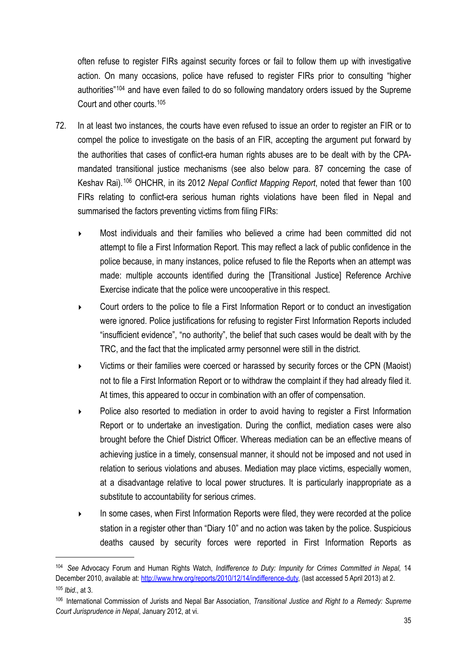often refuse to register FIRs against security forces or fail to follow them up with investigative action. On many occasions, police have refused to register FIRs prior to consulting "higher authorities"[104](#page-34-0) and have even failed to do so following mandatory orders issued by the Supreme Court and other courts.[105](#page-34-1)

- 72. In at least two instances, the courts have even refused to issue an order to register an FIR or to compel the police to investigate on the basis of an FIR, accepting the argument put forward by the authorities that cases of conflict-era human rights abuses are to be dealt with by the CPAmandated transitional justice mechanisms (see also below para. 87 concerning the case of Keshav Rai).[106](#page-34-2) OHCHR, in its 2012 *Nepal Conflict Mapping Report*, noted that fewer than 100 FIRs relating to conflict-era serious human rights violations have been filed in Nepal and summarised the factors preventing victims from filing FIRs:
	- ‣ Most individuals and their families who believed a crime had been committed did not attempt to file a First Information Report. This may reflect a lack of public confidence in the police because, in many instances, police refused to file the Reports when an attempt was made: multiple accounts identified during the [Transitional Justice] Reference Archive Exercise indicate that the police were uncooperative in this respect.
	- ‣ Court orders to the police to file a First Information Report or to conduct an investigation were ignored. Police justifications for refusing to register First Information Reports included "insufficient evidence", "no authority", the belief that such cases would be dealt with by the TRC, and the fact that the implicated army personnel were still in the district.
	- ‣ Victims or their families were coerced or harassed by security forces or the CPN (Maoist) not to file a First Information Report or to withdraw the complaint if they had already filed it. At times, this appeared to occur in combination with an offer of compensation.
	- Police also resorted to mediation in order to avoid having to register a First Information Report or to undertake an investigation. During the conflict, mediation cases were also brought before the Chief District Officer. Whereas mediation can be an effective means of achieving justice in a timely, consensual manner, it should not be imposed and not used in relation to serious violations and abuses. Mediation may place victims, especially women, at a disadvantage relative to local power structures. It is particularly inappropriate as a substitute to accountability for serious crimes.
	- ‣ In some cases, when First Information Reports were filed, they were recorded at the police station in a register other than "Diary 10" and no action was taken by the police. Suspicious deaths caused by security forces were reported in First Information Reports as

<span id="page-34-0"></span><sup>104</sup> *See* Advocacy Forum and Human Rights Watch, *Indifference to Duty: Impunity for Crimes Committed in Nepal,* 14 December 2010, available at: <http://www.hrw.org/reports/2010/12/14/indifference-duty>, (last accessed 5 April 2013) at 2. <sup>105</sup> *Ibid*., at 3.

<span id="page-34-2"></span><span id="page-34-1"></span><sup>106</sup> International Commission of Jurists and Nepal Bar Association, *Transitional Justice and Right to a Remedy: Supreme Court Jurisprudence in Nepal*, January 2012, at vi.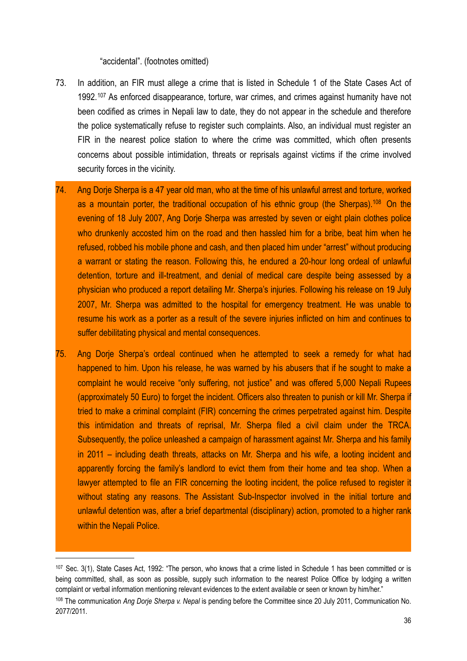#### "accidental". (footnotes omitted)

- 73. In addition, an FIR must allege a crime that is listed in Schedule 1 of the State Cases Act of 1992.<sup>[107](#page-35-0)</sup> As enforced disappearance, torture, war crimes, and crimes against humanity have not been codified as crimes in Nepali law to date, they do not appear in the schedule and therefore the police systematically refuse to register such complaints. Also, an individual must register an FIR in the nearest police station to where the crime was committed, which often presents concerns about possible intimidation, threats or reprisals against victims if the crime involved security forces in the vicinity.
- 74. Ang Dorje Sherpa is a 47 year old man, who at the time of his unlawful arrest and torture, worked as a mountain porter, the traditional occupation of his ethnic group (the Sherpas).<sup>108</sup> On the evening of 18 July 2007, Ang Dorje Sherpa was arrested by seven or eight plain clothes police who drunkenly accosted him on the road and then hassled him for a bribe, beat him when he refused, robbed his mobile phone and cash, and then placed him under "arrest" without producing a warrant or stating the reason. Following this, he endured a 20-hour long ordeal of unlawful detention, torture and ill-treatment, and denial of medical care despite being assessed by a physician who produced a report detailing Mr. Sherpa's injuries. Following his release on 19 July 2007, Mr. Sherpa was admitted to the hospital for emergency treatment. He was unable to resume his work as a porter as a result of the severe injuries inflicted on him and continues to suffer debilitating physical and mental consequences.
- 75. Ang Dorje Sherpa's ordeal continued when he attempted to seek a remedy for what had happened to him. Upon his release, he was warned by his abusers that if he sought to make a complaint he would receive "only suffering, not justice" and was offered 5,000 Nepali Rupees (approximately 50 Euro) to forget the incident. Officers also threaten to punish or kill Mr. Sherpa if tried to make a criminal complaint (FIR) concerning the crimes perpetrated against him. Despite this intimidation and threats of reprisal, Mr. Sherpa filed a civil claim under the TRCA. Subsequently, the police unleashed a campaign of harassment against Mr. Sherpa and his family in 2011 – including death threats, attacks on Mr. Sherpa and his wife, a looting incident and apparently forcing the family's landlord to evict them from their home and tea shop. When a lawyer attempted to file an FIR concerning the looting incident, the police refused to register it without stating any reasons. The Assistant Sub-Inspector involved in the initial torture and unlawful detention was, after a brief departmental (disciplinary) action, promoted to a higher rank within the Nepali Police.

<span id="page-35-0"></span><sup>107</sup> Sec. 3(1), State Cases Act, 1992: "The person, who knows that a crime listed in Schedule 1 has been committed or is being committed, shall, as soon as possible, supply such information to the nearest Police Office by lodging a written complaint or verbal information mentioning relevant evidences to the extent available or seen or known by him/her."

<span id="page-35-1"></span><sup>108</sup> The communication *Ang Dorje Sherpa v. Nepal* is pending before the Committee since 20 July 2011, Communication No. 2077/2011.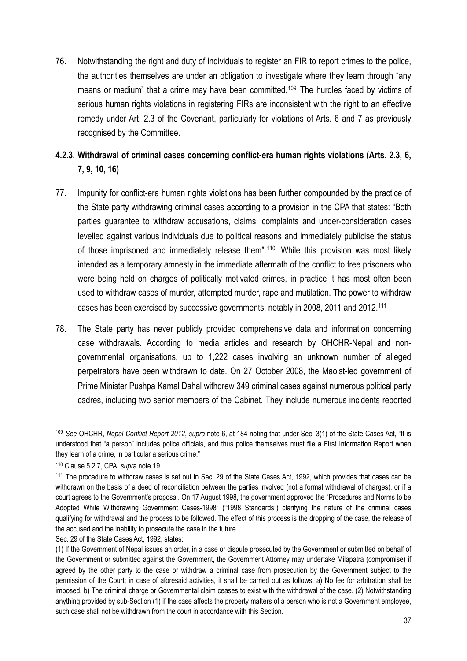76. Notwithstanding the right and duty of individuals to register an FIR to report crimes to the police, the authorities themselves are under an obligation to investigate where they learn through "any means or medium" that a crime may have been committed.<sup>[109](#page-36-1)</sup> The hurdles faced by victims of serious human rights violations in registering FIRs are inconsistent with the right to an effective remedy under Art. 2.3 of the Covenant, particularly for violations of Arts. 6 and 7 as previously recognised by the Committee.

## <span id="page-36-0"></span>**4.2.3. Withdrawal of criminal cases concerning conflict-era human rights violations (Arts. 2.3, 6, 7, 9, 10, 16)**

- 77. Impunity for conflict-era human rights violations has been further compounded by the practice of the State party withdrawing criminal cases according to a provision in the CPA that states: "Both parties guarantee to withdraw accusations, claims, complaints and under-consideration cases levelled against various individuals due to political reasons and immediately publicise the status of those imprisoned and immediately release them<sup>".[110](#page-36-2)</sup> While this provision was most likely intended as a temporary amnesty in the immediate aftermath of the conflict to free prisoners who were being held on charges of politically motivated crimes, in practice it has most often been used to withdraw cases of murder, attempted murder, rape and mutilation. The power to withdraw cases has been exercised by successive governments, notably in 2008, 2011 and 2012[.111](#page-36-3)
- 78. The State party has never publicly provided comprehensive data and information concerning case withdrawals. According to media articles and research by OHCHR-Nepal and nongovernmental organisations, up to 1,222 cases involving an unknown number of alleged perpetrators have been withdrawn to date. On 27 October 2008, the Maoist-led government of Prime Minister Pushpa Kamal Dahal withdrew 349 criminal cases against numerous political party cadres, including two senior members of the Cabinet. They include numerous incidents reported

<span id="page-36-1"></span><sup>109</sup> *See* OHCHR, *Nepal Conflict Report 2012*, *supra* note 6, at 184 noting that under Sec. 3(1) of the State Cases Act, "It is understood that "a person" includes police officials, and thus police themselves must file a First Information Report when they learn of a crime, in particular a serious crime."

<span id="page-36-2"></span><sup>110</sup> Clause 5.2.7, CPA, *supra* note 19.

<span id="page-36-3"></span><sup>111</sup> The procedure to withdraw cases is set out in Sec. 29 of the State Cases Act, 1992, which provides that cases can be withdrawn on the basis of a deed of reconciliation between the parties involved (not a formal withdrawal of charges), or if a court agrees to the Government's proposal. On 17 August 1998, the government approved the "Procedures and Norms to be Adopted While Withdrawing Government Cases-1998" ("1998 Standards") clarifying the nature of the criminal cases qualifying for withdrawal and the process to be followed. The effect of this process is the dropping of the case, the release of the accused and the inability to prosecute the case in the future.

Sec. 29 of the State Cases Act, 1992, states:

<sup>(1)</sup> If the Government of Nepal issues an order, in a case or dispute prosecuted by the Government or submitted on behalf of the Government or submitted against the Government, the Government Attorney may undertake Milapatra (compromise) if agreed by the other party to the case or withdraw a criminal case from prosecution by the Government subject to the permission of the Court; in case of aforesaid activities, it shall be carried out as follows: a) No fee for arbitration shall be imposed, b) The criminal charge or Governmental claim ceases to exist with the withdrawal of the case. (2) Notwithstanding anything provided by sub-Section (1) if the case affects the property matters of a person who is not a Government employee, such case shall not be withdrawn from the court in accordance with this Section.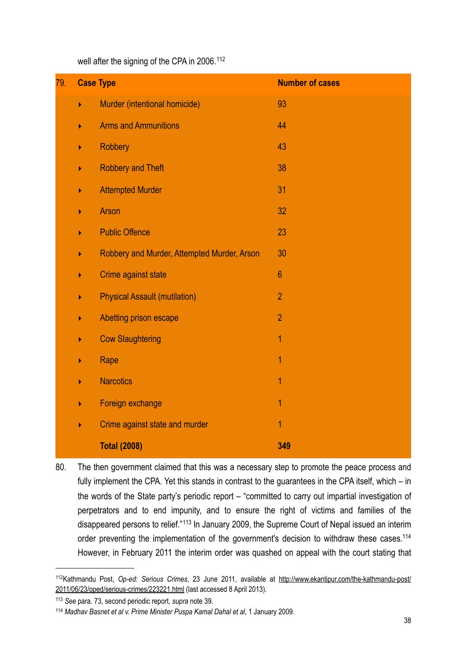well after the signing of the CPA in 2006.<sup>[112](#page-37-0)</sup>

| 79. | <b>Case Type</b> |                                             | <b>Number of cases</b> |
|-----|------------------|---------------------------------------------|------------------------|
|     | ь                | Murder (intentional homicide)               | 93                     |
|     | Þ                | <b>Arms and Ammunitions</b>                 | 44                     |
|     | Þ                | <b>Robbery</b>                              | 43                     |
|     | Þ                | <b>Robbery and Theft</b>                    | 38                     |
|     | Þ                | <b>Attempted Murder</b>                     | 31                     |
|     |                  | <b>Arson</b>                                | 32                     |
|     |                  | <b>Public Offence</b>                       | 23                     |
|     | Þ                | Robbery and Murder, Attempted Murder, Arson | 30                     |
|     | Þ                | Crime against state                         | $6\phantom{1}$         |
|     | ▶                | <b>Physical Assault (mutilation)</b>        | $\overline{2}$         |
|     | Þ                | Abetting prison escape                      | $\overline{2}$         |
|     |                  | <b>Cow Slaughtering</b>                     | 1                      |
|     | ▶                | Rape                                        | 1                      |
|     | Þ                | <b>Narcotics</b>                            | $\overline{1}$         |
|     | Þ                | Foreign exchange                            | 1                      |
|     | Þ                | Crime against state and murder              | 1                      |
|     |                  | <b>Total (2008)</b>                         | 349                    |

80. The then government claimed that this was a necessary step to promote the peace process and fully implement the CPA. Yet this stands in contrast to the guarantees in the CPA itself, which – in the words of the State party's periodic report – "committed to carry out impartial investigation of perpetrators and to end impunity, and to ensure the right of victims and families of the disappeared persons to relief."[113](#page-37-1) In January 2009, the Supreme Court of Nepal issued an interim order preventing the implementation of the government's decision to withdraw these cases.<sup>114</sup> However, in February 2011 the interim order was quashed on appeal with the court stating that

<span id="page-37-0"></span><sup>112</sup>Kathmandu Post, *Op-ed: Serious Crimes*, 23 June 2011, available at [http://www.ekantipur.com/the-kathmandu-post/](http://www.ekantipur.com/the-kathmandu-post/2011/06/23/oped/serious-crimes/223221.html) [2011/06/23/oped/serious-crimes/223221.html](http://www.ekantipur.com/the-kathmandu-post/2011/06/23/oped/serious-crimes/223221.html) (last accessed 8 April 2013).

<span id="page-37-1"></span><sup>113</sup> *See* para. 73, second periodic report, *supra* note 39.

<span id="page-37-2"></span><sup>114</sup> *Madhav Basnet et al v. Prime Minister Puspa Kamal Dahal et al*, 1 January 2009.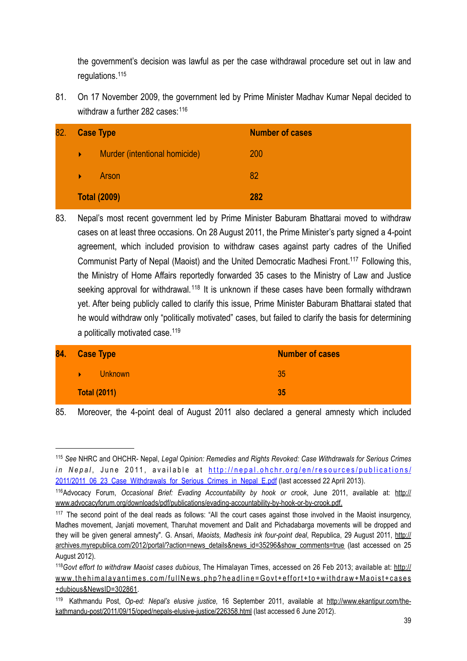the government's decision was lawful as per the case withdrawal procedure set out in law and regulations[.115](#page-38-0)

81. On 17 November 2009, the government led by Prime Minister Madhav Kumar Nepal decided to withdraw a further 282 cases:<sup>[116](#page-38-1)</sup>

| 82. | <b>Case Type</b>    |                               | <b>Number of cases</b> |
|-----|---------------------|-------------------------------|------------------------|
|     | ¥.                  | Murder (intentional homicide) | 200                    |
|     | ¥.                  | Arson                         | 82                     |
|     | <b>Total (2009)</b> |                               | 282                    |

83. Nepal's most recent government led by Prime Minister Baburam Bhattarai moved to withdraw cases on at least three occasions. On 28 August 2011, the Prime Minister's party signed a 4-point agreement, which included provision to withdraw cases against party cadres of the Unified Communist Party of Nepal (Maoist) and the United Democratic Madhesi Front[.117](#page-38-2) Following this, the Ministry of Home Affairs reportedly forwarded 35 cases to the Ministry of Law and Justice seeking approval for withdrawal.<sup>[118](#page-38-3)</sup> It is unknown if these cases have been formally withdrawn yet. After being publicly called to clarify this issue, Prime Minister Baburam Bhattarai stated that he would withdraw only "politically motivated" cases, but failed to clarify the basis for determining a politically motivated case.<sup>[119](#page-38-4)</sup>

| 84. | <b>Case Type</b>    | <b>Number of cases</b> |
|-----|---------------------|------------------------|
|     | <b>Unknown</b><br>ь | 35                     |
|     | <b>Total (2011)</b> | 35                     |

85. Moreover, the 4-point deal of August 2011 also declared a general amnesty which included

<span id="page-38-0"></span><sup>115</sup> *See* NHRC and OHCHR- Nepal, *Legal Opinion: Remedies and Rights Revoked: Case Withdrawals for Serious Crimes in Nepal*, June 2011, available at [http://nepal.ohchr.org/en/resources/publications/](http://nepal.ohchr.org/en/resources/publications/2011/2011_06_23_Case_Withdrawals_for_Serious_Crimes_in_Nepal_E.pdf) [2011/2011\\_06\\_23\\_Case\\_Withdrawals\\_for\\_Serious\\_Crimes\\_in\\_Nepal\\_E.pdf](http://nepal.ohchr.org/en/resources/publications/2011/2011_06_23_Case_Withdrawals_for_Serious_Crimes_in_Nepal_E.pdf) (last accessed 22 April 2013).

<span id="page-38-1"></span><sup>116</sup>Advocacy Forum, *Occasional Brief: Evading Accountability by hook or crook*, June 2011, available at: [http://](http://www.advocacyforum.org/downloads/pdf/publications/evading-accountability-by-hook-or-by-crook.pdf) [www.advocacyforum.org/downloads/pdf/publications/evading-accountability-by-hook-or-by-crook.pdf](http://www.advocacyforum.org/downloads/pdf/publications/evading-accountability-by-hook-or-by-crook.pdf).

<span id="page-38-2"></span><sup>&</sup>lt;sup>117</sup> The second point of the deal reads as follows: "All the court cases against those involved in the Maoist insurgency, Madhes movement, Janjati movement, Tharuhat movement and Dalit and Pichadabarga movements will be dropped and they will be given general amnesty". G. Ansari, *Maoists, Madhesis ink four-point deal*, Republica, 29 August 2011, [http://](http://archives.myrepublica.com/2012/portal/?action=news_details&news_id=35296&show_comments=true) [archives.myrepublica.com/2012/portal/?action=news\\_details&news\\_id=35296&show\\_comments=true](http://archives.myrepublica.com/2012/portal/?action=news_details&news_id=35296&show_comments=true) (last accessed on 25 August 2012).

<span id="page-38-3"></span><sup>118</sup>*Govt effort to withdraw Maoist cases dubious*, The Himalayan Times, accessed on 26 Feb 2013; available at: [http://](http://www.thehimalayantimes.com/fullNews.php?headline=Govt+effort+to+withdraw+Maoist+cases+dubious&NewsID=302861) [www.thehimalayantimes.com/fullNews.php?headline=Govt+effort+to+withdraw+Maoist+cases](http://www.thehimalayantimes.com/fullNews.php?headline=Govt+effort+to+withdraw+Maoist+cases+dubious&NewsID=302861) [+dubious&NewsID=302861](http://www.thehimalayantimes.com/fullNews.php?headline=Govt+effort+to+withdraw+Maoist+cases+dubious&NewsID=302861).

<span id="page-38-4"></span><sup>119</sup> Kathmandu Post, *Op-ed: Nepal's elusive justice,* 16 September 2011, available at [http://www.ekantipur.com/the](http://www.ekantipur.com/the-kathmandu-post/2011/09/15/oped/nepals-elusive-justice/226358.html)[kathmandu-post/2011/09/15/oped/nepals-elusive-justice/226358.html](http://www.ekantipur.com/the-kathmandu-post/2011/09/15/oped/nepals-elusive-justice/226358.html) (last accessed 6 June 2012).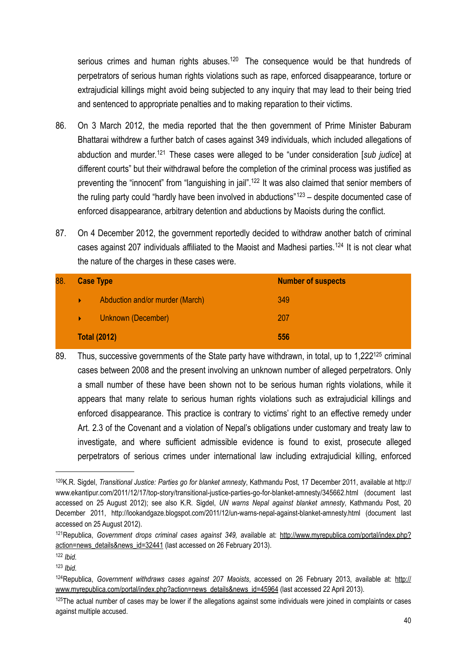serious crimes and human rights abuses.<sup>120</sup> The consequence would be that hundreds of perpetrators of serious human rights violations such as rape, enforced disappearance, torture or extrajudicial killings might avoid being subjected to any inquiry that may lead to their being tried and sentenced to appropriate penalties and to making reparation to their victims.

- 86. On 3 March 2012, the media reported that the then government of Prime Minister Baburam Bhattarai withdrew a further batch of cases against 349 individuals, which included allegations of abduction and murder.[121](#page-39-1) These cases were alleged to be "under consideration [*sub judice*] at different courts" but their withdrawal before the completion of the criminal process was justified as preventing the "innocent" from "languishing in jail".<sup>122</sup> It was also claimed that senior members of the ruling party could "hardly have been involved in abductions"<sup>[123](#page-39-3)</sup> – despite documented case of enforced disappearance, arbitrary detention and abductions by Maoists during the conflict.
- 87. On 4 December 2012, the government reportedly decided to withdraw another batch of criminal cases against 207 individuals affiliated to the Maoist and Madhesi parties.[124](#page-39-4) It is not clear what the nature of the charges in these cases were.

| 88. | <b>Case Type</b>    |                                 | <b>Number of suspects</b> |
|-----|---------------------|---------------------------------|---------------------------|
|     | ¥                   | Abduction and/or murder (March) | 349                       |
|     | ь,                  | Unknown (December)              | 207                       |
|     | <b>Total (2012)</b> |                                 | 556                       |

89. Thus, successive governments of the State party have withdrawn, in total, up to 1,222<sup>125</sup> criminal cases between 2008 and the present involving an unknown number of alleged perpetrators. Only a small number of these have been shown not to be serious human rights violations, while it appears that many relate to serious human rights violations such as extrajudicial killings and enforced disappearance. This practice is contrary to victims' right to an effective remedy under Art. 2.3 of the Covenant and a violation of Nepal's obligations under customary and treaty law to investigate, and where sufficient admissible evidence is found to exist, prosecute alleged perpetrators of serious crimes under international law including extrajudicial killing, enforced

<span id="page-39-0"></span><sup>120</sup>K.R. Sigdel, *Transitional Justice: Parties go for blanket amnesty*, Kathmandu Post, 17 December 2011, available at [http://](http://www.ekantipur.com/2011/12/17/top-story/transitional-justice-parties-go-for-blanket-amnesty/345662.html) [www.ekantipur.com/2011/12/17/top-story/transitional-justice-parties-go-for-blanket-amnesty/345662.html](http://www.ekantipur.com/2011/12/17/top-story/transitional-justice-parties-go-for-blanket-amnesty/345662.html) (document last accessed on 25 August 2012); see also K.R. Sigdel, *UN warns Nepal against blanket amnesty*, Kathmandu Post, 20 December 2011, <http://lookandgaze.blogspot.com/2011/12/un-warns-nepal-against-blanket-amnesty.html>(document last accessed on 25 August 2012).

<span id="page-39-1"></span><sup>121</sup>Republica, *Government drops criminal cases against 349,* available at: [http://www.myrepublica.com/portal/index.php?](http://www.myrepublica.com/portal/index.php?action=news_details&news_id=32441) [action=news\\_details&news\\_id=32441](http://www.myrepublica.com/portal/index.php?action=news_details&news_id=32441) (last accessed on 26 February 2013).

<span id="page-39-2"></span><sup>122</sup> *Ibid.*

<span id="page-39-3"></span><sup>123</sup> *Ibid.*

<span id="page-39-4"></span><sup>124</sup>Republica, *Government withdraws cases against 207 Maoists*, accessed on 26 February 2013, available at: [http://](http://www.myrepublica.com/portal/index.php?action=news_details&news_id=45964) [www.myrepublica.com/portal/index.php?action=news\\_details&news\\_id=45964](http://www.myrepublica.com/portal/index.php?action=news_details&news_id=45964) (last accessed 22 April 2013).

<span id="page-39-5"></span> $125$ The actual number of cases may be lower if the allegations against some individuals were joined in complaints or cases against multiple accused.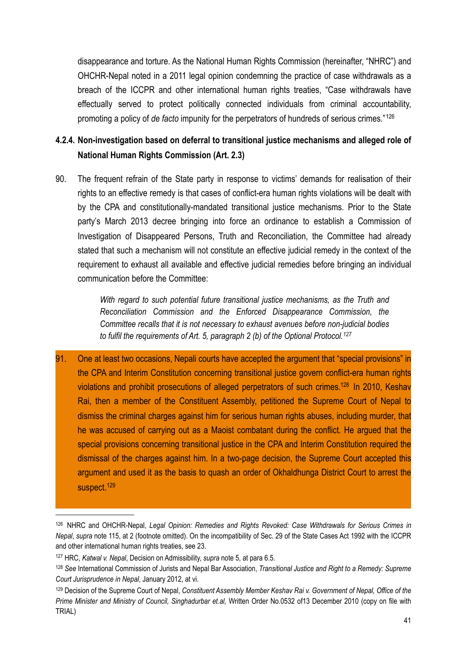disappearance and torture. As the National Human Rights Commission (hereinafter, "NHRC") and OHCHR-Nepal noted in a 2011 legal opinion condemning the practice of case withdrawals as a breach of the ICCPR and other international human rights treaties, "Case withdrawals have effectually served to protect politically connected individuals from criminal accountability, promoting a policy of *de facto* impunity for the perpetrators of hundreds of serious crimes."[126](#page-40-1)

## <span id="page-40-0"></span>**4.2.4. Non-investigation based on deferral to transitional justice mechanisms and alleged role of National Human Rights Commission (Art. 2.3)**

90. The frequent refrain of the State party in response to victims' demands for realisation of their rights to an effective remedy is that cases of conflict-era human rights violations will be dealt with by the CPA and constitutionally-mandated transitional justice mechanisms. Prior to the State party's March 2013 decree bringing into force an ordinance to establish a Commission of Investigation of Disappeared Persons, Truth and Reconciliation, the Committee had already stated that such a mechanism will not constitute an effective judicial remedy in the context of the requirement to exhaust all available and effective judicial remedies before bringing an individual communication before the Committee:

> *With regard to such potential future transitional justice mechanisms, as the Truth and Reconciliation Commission and the Enforced Disappearance Commission, the Committee recalls that it is not necessary to exhaust avenues before non-judicial bodies to fulfil the requirements of Art. 5, paragraph 2 (b) of the Optional Protocol.[127](#page-40-2)*

91. One at least two occasions, Nepali courts have accepted the argument that "special provisions" in the CPA and Interim Constitution concerning transitional justice govern conflict-era human rights violations and prohibit prosecutions of alleged perpetrators of such crimes.<sup>128</sup> In 2010, Keshav Rai, then a member of the Constituent Assembly, petitioned the Supreme Court of Nepal to dismiss the criminal charges against him for serious human rights abuses, including murder, that he was accused of carrying out as a Maoist combatant during the conflict. He argued that the special provisions concerning transitional justice in the CPA and Interim Constitution required the dismissal of the charges against him. In a two-page decision, the Supreme Court accepted this argument and used it as the basis to quash an order of Okhaldhunga District Court to arrest the suspect.<sup>[129](#page-40-4)</sup>

<span id="page-40-1"></span><sup>126</sup> NHRC and OHCHR-Nepal, *Legal Opinion: Remedies and Rights Revoked: Case Withdrawals for Serious Crimes in Nepal*, *supra* note 115, at 2 (footnote omitted). On the incompatibility of Sec. 29 of the State Cases Act 1992 with the ICCPR and other international human rights treaties, see 23.

<span id="page-40-2"></span><sup>127</sup> HRC, *Katwal v. Nepal*, Decision on Admissibility, *supra* note 5, at para 6.5.

<span id="page-40-3"></span><sup>128</sup> *See* International Commission of Jurists and Nepal Bar Association, *Transitional Justice and Right to a Remedy: Supreme Court Jurisprudence in Nepal*, January 2012, at vi.

<span id="page-40-4"></span><sup>129</sup> Decision of the Supreme Court of Nepal, *Constituent Assembly Member Keshav Rai v. Government of Nepal, Office of the Prime Minister and Ministry of Council, Singhadurbar et.al,* Written Order No.0532 of13 December 2010 (copy on file with TRIAL)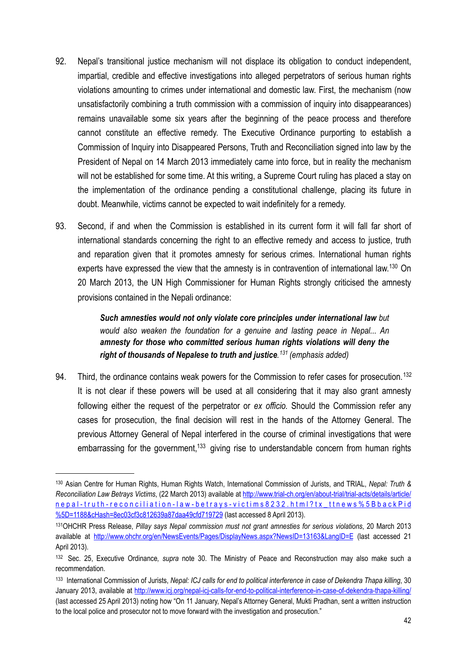- 92. Nepal's transitional justice mechanism will not displace its obligation to conduct independent, impartial, credible and effective investigations into alleged perpetrators of serious human rights violations amounting to crimes under international and domestic law. First, the mechanism (now unsatisfactorily combining a truth commission with a commission of inquiry into disappearances) remains unavailable some six years after the beginning of the peace process and therefore cannot constitute an effective remedy. The Executive Ordinance purporting to establish a Commission of Inquiry into Disappeared Persons, Truth and Reconciliation signed into law by the President of Nepal on 14 March 2013 immediately came into force, but in reality the mechanism will not be established for some time. At this writing, a Supreme Court ruling has placed a stay on the implementation of the ordinance pending a constitutional challenge, placing its future in doubt. Meanwhile, victims cannot be expected to wait indefinitely for a remedy.
- 93. Second, if and when the Commission is established in its current form it will fall far short of international standards concerning the right to an effective remedy and access to justice, truth and reparation given that it promotes amnesty for serious crimes. International human rights experts have expressed the view that the amnesty is in contravention of international law.<sup>130</sup> On 20 March 2013, the UN High Commissioner for Human Rights strongly criticised the amnesty provisions contained in the Nepali ordinance:

*Such amnesties would not only violate core principles under international law but would also weaken the foundation for a genuine and lasting peace in Nepal... An amnesty for those who committed serious human rights violations will deny the right of thousands of Nepalese to truth and justice. [131](#page-41-1) (emphasis added)*

94. Third, the ordinance contains weak powers for the Commission to refer cases for prosecution.<sup>[132](#page-41-2)</sup> It is not clear if these powers will be used at all considering that it may also grant amnesty following either the request of the perpetrator or *ex officio.* Should the Commission refer any cases for prosecution, the final decision will rest in the hands of the Attorney General. The previous Attorney General of Nepal interfered in the course of criminal investigations that were embarrassing for the government,<sup>133</sup> giving rise to understandable concern from human rights

<span id="page-41-0"></span><sup>130</sup> Asian Centre for Human Rights, Human Rights Watch, International Commission of Jurists, and TRIAL, *Nepal: Truth & Reconciliation Law Betrays Victims*, (22 March 2013) available at [http://www.trial-ch.org/en/about-trial/trial-acts/details/article/](http://www.trial-ch.org/en/about-trial/trial-acts/details/article/nepal-truth-reconciliation-law-betrays-victims8232.html?tx_ttnews%5BbackPid%5D=1188&cHash=8ec03cf3c812639a87daa49cfd719729) [nepal-truth-reconciliation-law-betrays-victims8232.html?tx\\_ttnews%5BbackPid](http://www.trial-ch.org/en/about-trial/trial-acts/details/article/nepal-truth-reconciliation-law-betrays-victims8232.html?tx_ttnews%5BbackPid%5D=1188&cHash=8ec03cf3c812639a87daa49cfd719729) [%5D=1188&cHash=8ec03cf3c812639a87daa49cfd719729](http://www.trial-ch.org/en/about-trial/trial-acts/details/article/nepal-truth-reconciliation-law-betrays-victims8232.html?tx_ttnews%5BbackPid%5D=1188&cHash=8ec03cf3c812639a87daa49cfd719729) (last accessed 8 April 2013).

<span id="page-41-1"></span><sup>131</sup>OHCHR Press Release, *Pillay says Nepal commission must not grant amnesties for serious violations*, 20 March 2013 available at <http://www.ohchr.org/en/NewsEvents/Pages/DisplayNews.aspx?NewsID=13163&LangID=E>(last accessed 21 April 2013).

<span id="page-41-2"></span><sup>132</sup> Sec. 25, Executive Ordinance*, supra* note 30. The Ministry of Peace and Reconstruction may also make such a recommendation.

<span id="page-41-3"></span><sup>133</sup> International Commission of Jurists, *Nepal: ICJ calls for end to political interference in case of Dekendra Thapa killing*, 30 January 2013, available at <http://www.icj.org/nepal-icj-calls-for-end-to-political-interference-in-case-of-dekendra-thapa-killing/> (last accessed 25 April 2013) noting how "On 11 January, Nepal's Attorney General, Mukti Pradhan, sent a written instruction to the local police and prosecutor not to move forward with the investigation and prosecution."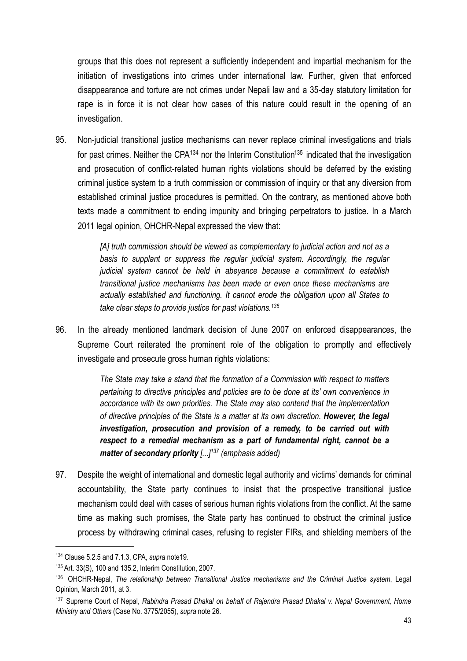groups that this does not represent a sufficiently independent and impartial mechanism for the initiation of investigations into crimes under international law. Further, given that enforced disappearance and torture are not crimes under Nepali law and a 35-day statutory limitation for rape is in force it is not clear how cases of this nature could result in the opening of an investigation.

95. Non-judicial transitional justice mechanisms can never replace criminal investigations and trials for past crimes. Neither the CPA<sup>[134](#page-42-0)</sup> nor the Interim Constitution<sup>135</sup> indicated that the investigation and prosecution of conflict-related human rights violations should be deferred by the existing criminal justice system to a truth commission or commission of inquiry or that any diversion from established criminal justice procedures is permitted. On the contrary, as mentioned above both texts made a commitment to ending impunity and bringing perpetrators to justice. In a March 2011 legal opinion, OHCHR-Nepal expressed the view that:

> *[A] truth commission should be viewed as complementary to judicial action and not as a*  basis to supplant or suppress the regular judicial system. Accordingly, the regular *judicial system cannot be held in abeyance because a commitment to establish transitional justice mechanisms has been made or even once these mechanisms are actually established and functioning. It cannot erode the obligation upon all States to take clear steps to provide justice for past violations.[136](#page-42-2)*

96. In the already mentioned landmark decision of June 2007 on enforced disappearances, the Supreme Court reiterated the prominent role of the obligation to promptly and effectively investigate and prosecute gross human rights violations:

> *The State may take a stand that the formation of a Commission with respect to matters pertaining to directive principles and policies are to be done at its' own convenience in accordance with its own priorities. The State may also contend that the implementation of directive principles of the State is a matter at its own discretion. However, the legal investigation, prosecution and provision of a remedy, to be carried out with respect to a remedial mechanism as a part of fundamental right, cannot be a matter of secondary priority [...][137](#page-42-3) (emphasis added)*

97. Despite the weight of international and domestic legal authority and victims' demands for criminal accountability, the State party continues to insist that the prospective transitional justice mechanism could deal with cases of serious human rights violations from the conflict. At the same time as making such promises, the State party has continued to obstruct the criminal justice process by withdrawing criminal cases, refusing to register FIRs, and shielding members of the

<span id="page-42-0"></span><sup>134</sup> Clause 5.2.5 and 7.1.3, CPA, *supra* note19.

<span id="page-42-1"></span><sup>135</sup> Art. 33(S), 100 and 135.2, Interim Constitution, 2007.

<span id="page-42-2"></span><sup>136</sup> OHCHR-Nepal, *The relationship between Transitional Justice mechanisms and the Criminal Justice system*, Legal Opinion, March 2011, at 3.

<span id="page-42-3"></span><sup>137</sup> Supreme Court of Nepal, *Rabindra Prasad Dhakal on behalf of Rajendra Prasad Dhakal v. Nepal Government, Home Ministry and Others* (Case No. 3775/2055), *supra* note 26.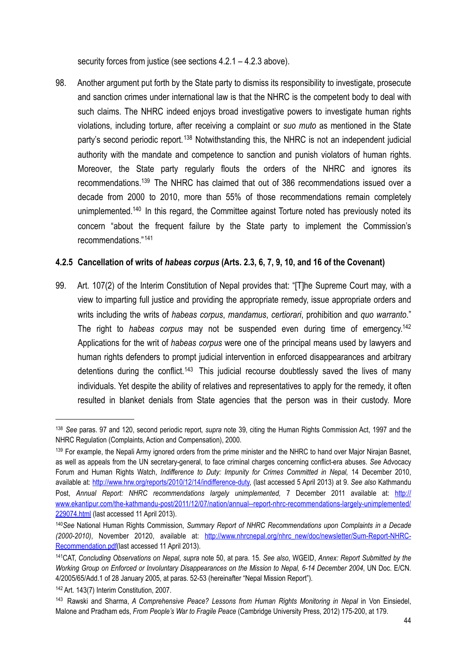security forces from justice (see sections 4.2.1 – 4.2.3 above).

98. Another argument put forth by the State party to dismiss its responsibility to investigate, prosecute and sanction crimes under international law is that the NHRC is the competent body to deal with such claims. The NHRC indeed enjoys broad investigative powers to investigate human rights violations, including torture, after receiving a complaint or *suo muto* as mentioned in the State party's second periodic report.<sup>[138](#page-43-1)</sup> Notwithstanding this, the NHRC is not an independent judicial authority with the mandate and competence to sanction and punish violators of human rights. Moreover, the State party regularly flouts the orders of the NHRC and ignores its recommendations[.139](#page-43-2) The NHRC has claimed that out of 386 recommendations issued over a decade from 2000 to 2010, more than 55% of those recommendations remain completely unimplemented.<sup>140</sup> In this regard, the Committee against Torture noted has previously noted its concern "about the frequent failure by the State party to implement the Commission's recommendations."[141](#page-43-4)

#### <span id="page-43-0"></span>**4.2.5 Cancellation of writs of** *habeas corpus* **(Arts. 2.3, 6, 7, 9, 10, and 16 of the Covenant)**

99. Art. 107(2) of the Interim Constitution of Nepal provides that: "[T]he Supreme Court may, with a view to imparting full justice and providing the appropriate remedy, issue appropriate orders and writs including the writs of *habeas corpus*, *mandamus*, *certiorari*, prohibition and *quo warranto*." The right to *habeas corpus* may not be suspended even during time of emergency[.142](#page-43-5) Applications for the writ of *habeas corpus* were one of the principal means used by lawyers and human rights defenders to prompt judicial intervention in enforced disappearances and arbitrary detentions during the conflict.<sup>[143](#page-43-6)</sup> This judicial recourse doubtlessly saved the lives of many individuals. Yet despite the ability of relatives and representatives to apply for the remedy, it often resulted in blanket denials from State agencies that the person was in their custody. More

<span id="page-43-1"></span><sup>138</sup> *See* paras. 97 and 120, second periodic report*, supra* note 39, citing the Human Rights Commission Act, 1997 and the NHRC Regulation (Complaints, Action and Compensation), 2000.

<span id="page-43-2"></span><sup>&</sup>lt;sup>139</sup> For example, the Nepali Army ignored orders from the prime minister and the NHRC to hand over Major Nirajan Basnet, as well as appeals from the UN secretary-general, to face criminal charges concerning conflict-era abuses. *See* Advocacy Forum and Human Rights Watch, *Indifference to Duty: Impunity for Crimes Committed in Nepal*, 14 December 2010, available at: <http://www.hrw.org/reports/2010/12/14/indifference-duty>, (last accessed 5 April 2013) at 9. *See also* Kathmandu Post, Annual Report: NHRC recommendations largely unimplemented, 7 December 2011 available at: [http://](http://www.ekantipur.com/the-kathmandu-post/2011/12/07/nation/annual--report-nhrc-recommendations-largely-unimplemented/229074.html) [www.ekantipur.com/the-kathmandu-post/2011/12/07/nation/annual--report-nhrc-recommendations-largely-unimplemented/](http://www.ekantipur.com/the-kathmandu-post/2011/12/07/nation/annual--report-nhrc-recommendations-largely-unimplemented/229074.html) [229074.html](http://www.ekantipur.com/the-kathmandu-post/2011/12/07/nation/annual--report-nhrc-recommendations-largely-unimplemented/229074.html) (last accessed 11 April 2013).

<span id="page-43-3"></span><sup>140</sup>*See* National Human Rights Commission, *Summary Report of NHRC Recommendations upon Complaints in a Decade (2000-2010)*, November 20120, available at: [http://www.nhrcnepal.org/nhrc\\_new/doc/newsletter/Sum-Report-NHRC-](http://www.nhrcnepal.org/nhrc_new/doc/newsletter/Sum-Report-NHRC-Recommendation.pdf)[Recommendation.pdf\(](http://www.nhrcnepal.org/nhrc_new/doc/newsletter/Sum-Report-NHRC-Recommendation.pdf)last accessed 11 April 2013).

<span id="page-43-4"></span><sup>141</sup>CAT, *Concluding Observations on Nepal*, *supra* note 50, at para. 15. *See also*, WGEID, *Annex: Report Submitted by the Working Group on Enforced or Involuntary Disappearances on the Mission to Nepal, 6-14 December 2004*, UN Doc. E/CN. 4/2005/65/Add.1 of 28 January 2005, at paras. 52-53 (hereinafter "Nepal Mission Report").

<span id="page-43-5"></span><sup>142</sup> Art. 143(7) Interim Constitution, 2007.

<span id="page-43-6"></span><sup>143</sup> Rawski and Sharma, *A Comprehensive Peace? Lessons from Human Rights Monitoring in Nepal* in Von Einsiedel, Malone and Pradham eds, *From People's War to Fragile Peace* (Cambridge University Press, 2012) 175-200, at 179.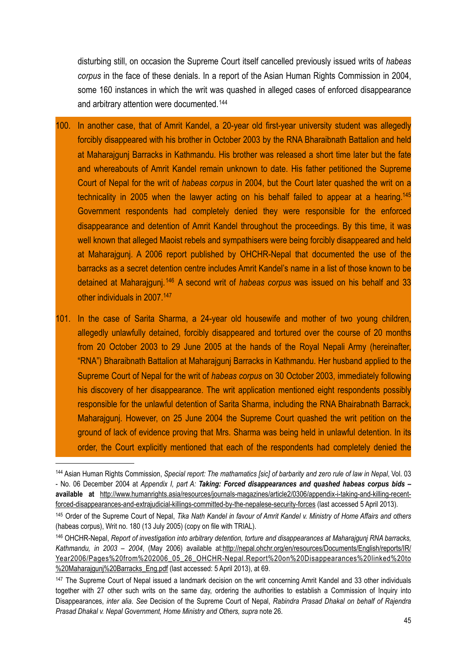disturbing still, on occasion the Supreme Court itself cancelled previously issued writs of *habeas corpus* in the face of these denials. In a report of the Asian Human Rights Commission in 2004, some 160 instances in which the writ was quashed in alleged cases of enforced disappearance and arbitrary attention were documented.[144](#page-44-0)

- 100. In another case, that of Amrit Kandel, a 20-year old first-year university student was allegedly forcibly disappeared with his brother in October 2003 by the RNA Bharaibnath Battalion and held at Maharajgunj Barracks in Kathmandu. His brother was released a short time later but the fate and whereabouts of Amrit Kandel remain unknown to date. His father petitioned the Supreme Court of Nepal for the writ of *habeas corpus* in 2004, but the Court later quashed the writ on a technicality in 2005 when the lawyer acting on his behalf failed to appear at a hearing[.145](#page-44-1) Government respondents had completely denied they were responsible for the enforced disappearance and detention of Amrit Kandel throughout the proceedings. By this time, it was well known that alleged Maoist rebels and sympathisers were being forcibly disappeared and held at Maharajgunj. A 2006 report published by OHCHR-Nepal that documented the use of the barracks as a secret detention centre includes Amrit Kandel's name in a list of those known to be detained at Maharajgunj.[146](#page-44-2) A second writ of *habeas corpus* was issued on his behalf and 33 other individuals in 2007[.147](#page-44-3)
- 101. In the case of Sarita Sharma, a 24-year old housewife and mother of two young children, allegedly unlawfully detained, forcibly disappeared and tortured over the course of 20 months from 20 October 2003 to 29 June 2005 at the hands of the Royal Nepali Army (hereinafter, "RNA") Bharaibnath Battalion at Maharajgunj Barracks in Kathmandu. Her husband applied to the Supreme Court of Nepal for the writ of *habeas corpus* on 30 October 2003, immediately following his discovery of her disappearance. The writ application mentioned eight respondents possibly responsible for the unlawful detention of Sarita Sharma, including the RNA Bhairabnath Barrack, Maharajgunj. However, on 25 June 2004 the Supreme Court quashed the writ petition on the ground of lack of evidence proving that Mrs. Sharma was being held in unlawful detention. In its order, the Court explicitly mentioned that each of the respondents had completely denied the

<span id="page-44-0"></span><sup>144</sup> Asian Human Rights Commission, *Special report: The mathamatics [sic] of barbarity and zero rule of law in Nepal*, Vol. 03 - No. 06 December 2004 at *Appendix I, part A: Taking: Forced disappearances and quashed habeas corpus bids* **– available at** [http://www.humanrights.asia/resources/journals-magazines/article2/0306/appendix-i-taking-and-killing-recent](http://www.humanrights.asia/resources/journals-magazines/article2/0306/appendix-i-taking-and-killing-recent-forced-disappearances-and-extrajudicial-killings-committed-by-the-nepalese-security-forces)[forced-disappearances-and-extrajudicial-killings-committed-by-the-nepalese-security-forces](http://www.humanrights.asia/resources/journals-magazines/article2/0306/appendix-i-taking-and-killing-recent-forced-disappearances-and-extrajudicial-killings-committed-by-the-nepalese-security-forces) (last accessed 5 April 2013).

<span id="page-44-1"></span><sup>145</sup> Order of the Supreme Court of Nepal, *Tika Nath Kandel in favour of Amrit Kandel v. Ministry of Home Affairs and others*  (habeas corpus), Writ no. 180 (13 July 2005) (copy on file with TRIAL).

<span id="page-44-2"></span><sup>146</sup> OHCHR-Nepal, *Report of investigation into arbitrary detention, torture and disappearances at Maharajgunj RNA barracks, Kathmandu, in 2003 – 2004*, (May 2006) available at[:http://nepal.ohchr.org/en/resources/Documents/English/reports/IR/](http://nepal.ohchr.org/en/resources/Documents/English/reports/IR/Year2006/Pages%20from%202006_05_26_OHCHR-Nepal.Report%20on%20Disappearances%20linked%20to%20Maharajgunj%20Barracks_Eng.pdf) [Year2006/Pages%20from%202006\\_05\\_26\\_OHCHR-Nepal.Report%20on%20Disappearances%20linked%20to](http://nepal.ohchr.org/en/resources/Documents/English/reports/IR/Year2006/Pages%20from%202006_05_26_OHCHR-Nepal.Report%20on%20Disappearances%20linked%20to%20Maharajgunj%20Barracks_Eng.pdf) [%20Maharajgunj%20Barracks\\_Eng.pdf](http://nepal.ohchr.org/en/resources/Documents/English/reports/IR/Year2006/Pages%20from%202006_05_26_OHCHR-Nepal.Report%20on%20Disappearances%20linked%20to%20Maharajgunj%20Barracks_Eng.pdf) (last accessed: 5 April 2013), at 69.

<span id="page-44-3"></span><sup>&</sup>lt;sup>147</sup> The Supreme Court of Nepal issued a landmark decision on the writ concerning Amrit Kandel and 33 other individuals together with 27 other such writs on the same day, ordering the authorities to establish a Commission of Inquiry into Disappearances, *inter alia*. *See* Decision of the Supreme Court of Nepal, *Rabindra Prasad Dhakal on behalf of Rajendra Prasad Dhakal v. Nepal Government, Home Ministry and Others, supra* note 26.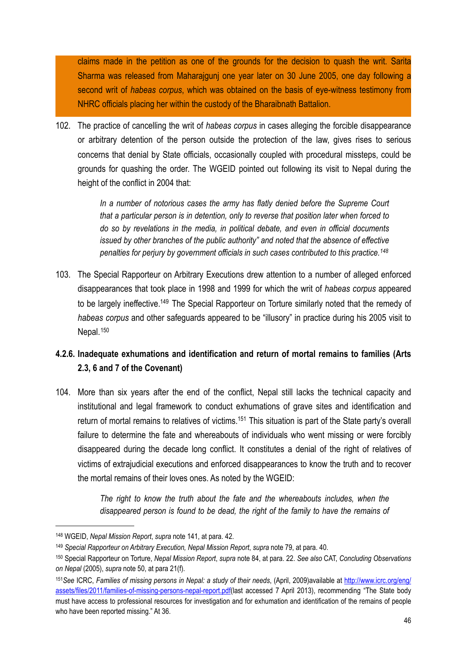claims made in the petition as one of the grounds for the decision to quash the writ. Sarita Sharma was released from Maharajgunj one year later on 30 June 2005, one day following a second writ of *habeas corpus*, which was obtained on the basis of eye-witness testimony from NHRC officials placing her within the custody of the Bharaibnath Battalion.

102. The practice of cancelling the writ of *habeas corpus* in cases alleging the forcible disappearance or arbitrary detention of the person outside the protection of the law, gives rises to serious concerns that denial by State officials, occasionally coupled with procedural missteps, could be grounds for quashing the order. The WGEID pointed out following its visit to Nepal during the height of the conflict in 2004 that:

> *In a number of notorious cases the army has flatly denied before the Supreme Court that a particular person is in detention, only to reverse that position later when forced to do so by revelations in the media, in political debate, and even in official documents issued by other branches of the public authority" and noted that the absence of effective penalties for perjury by government officials in such cases contributed to this practice.[148](#page-45-1)*

103. The Special Rapporteur on Arbitrary Executions drew attention to a number of alleged enforced disappearances that took place in 1998 and 1999 for which the writ of *habeas corpus* appeared to be largely ineffective.<sup>149</sup> The Special Rapporteur on Torture similarly noted that the remedy of *habeas corpus* and other safeguards appeared to be "illusory" in practice during his 2005 visit to Nepal.<sup>[150](#page-45-3)</sup>

## <span id="page-45-0"></span>**4.2.6. Inadequate exhumations and identification and return of mortal remains to families (Arts 2.3, 6 and 7 of the Covenant)**

104. More than six years after the end of the conflict, Nepal still lacks the technical capacity and institutional and legal framework to conduct exhumations of grave sites and identification and return of mortal remains to relatives of victims.<sup>151</sup> This situation is part of the State party's overall failure to determine the fate and whereabouts of individuals who went missing or were forcibly disappeared during the decade long conflict. It constitutes a denial of the right of relatives of victims of extrajudicial executions and enforced disappearances to know the truth and to recover the mortal remains of their loves ones. As noted by the WGEID:

> *The right to know the truth about the fate and the whereabouts includes, when the disappeared person is found to be dead, the right of the family to have the remains of*

<span id="page-45-1"></span><sup>148</sup> WGEID, *Nepal Mission Report*, *supra* note 141, at para. 42.

<span id="page-45-2"></span><sup>149</sup> *Special Rapporteur on Arbitrary Execution, Nepal Mission Report*, *supra* note 79, at para. 40.

<span id="page-45-3"></span><sup>150</sup> Special Rapporteur on Torture, *Nepal Mission Report*, *supra* note 84, at para. 22. *See also* CAT, *Concluding Observations on Nepal* (2005), *supra* note 50, at para 21(f).

<span id="page-45-4"></span><sup>151</sup>*See* ICRC, *Families of missing persons in Nepal: a study of their needs*, (April, 2009)available at [http://www.icrc.org/eng/](http://www.icrc.org/eng/assets/files/2011/families-of-missing-persons-nepal-report.pdf) [assets/files/2011/families-of-missing-persons-nepal-report.pdf](http://www.icrc.org/eng/assets/files/2011/families-of-missing-persons-nepal-report.pdf)(last accessed 7 April 2013), recommending "The State body must have access to professional resources for investigation and for exhumation and identification of the remains of people who have been reported missing." At 36.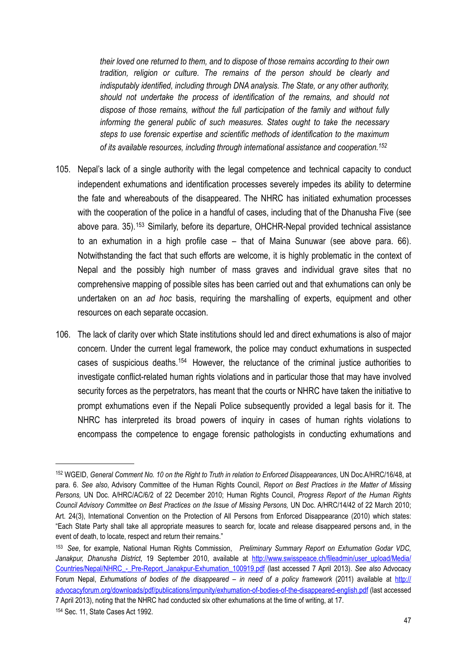*their loved one returned to them, and to dispose of those remains according to their own tradition, religion or culture. The remains of the person should be clearly and indisputably identified, including through DNA analysis. The State, or any other authority, should not undertake the process of identification of the remains, and should not dispose of those remains, without the full participation of the family and without fully informing the general public of such measures. States ought to take the necessary steps to use forensic expertise and scientific methods of identification to the maximum of its available resources, including through international assistance and cooperation.[152](#page-46-0)*

- 105. Nepal's lack of a single authority with the legal competence and technical capacity to conduct independent exhumations and identification processes severely impedes its ability to determine the fate and whereabouts of the disappeared. The NHRC has initiated exhumation processes with the cooperation of the police in a handful of cases, including that of the Dhanusha Five (see above para. 35).<sup>[153](#page-46-1)</sup> Similarly, before its departure, OHCHR-Nepal provided technical assistance to an exhumation in a high profile case – that of Maina Sunuwar (see above para. 66). Notwithstanding the fact that such efforts are welcome, it is highly problematic in the context of Nepal and the possibly high number of mass graves and individual grave sites that no comprehensive mapping of possible sites has been carried out and that exhumations can only be undertaken on an *ad hoc* basis, requiring the marshalling of experts, equipment and other resources on each separate occasion.
- 106. The lack of clarity over which State institutions should led and direct exhumations is also of major concern. Under the current legal framework, the police may conduct exhumations in suspected cases of suspicious deaths.[154](#page-46-2) However, the reluctance of the criminal justice authorities to investigate conflict-related human rights violations and in particular those that may have involved security forces as the perpetrators, has meant that the courts or NHRC have taken the initiative to prompt exhumations even if the Nepali Police subsequently provided a legal basis for it. The NHRC has interpreted its broad powers of inquiry in cases of human rights violations to encompass the competence to engage forensic pathologists in conducting exhumations and

<span id="page-46-0"></span><sup>152</sup> WGEID, *General Comment No. 10 on the Right to Truth in relation to Enforced Disappearances*, UN Doc.A/HRC/16/48, at para. 6. *See also*, Advisory Committee of the Human Rights Council, *Report on Best Practices in the Matter of Missing Persons,* UN Doc. A/HRC/AC/6/2 of 22 December 2010; Human Rights Council, *Progress Report of the Human Rights Council Advisory Committee on Best Practices on the Issue of Missing Persons,* UN Doc. A/HRC/14/42 of 22 March 2010; Art. 24(3), International Convention on the Protection of All Persons from Enforced Disappearance (2010) which states: "Each State Party shall take all appropriate measures to search for, locate and release disappeared persons and, in the event of death, to locate, respect and return their remains."

<span id="page-46-1"></span><sup>153</sup> *See*, for example, National Human Rights Commission, *Preliminary Summary Report on Exhumation Godar VDC, Janakpur, Dhanusha District*, 19 September 2010, available at [http://www.swisspeace.ch/fileadmin/user\\_upload/Media/](http://www.swisspeace.ch/fileadmin/user_upload/Media/Countries/Nepal/NHRC_-_Pre-Report_Janakpur-Exhumation_100919.pdf) [Countries/Nepal/NHRC\\_-\\_Pre-Report\\_Janakpur-Exhumation\\_100919.pdf](http://www.swisspeace.ch/fileadmin/user_upload/Media/Countries/Nepal/NHRC_-_Pre-Report_Janakpur-Exhumation_100919.pdf) (last accessed 7 April 2013). *See also* Advocacy Forum Nepal, *Exhumations of bodies of the disappeared – in need of a policy framework* (2011) available at [http://](http://advocacyforum.org/downloads/pdf/publications/impunity/exhumation-of-bodies-of-the-disappeared-english.pdf) [advocacyforum.org/downloads/pdf/publications/impunity/exhumation-of-bodies-of-the-disappeared-english.pdf](http://advocacyforum.org/downloads/pdf/publications/impunity/exhumation-of-bodies-of-the-disappeared-english.pdf) (last accessed 7 April 2013), noting that the NHRC had conducted six other exhumations at the time of writing, at 17.

<span id="page-46-2"></span><sup>154</sup> Sec. 11, State Cases Act 1992.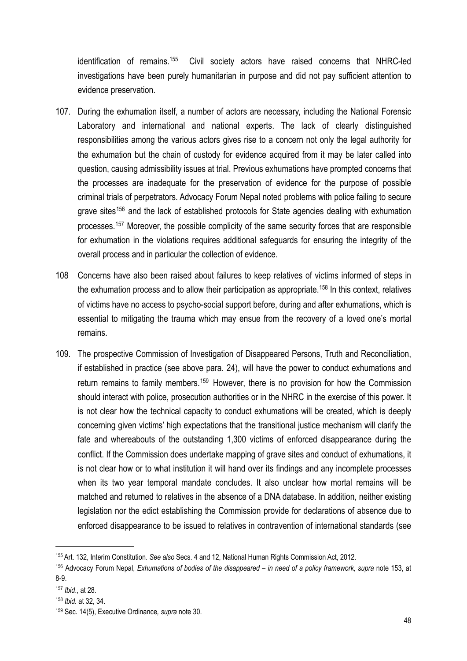identification of remains[.155](#page-47-0) Civil society actors have raised concerns that NHRC-led investigations have been purely humanitarian in purpose and did not pay sufficient attention to evidence preservation.

- 107. During the exhumation itself, a number of actors are necessary, including the National Forensic Laboratory and international and national experts. The lack of clearly distinguished responsibilities among the various actors gives rise to a concern not only the legal authority for the exhumation but the chain of custody for evidence acquired from it may be later called into question, causing admissibility issues at trial. Previous exhumations have prompted concerns that the processes are inadequate for the preservation of evidence for the purpose of possible criminal trials of perpetrators. Advocacy Forum Nepal noted problems with police failing to secure grave sites<sup>[156](#page-47-1)</sup> and the lack of established protocols for State agencies dealing with exhumation processes.[157](#page-47-2) Moreover, the possible complicity of the same security forces that are responsible for exhumation in the violations requires additional safeguards for ensuring the integrity of the overall process and in particular the collection of evidence.
- 108 Concerns have also been raised about failures to keep relatives of victims informed of steps in the exhumation process and to allow their participation as appropriate.<sup>[158](#page-47-3)</sup> In this context, relatives of victims have no access to psycho-social support before, during and after exhumations, which is essential to mitigating the trauma which may ensue from the recovery of a loved one's mortal remains.
- 109. The prospective Commission of Investigation of Disappeared Persons, Truth and Reconciliation, if established in practice (see above para. 24), will have the power to conduct exhumations and return remains to family members.<sup>[159](#page-47-4)</sup> However, there is no provision for how the Commission should interact with police, prosecution authorities or in the NHRC in the exercise of this power. It is not clear how the technical capacity to conduct exhumations will be created, which is deeply concerning given victims' high expectations that the transitional justice mechanism will clarify the fate and whereabouts of the outstanding 1,300 victims of enforced disappearance during the conflict. If the Commission does undertake mapping of grave sites and conduct of exhumations, it is not clear how or to what institution it will hand over its findings and any incomplete processes when its two year temporal mandate concludes. It also unclear how mortal remains will be matched and returned to relatives in the absence of a DNA database. In addition, neither existing legislation nor the edict establishing the Commission provide for declarations of absence due to enforced disappearance to be issued to relatives in contravention of international standards (see

<span id="page-47-0"></span><sup>155</sup> Art. 132, Interim Constitution. *See also* Secs. 4 and 12, National Human Rights Commission Act, 2012.

<span id="page-47-1"></span><sup>&</sup>lt;sup>156</sup> Advocacy Forum Nepal, *Exhumations of bodies of the disappeared – in need of a policy framework, supra note 153, at* 8-9.

<span id="page-47-2"></span><sup>157</sup> *Ibid*., at 28.

<span id="page-47-3"></span><sup>158</sup> *Ibid.* at 32, 34.

<span id="page-47-4"></span><sup>159</sup> Sec. 14(5), Executive Ordinance*, supra* note 30.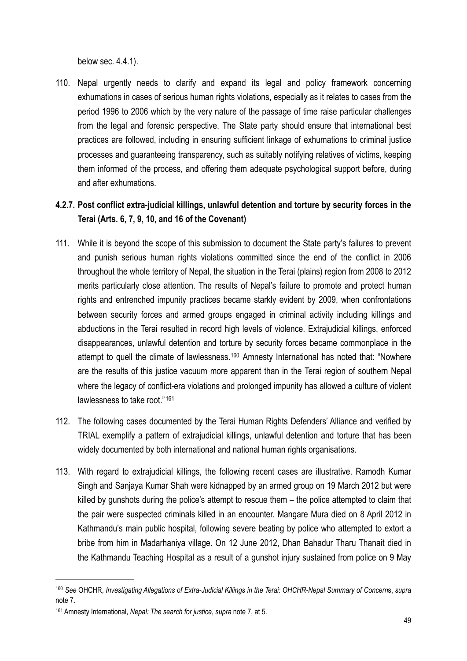below sec. 4.4.1).

110. Nepal urgently needs to clarify and expand its legal and policy framework concerning exhumations in cases of serious human rights violations, especially as it relates to cases from the period 1996 to 2006 which by the very nature of the passage of time raise particular challenges from the legal and forensic perspective. The State party should ensure that international best practices are followed, including in ensuring sufficient linkage of exhumations to criminal justice processes and guaranteeing transparency, such as suitably notifying relatives of victims, keeping them informed of the process, and offering them adequate psychological support before, during and after exhumations.

## <span id="page-48-0"></span>**4.2.7. Post conflict extra-judicial killings, unlawful detention and torture by security forces in the Terai (Arts. 6, 7, 9, 10, and 16 of the Covenant)**

- 111. While it is beyond the scope of this submission to document the State party's failures to prevent and punish serious human rights violations committed since the end of the conflict in 2006 throughout the whole territory of Nepal, the situation in the Terai (plains) region from 2008 to 2012 merits particularly close attention. The results of Nepal's failure to promote and protect human rights and entrenched impunity practices became starkly evident by 2009, when confrontations between security forces and armed groups engaged in criminal activity including killings and abductions in the Terai resulted in record high levels of violence. Extrajudicial killings, enforced disappearances, unlawful detention and torture by security forces became commonplace in the attempt to quell the climate of lawlessness.<sup>[160](#page-48-1)</sup> Amnesty International has noted that: "Nowhere are the results of this justice vacuum more apparent than in the Terai region of southern Nepal where the legacy of conflict-era violations and prolonged impunity has allowed a culture of violent lawlessness to take root."<sup>[161](#page-48-2)</sup>
- 112. The following cases documented by the Terai Human Rights Defenders' Alliance and verified by TRIAL exemplify a pattern of extrajudicial killings, unlawful detention and torture that has been widely documented by both international and national human rights organisations.
- 113. With regard to extrajudicial killings, the following recent cases are illustrative. Ramodh Kumar Singh and Sanjaya Kumar Shah were kidnapped by an armed group on 19 March 2012 but were killed by gunshots during the police's attempt to rescue them – the police attempted to claim that the pair were suspected criminals killed in an encounter. Mangare Mura died on 8 April 2012 in Kathmandu's main public hospital, following severe beating by police who attempted to extort a bribe from him in Madarhaniya village. On 12 June 2012, Dhan Bahadur Tharu Thanait died in the Kathmandu Teaching Hospital as a result of a gunshot injury sustained from police on 9 May

<span id="page-48-1"></span><sup>160</sup> *See* OHCHR, *Investigating Allegations of Extra-Judicial Killings in the Terai: OHCHR-Nepal Summary of Concern*s, *supra*  note 7.

<span id="page-48-2"></span><sup>161</sup> Amnesty International, *Nepal: The search for justice*, *supra* note 7, at 5.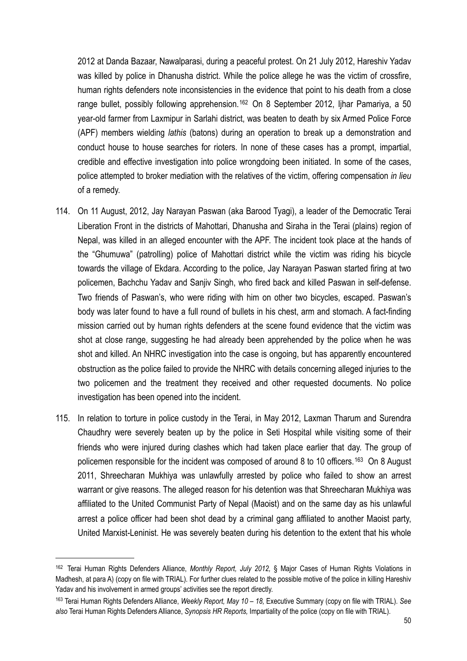2012 at Danda Bazaar, Nawalparasi, during a peaceful protest. On 21 July 2012, Hareshiv Yadav was killed by police in Dhanusha district. While the police allege he was the victim of crossfire, human rights defenders note inconsistencies in the evidence that point to his death from a close range bullet, possibly following apprehension.<sup>[162](#page-49-0)</sup> On 8 September 2012, Ijhar Pamariya, a 50 year-old farmer from Laxmipur in Sarlahi district, was beaten to death by six Armed Police Force (APF) members wielding *lathis* (batons) during an operation to break up a demonstration and conduct house to house searches for rioters. In none of these cases has a prompt, impartial, credible and effective investigation into police wrongdoing been initiated. In some of the cases, police attempted to broker mediation with the relatives of the victim, offering compensation *in lieu*  of a remedy.

- 114. On 11 August, 2012, Jay Narayan Paswan (aka Barood Tyagi), a leader of the Democratic Terai Liberation Front in the districts of Mahottari, Dhanusha and Siraha in the Terai (plains) region of Nepal, was killed in an alleged encounter with the APF. The incident took place at the hands of the "Ghumuwa" (patrolling) police of Mahottari district while the victim was riding his bicycle towards the village of Ekdara. According to the police, Jay Narayan Paswan started firing at two policemen, Bachchu Yadav and Sanjiv Singh, who fired back and killed Paswan in self-defense. Two friends of Paswan's, who were riding with him on other two bicycles, escaped. Paswan's body was later found to have a full round of bullets in his chest, arm and stomach. A fact-finding mission carried out by human rights defenders at the scene found evidence that the victim was shot at close range, suggesting he had already been apprehended by the police when he was shot and killed. An NHRC investigation into the case is ongoing, but has apparently encountered obstruction as the police failed to provide the NHRC with details concerning alleged injuries to the two policemen and the treatment they received and other requested documents. No police investigation has been opened into the incident.
- 115. In relation to torture in police custody in the Terai, in May 2012, Laxman Tharum and Surendra Chaudhry were severely beaten up by the police in Seti Hospital while visiting some of their friends who were injured during clashes which had taken place earlier that day. The group of policemen responsible for the incident was composed of around 8 to 10 officers.<sup>[163](#page-49-1)</sup> On 8 August 2011, Shreecharan Mukhiya was unlawfully arrested by police who failed to show an arrest warrant or give reasons. The alleged reason for his detention was that Shreecharan Mukhiya was affiliated to the United Communist Party of Nepal (Maoist) and on the same day as his unlawful arrest a police officer had been shot dead by a criminal gang affiliated to another Maoist party, United Marxist-Leninist. He was severely beaten during his detention to the extent that his whole

<span id="page-49-0"></span><sup>162</sup> Terai Human Rights Defenders Alliance, *Monthly Report, July 2012,* § Major Cases of Human Rights Violations in Madhesh, at para A) (copy on file with TRIAL). For further clues related to the possible motive of the police in killing Hareshiv Yadav and his involvement in armed groups' activities see the report directly.

<span id="page-49-1"></span><sup>163</sup> Terai Human Rights Defenders Alliance, *Weekly Report, May 10 – 18,* Executive Summary (copy on file with TRIAL). *See also* Terai Human Rights Defenders Alliance, *Synopsis HR Reports,* Impartiality of the police (copy on file with TRIAL).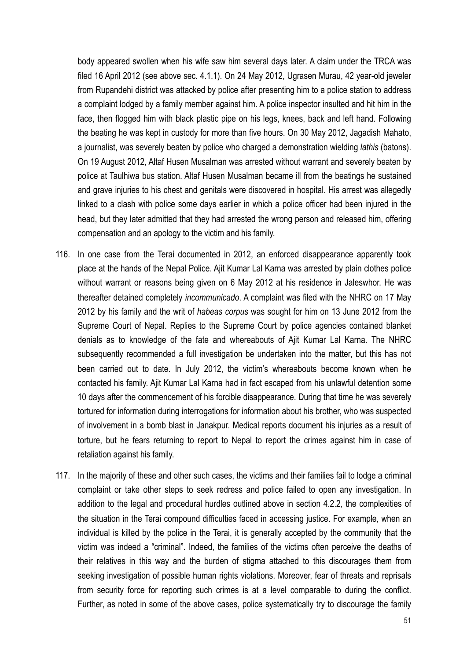body appeared swollen when his wife saw him several days later. A claim under the TRCA was filed 16 April 2012 (see above sec. 4.1.1). On 24 May 2012, Ugrasen Murau, 42 year-old jeweler from Rupandehi district was attacked by police after presenting him to a police station to address a complaint lodged by a family member against him. A police inspector insulted and hit him in the face, then flogged him with black plastic pipe on his legs, knees, back and left hand. Following the beating he was kept in custody for more than five hours. On 30 May 2012, Jagadish Mahato, a journalist, was severely beaten by police who charged a demonstration wielding *lathis* (batons). On 19 August 2012, Altaf Husen Musalman was arrested without warrant and severely beaten by police at Taulhiwa bus station. Altaf Husen Musalman became ill from the beatings he sustained and grave injuries to his chest and genitals were discovered in hospital. His arrest was allegedly linked to a clash with police some days earlier in which a police officer had been injured in the head, but they later admitted that they had arrested the wrong person and released him, offering compensation and an apology to the victim and his family.

- 116. In one case from the Terai documented in 2012, an enforced disappearance apparently took place at the hands of the Nepal Police. Ajit Kumar Lal Karna was arrested by plain clothes police without warrant or reasons being given on 6 May 2012 at his residence in Jaleswhor. He was thereafter detained completely *incommunicado*. A complaint was filed with the NHRC on 17 May 2012 by his family and the writ of *habeas corpus* was sought for him on 13 June 2012 from the Supreme Court of Nepal. Replies to the Supreme Court by police agencies contained blanket denials as to knowledge of the fate and whereabouts of Ajit Kumar Lal Karna. The NHRC subsequently recommended a full investigation be undertaken into the matter, but this has not been carried out to date. In July 2012, the victim's whereabouts become known when he contacted his family. Ajit Kumar Lal Karna had in fact escaped from his unlawful detention some 10 days after the commencement of his forcible disappearance. During that time he was severely tortured for information during interrogations for information about his brother, who was suspected of involvement in a bomb blast in Janakpur. Medical reports document his injuries as a result of torture, but he fears returning to report to Nepal to report the crimes against him in case of retaliation against his family.
- 117. In the majority of these and other such cases, the victims and their families fail to lodge a criminal complaint or take other steps to seek redress and police failed to open any investigation. In addition to the legal and procedural hurdles outlined above in section 4.2.2, the complexities of the situation in the Terai compound difficulties faced in accessing justice. For example, when an individual is killed by the police in the Terai, it is generally accepted by the community that the victim was indeed a "criminal". Indeed, the families of the victims often perceive the deaths of their relatives in this way and the burden of stigma attached to this discourages them from seeking investigation of possible human rights violations. Moreover, fear of threats and reprisals from security force for reporting such crimes is at a level comparable to during the conflict. Further, as noted in some of the above cases, police systematically try to discourage the family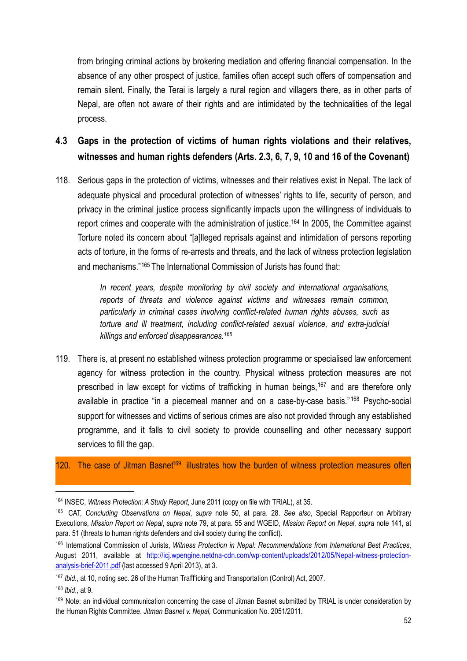from bringing criminal actions by brokering mediation and offering financial compensation. In the absence of any other prospect of justice, families often accept such offers of compensation and remain silent. Finally, the Terai is largely a rural region and villagers there, as in other parts of Nepal, are often not aware of their rights and are intimidated by the technicalities of the legal process.

## <span id="page-51-0"></span>**4.3 Gaps in the protection of victims of human rights violations and their relatives, witnesses and human rights defenders (Arts. 2.3, 6, 7, 9, 10 and 16 of the Covenant)**

118. Serious gaps in the protection of victims, witnesses and their relatives exist in Nepal. The lack of adequate physical and procedural protection of witnesses' rights to life, security of person, and privacy in the criminal justice process significantly impacts upon the willingness of individuals to report crimes and cooperate with the administration of justice.<sup>[164](#page-51-1)</sup> In 2005, the Committee against Torture noted its concern about "[a]lleged reprisals against and intimidation of persons reporting acts of torture, in the forms of re-arrests and threats, and the lack of witness protection legislation and mechanisms."[165](#page-51-2) The International Commission of Jurists has found that:

> *In recent years, despite monitoring by civil society and international organisations, reports of threats and violence against victims and witnesses remain common, particularly in criminal cases involving conflict-related human rights abuses, such as torture and ill treatment, including conflict-related sexual violence, and extra-judicial killings and enforced disappearances.[166](#page-51-3)*

119. There is, at present no established witness protection programme or specialised law enforcement agency for witness protection in the country. Physical witness protection measures are not prescribed in law except for victims of trafficking in human beings,<sup>[167](#page-51-4)</sup> and are therefore only available in practice "in a piecemeal manner and on a case-by-case basis." [168](#page-51-5) Psycho-social support for witnesses and victims of serious crimes are also not provided through any established programme, and it falls to civil society to provide counselling and other necessary support services to fill the gap.

#### 120. The case of Jitman Basnet<sup>169</sup> illustrates how the burden of witness protection measures often

<span id="page-51-1"></span><sup>164</sup> INSEC, *Witness Protection: A Study Report*, June 2011 (copy on file with TRIAL), at 35.

<span id="page-51-2"></span><sup>165</sup> CAT, *Concluding Observations on Nepal*, *supra* note 50, at para. 28. *See also*, Special Rapporteur on Arbitrary Executions, *Mission Report on Nepal*, *supra* note 79, at para. 55 and WGEID, *Mission Report on Nepal*, *supra* note 141, at para. 51 (threats to human rights defenders and civil society during the conflict).

<span id="page-51-3"></span><sup>166</sup> International Commission of Jurists, *Witness Protection in Nepal: Recommendations from International Best Practices*, August 2011, available at [http://icj.wpengine.netdna-cdn.com/wp-content/uploads/2012/05/Nepal-witness-protection](http://icj.wpengine.netdna-cdn.com/wp-content/uploads/2012/05/Nepal-witness-protection-analysis-brief-2011.pdf)[analysis-brief-2011.pdf](http://icj.wpengine.netdna-cdn.com/wp-content/uploads/2012/05/Nepal-witness-protection-analysis-brief-2011.pdf) (last accessed 9 April 2013), at 3.

<span id="page-51-4"></span><sup>167</sup> Ibid., at 10, noting sec. 26 of the Human Trafficking and Transportation (Control) Act, 2007.

<span id="page-51-5"></span><sup>168</sup> *Ibid*., at 9.

<span id="page-51-6"></span><sup>169</sup> Note: an individual communication concerning the case of Jitman Basnet submitted by TRIAL is under consideration by the Human Rights Committee. *Jitman Basnet v. Nepal,* Communication No. 2051/2011.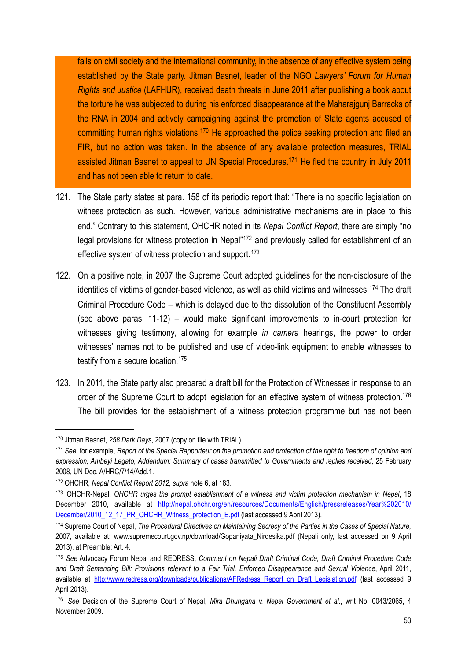falls on civil society and the international community, in the absence of any effective system being established by the State party. Jitman Basnet, leader of the NGO *Lawyers' Forum for Human Rights and Justice* (LAFHUR), received death threats in June 2011 after publishing a book about the torture he was subjected to during his enforced disappearance at the Maharajgunj Barracks of the RNA in 2004 and actively campaigning against the promotion of State agents accused of committing human rights violations.<sup>170</sup> He approached the police seeking protection and filed an FIR, but no action was taken. In the absence of any available protection measures, TRIAL assisted Jitman Basnet to appeal to UN Special Procedures.[171](#page-52-1) He fled the country in July 2011 and has not been able to return to date.

- 121. The State party states at para. 158 of its periodic report that: "There is no specific legislation on witness protection as such. However, various administrative mechanisms are in place to this end." Contrary to this statement, OHCHR noted in its *Nepal Conflict Report*, there are simply "no legal provisions for witness protection in Nepal<sup>"[172](#page-52-2)</sup> and previously called for establishment of an effective system of witness protection and support.<sup>[173](#page-52-3)</sup>
- 122. On a positive note, in 2007 the Supreme Court adopted guidelines for the non-disclosure of the identities of victims of gender-based violence, as well as child victims and witnesses.<sup>[174](#page-52-4)</sup> The draft Criminal Procedure Code – which is delayed due to the dissolution of the Constituent Assembly (see above paras. 11-12) – would make significant improvements to in-court protection for witnesses giving testimony, allowing for example *in camera* hearings, the power to order witnesses' names not to be published and use of video-link equipment to enable witnesses to testify from a secure location.<sup>175</sup>
- 123. In 2011, the State party also prepared a draft bill for the Protection of Witnesses in response to an order of the Supreme Court to adopt legislation for an effective system of witness protection.<sup>176</sup> The bill provides for the establishment of a witness protection programme but has not been

<span id="page-52-0"></span><sup>170</sup> Jitman Basnet, *258 Dark Days*, 2007 (copy on file with TRIAL).

<span id="page-52-1"></span><sup>171</sup> *See*, for example, *Report of the Special Rapporteur on the promotion and protection of the right to freedom of opinion and expression, Ambeyi Legato, Addendum: Summary of cases transmitted to Governments and replies received*, 25 February 2008, UN Doc. A/HRC/7/14/Add.1.

<span id="page-52-2"></span><sup>172</sup> OHCHR, *Nepal Conflict Report 2012*, *supra* note 6, at 183.

<span id="page-52-3"></span><sup>173</sup> OHCHR-Nepal, *OHCHR urges the prompt establishment of a witness and victim protection mechanism in Nepal*, 18 December 2010, available at [http://nepal.ohchr.org/en/resources/Documents/English/pressreleases/Year%202010/](http://nepal.ohchr.org/en/resources/Documents/English/pressreleases/Year%202010/December/2010_12_17_PR_OHCHR_Witness_protection_E.pdf) [December/2010\\_12\\_17\\_PR\\_OHCHR\\_Witness\\_protection\\_E.pdf](http://nepal.ohchr.org/en/resources/Documents/English/pressreleases/Year%202010/December/2010_12_17_PR_OHCHR_Witness_protection_E.pdf) (last accessed 9 April 2013).

<span id="page-52-4"></span><sup>174</sup> Supreme Court of Nepal, *The Procedural Directives on Maintaining Secrecy of the Parties in the Cases of Special Nature,*  2007, available at: www.supremecourt.gov.np/download/Gopaniyata\_Nirdesika.pdf (Nepali only, last accessed on 9 April 2013), at Preamble; Art. 4.

<span id="page-52-5"></span><sup>175</sup> *See* Advocacy Forum Nepal and REDRESS, *Comment on Nepali Draft Criminal Code, Draft Criminal Procedure Code and Draft Sentencing Bill: Provisions relevant to a Fair Trial, Enforced Disappearance and Sexual Violence*, April 2011, available at [http://www.redress.org/downloads/publications/AFRedress\\_Report\\_on\\_Draft\\_Legislation.pdf](http://www.redress.org/downloads/publications/AFRedress_Report_on_Draft_Legislation.pdf) (last accessed 9 April 2013).

<span id="page-52-6"></span><sup>176</sup> *See* Decision of the Supreme Court of Nepal, *Mira Dhungana v. Nepal Government et al*., writ No. 0043/2065, 4 November 2009.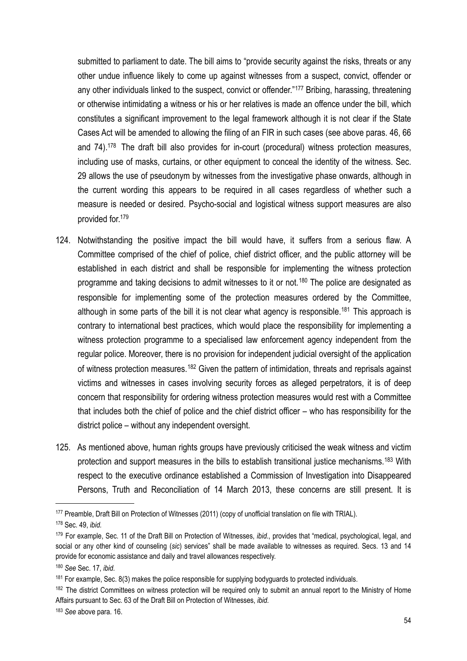submitted to parliament to date. The bill aims to "provide security against the risks, threats or any other undue influence likely to come up against witnesses from a suspect, convict, offender or any other individuals linked to the suspect, convict or offender."<sup>[177](#page-53-0)</sup> Bribing, harassing, threatening or otherwise intimidating a witness or his or her relatives is made an offence under the bill, which constitutes a significant improvement to the legal framework although it is not clear if the State Cases Act will be amended to allowing the filing of an FIR in such cases (see above paras. 46, 66 and 74).<sup>178</sup> The draft bill also provides for in-court (procedural) witness protection measures, including use of masks, curtains, or other equipment to conceal the identity of the witness. Sec. 29 allows the use of pseudonym by witnesses from the investigative phase onwards, although in the current wording this appears to be required in all cases regardless of whether such a measure is needed or desired. Psycho-social and logistical witness support measures are also provided for[.179](#page-53-2)

- 124. Notwithstanding the positive impact the bill would have, it suffers from a serious flaw. A Committee comprised of the chief of police, chief district officer, and the public attorney will be established in each district and shall be responsible for implementing the witness protection programme and taking decisions to admit witnesses to it or not.<sup>[180](#page-53-3)</sup> The police are designated as responsible for implementing some of the protection measures ordered by the Committee, although in some parts of the bill it is not clear what agency is responsible.<sup>[181](#page-53-4)</sup> This approach is contrary to international best practices, which would place the responsibility for implementing a witness protection programme to a specialised law enforcement agency independent from the regular police. Moreover, there is no provision for independent judicial oversight of the application of witness protection measures.<sup>[182](#page-53-5)</sup> Given the pattern of intimidation, threats and reprisals against victims and witnesses in cases involving security forces as alleged perpetrators, it is of deep concern that responsibility for ordering witness protection measures would rest with a Committee that includes both the chief of police and the chief district officer – who has responsibility for the district police – without any independent oversight.
- 125. As mentioned above, human rights groups have previously criticised the weak witness and victim protection and support measures in the bills to establish transitional justice mechanisms.<sup>[183](#page-53-6)</sup> With respect to the executive ordinance established a Commission of Investigation into Disappeared Persons, Truth and Reconciliation of 14 March 2013, these concerns are still present. It is

<span id="page-53-0"></span><sup>177</sup> Preamble, Draft Bill on Protection of Witnesses (2011) (copy of unofficial translation on file with TRIAL).

<span id="page-53-1"></span><sup>178</sup> Sec. 49, *ibid.*

<span id="page-53-2"></span><sup>179</sup> For example, Sec. 11 of the Draft Bill on Protection of Witnesses, *ibid*., provides that "medical, psychological, legal, and social or any other kind of counseling (*sic*) services" shall be made available to witnesses as required. Secs. 13 and 14 provide for economic assistance and daily and travel allowances respectively.

<span id="page-53-3"></span><sup>180</sup> *See* Sec. 17, *ibid.*

<span id="page-53-4"></span><sup>&</sup>lt;sup>181</sup> For example, Sec. 8(3) makes the police responsible for supplying bodyguards to protected individuals.

<span id="page-53-5"></span><sup>&</sup>lt;sup>182</sup> The district Committees on witness protection will be required only to submit an annual report to the Ministry of Home Affairs pursuant to Sec. 63 of the Draft Bill on Protection of Witnesses, *ibid.*

<span id="page-53-6"></span><sup>183</sup> *See* above para. 16.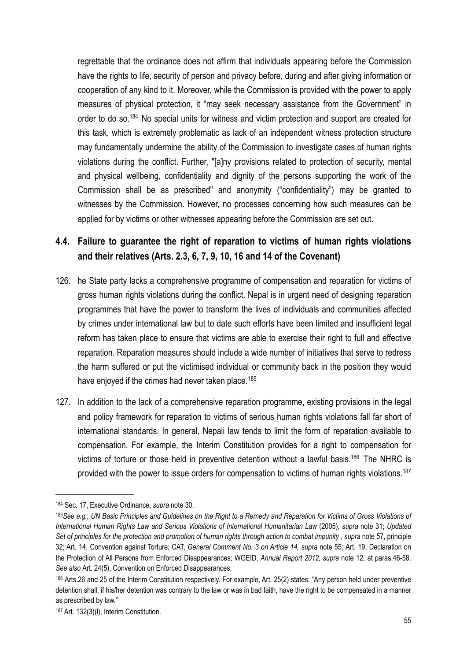regrettable that the ordinance does not affirm that individuals appearing before the Commission have the rights to life, security of person and privacy before, during and after giving information or cooperation of any kind to it. Moreover, while the Commission is provided with the power to apply measures of physical protection, it "may seek necessary assistance from the Government" in order to do so[.184](#page-54-1) No special units for witness and victim protection and support are created for this task, which is extremely problematic as lack of an independent witness protection structure may fundamentally undermine the ability of the Commission to investigate cases of human rights violations during the conflict. Further, "[a]ny provisions related to protection of security, mental and physical wellbeing, confidentiality and dignity of the persons supporting the work of the Commission shall be as prescribed" and anonymity ("confidentiality") may be granted to witnesses by the Commission. However, no processes concerning how such measures can be applied for by victims or other witnesses appearing before the Commission are set out.

## <span id="page-54-0"></span>**4.4. Failure to guarantee the right of reparation to victims of human rights violations and their relatives (Arts. 2.3, 6, 7, 9, 10, 16 and 14 of the Covenant)**

- 126. he State party lacks a comprehensive programme of compensation and reparation for victims of gross human rights violations during the conflict. Nepal is in urgent need of designing reparation programmes that have the power to transform the lives of individuals and communities affected by crimes under international law but to date such efforts have been limited and insufficient legal reform has taken place to ensure that victims are able to exercise their right to full and effective reparation. Reparation measures should include a wide number of initiatives that serve to redress the harm suffered or put the victimised individual or community back in the position they would have enjoyed if the crimes had never taken place.<sup>[185](#page-54-2)</sup>
- 127. In addition to the lack of a comprehensive reparation programme, existing provisions in the legal and policy framework for reparation to victims of serious human rights violations fall far short of international standards. In general, Nepali law tends to limit the form of reparation available to compensation. For example, the Interim Constitution provides for a right to compensation for victims of torture or those held in preventive detention without a lawful basis[.186](#page-54-3) The NHRC is provided with the power to issue orders for compensation to victims of human rights violations.<sup>187</sup>

<span id="page-54-1"></span><sup>184</sup> Sec. 17, Executive Ordinance, *supra* note 30.

<span id="page-54-2"></span><sup>185</sup>*See e.g., UN Basic Principles and Guidelines on the Right to a Remedy and Reparation for Victims of Gross Violations of International Human Rights Law and Serious Violations of International Humanitarian Law* (2005), *supra* note 31; *Updated*  Set of principles for the protection and promotion of human rights through action to combat impunity, supra note 57, principle 32; Art. 14, Convention against Torture; CAT, *General Comment No. 3 on Article 14, supra* note 55*;* Art. 19, Declaration on the Protection of All Persons from Enforced Disappearances; WGEID, *Annual Report 2012, supra* note 12, at paras.46-58. *See also* Art. 24(5), Convention on Enforced Disappearances.

<span id="page-54-3"></span><sup>186</sup> Arts.26 and 25 of the Interim Constitution respectively. For example, Art. 25(2) states: "Any person held under preventive detention shall, if his/her detention was contrary to the law or was in bad faith, have the right to be compensated in a manner as prescribed by law."

<span id="page-54-4"></span><sup>187</sup> Art. 132(3)(I), Interim Constitution.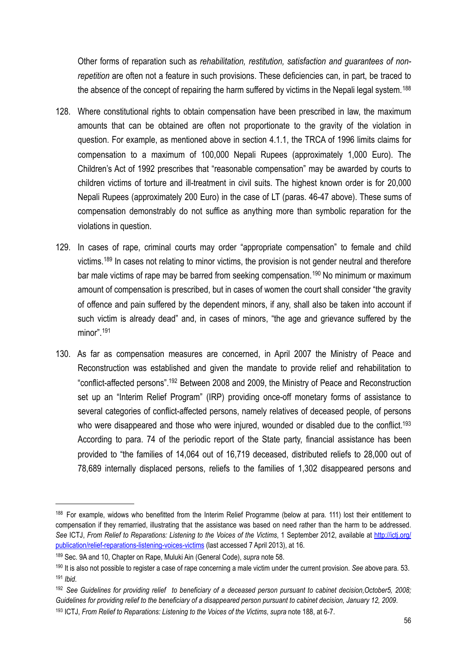Other forms of reparation such as *rehabilitation, restitution, satisfaction and guarantees of nonrepetition* are often not a feature in such provisions. These deficiencies can, in part, be traced to the absence of the concept of repairing the harm suffered by victims in the Nepali legal system.<sup>[188](#page-55-0)</sup>

- 128. Where constitutional rights to obtain compensation have been prescribed in law, the maximum amounts that can be obtained are often not proportionate to the gravity of the violation in question. For example, as mentioned above in section 4.1.1, the TRCA of 1996 limits claims for compensation to a maximum of 100,000 Nepali Rupees (approximately 1,000 Euro). The Children's Act of 1992 prescribes that "reasonable compensation" may be awarded by courts to children victims of torture and ill-treatment in civil suits. The highest known order is for 20,000 Nepali Rupees (approximately 200 Euro) in the case of LT (paras. 46-47 above). These sums of compensation demonstrably do not suffice as anything more than symbolic reparation for the violations in question.
- 129. In cases of rape, criminal courts may order "appropriate compensation" to female and child victims.<sup>[189](#page-55-1)</sup> In cases not relating to minor victims, the provision is not gender neutral and therefore bar male victims of rape may be barred from seeking compensation.<sup>[190](#page-55-2)</sup> No minimum or maximum amount of compensation is prescribed, but in cases of women the court shall consider "the gravity of offence and pain suffered by the dependent minors, if any, shall also be taken into account if such victim is already dead" and, in cases of minors, "the age and grievance suffered by the minor". [191](#page-55-3)
- 130. As far as compensation measures are concerned, in April 2007 the Ministry of Peace and Reconstruction was established and given the mandate to provide relief and rehabilitation to "conflict-affected persons"[.192](#page-55-4) Between 2008 and 2009, the Ministry of Peace and Reconstruction set up an "Interim Relief Program" (IRP) providing once-off monetary forms of assistance to several categories of conflict-affected persons, namely relatives of deceased people, of persons who were disappeared and those who were injured, wounded or disabled due to the conflict.<sup>193</sup> According to para. 74 of the periodic report of the State party, financial assistance has been provided to "the families of 14,064 out of 16,719 deceased, distributed reliefs to 28,000 out of 78,689 internally displaced persons, reliefs to the families of 1,302 disappeared persons and

<span id="page-55-0"></span><sup>188</sup> For example, widows who benefitted from the Interim Relief Programme (below at para. 111) lost their entitlement to compensation if they remarried, illustrating that the assistance was based on need rather than the harm to be addressed. *See* ICTJ, *From Relief to Reparations: Listening to the Voices of the Victims*, 1 September 2012, available at [http://ictj.org/](http://ictj.org/publication/relief-reparations-listening-voices-victims) [publication/relief-reparations-listening-voices-victims](http://ictj.org/publication/relief-reparations-listening-voices-victims) (last accessed 7 April 2013), at 16.

<span id="page-55-1"></span><sup>189</sup> Sec. 9A and 10, Chapter on Rape, Muluki Ain (General Code), *supra* note 58.

<span id="page-55-3"></span><span id="page-55-2"></span><sup>190</sup> It is also not possible to register a case of rape concerning a male victim under the current provision. *See* above para. 53. <sup>191</sup> *Ibid*.

<span id="page-55-4"></span><sup>192</sup> *See Guidelines for providing relief to beneficiary of a deceased person pursuant to cabinet decision,October5, 2008; Guidelines for providing relief to the beneficiary of a disappeared person pursuant to cabinet decision, January 12, 2009*.

<span id="page-55-5"></span><sup>193</sup> ICTJ, *From Relief to Reparations: Listening to the Voices of the Victims*, *supra* note 188, at 6-7.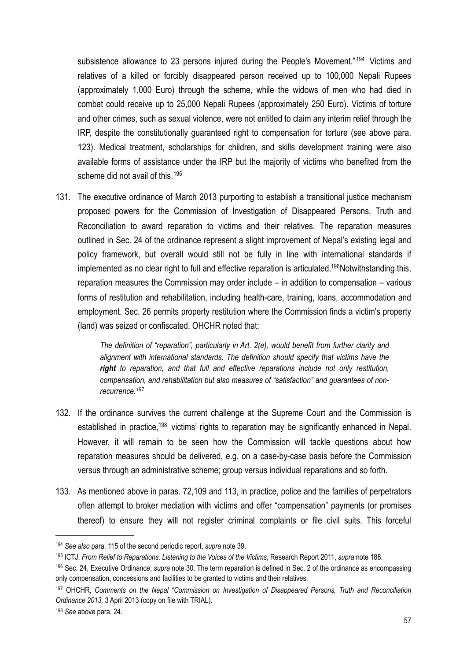subsistence allowance to 23 persons injured during the People's Movement."<sup>[194](#page-56-0)</sup> Victims and relatives of a killed or forcibly disappeared person received up to 100,000 Nepali Rupees (approximately 1,000 Euro) through the scheme, while the widows of men who had died in combat could receive up to 25,000 Nepali Rupees (approximately 250 Euro). Victims of torture and other crimes, such as sexual violence, were not entitled to claim any interim relief through the IRP, despite the constitutionally guaranteed right to compensation for torture (see above para. 123). Medical treatment, scholarships for children, and skills development training were also available forms of assistance under the IRP but the majority of victims who benefited from the scheme did not avail of this.<sup>[195](#page-56-1)</sup>

131. The executive ordinance of March 2013 purporting to establish a transitional justice mechanism proposed powers for the Commission of Investigation of Disappeared Persons, Truth and Reconciliation to award reparation to victims and their relatives. The reparation measures outlined in Sec. 24 of the ordinance represent a slight improvement of Nepal's existing legal and policy framework, but overall would still not be fully in line with international standards if implemented as no clear right to full and effective reparation is articulated.<sup>196</sup>Notwithstanding this, reparation measures the Commission may order include – in addition to compensation – various forms of restitution and rehabilitation, including health-care, training, loans, accommodation and employment. Sec. 26 permits property restitution where the Commission finds a victim's property (land) was seized or confiscated. OHCHR noted that:

> *The definition of "reparation", particularly in Art. 2(e), would benefit from further clarity and alignment with international standards. The definition should specify that victims have the right to reparation, and that full and effective reparations include not only restitution, compensation, and rehabilitation but also measures of "satisfaction" and guarantees of nonrecurrence.[197](#page-56-3)*

- 132. If the ordinance survives the current challenge at the Supreme Court and the Commission is established in practice,<sup>198</sup> victims' rights to reparation may be significantly enhanced in Nepal. However, it will remain to be seen how the Commission will tackle questions about how reparation measures should be delivered, e.g. on a case-by-case basis before the Commission versus through an administrative scheme; group versus individual reparations and so forth.
- 133. As mentioned above in paras. 72,109 and 113, in practice, police and the families of perpetrators often attempt to broker mediation with victims and offer "compensation" payments (or promises thereof) to ensure they will not register criminal complaints or file civil suits. This forceful

<span id="page-56-0"></span><sup>194</sup> *See also* para. 115 of the second periodic report, *supra* note 39.

<span id="page-56-1"></span><sup>195</sup> ICTJ, *From Relief to Reparations: Listening to the Voices of the Victims*, Research Report 2011, *supra* note 188.

<span id="page-56-2"></span><sup>196</sup> Sec. 24, Executive Ordinance, *supra* note 30. The term reparation is defined in Sec. 2 of the ordinance as encompassing only compensation, concessions and facilities to be granted to victims and their relatives.

<span id="page-56-3"></span><sup>197</sup> OHCHR, *Comments on the Nepal "Commission on Investigation of Disappeared Persons, Truth and Reconciliation Ordinance 2013,* 3 April 2013 (copy on file with TRIAL).

<span id="page-56-4"></span><sup>198</sup> *See* above para. 24.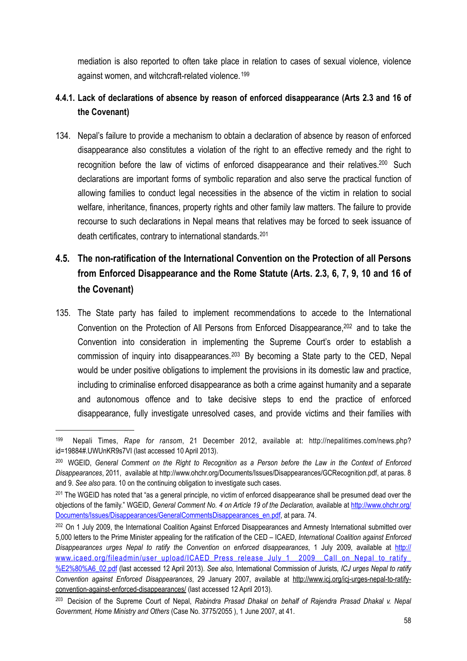mediation is also reported to often take place in relation to cases of sexual violence, violence against women, and witchcraft-related violence.<sup>[199](#page-57-2)</sup>

## <span id="page-57-0"></span>**4.4.1. Lack of declarations of absence by reason of enforced disappearance (Arts 2.3 and 16 of the Covenant)**

134. Nepal's failure to provide a mechanism to obtain a declaration of absence by reason of enforced disappearance also constitutes a violation of the right to an effective remedy and the right to recognition before the law of victims of enforced disappearance and their relatives.<sup>200</sup> Such declarations are important forms of symbolic reparation and also serve the practical function of allowing families to conduct legal necessities in the absence of the victim in relation to social welfare, inheritance, finances, property rights and other family law matters. The failure to provide recourse to such declarations in Nepal means that relatives may be forced to seek issuance of death certificates, contrary to international standards.<sup>[201](#page-57-4)</sup>

# <span id="page-57-1"></span>**4.5. The non-ratification of the International Convention on the Protection of all Persons from Enforced Disappearance and the Rome Statute (Arts. 2.3, 6, 7, 9, 10 and 16 of the Covenant)**

135. The State party has failed to implement recommendations to accede to the International Convention on the Protection of All Persons from Enforced Disappearance[,202](#page-57-5) and to take the Convention into consideration in implementing the Supreme Court's order to establish a commission of inquiry into disappearances.[203](#page-57-6) By becoming a State party to the CED, Nepal would be under positive obligations to implement the provisions in its domestic law and practice, including to criminalise enforced disappearance as both a crime against humanity and a separate and autonomous offence and to take decisive steps to end the practice of enforced disappearance, fully investigate unresolved cases, and provide victims and their families with

<span id="page-57-2"></span><sup>199</sup> Nepali Times, *Rape for ransom*, 21 December 2012, available at: http://nepalitimes.com/news.php? id=19884#.UWUnKR9s7VI (last accessed 10 April 2013).

<span id="page-57-3"></span><sup>200</sup> WGEID, *General Comment on the Right to Recognition as a Person before the Law in the Context of Enforced Disappearances*, 2011, available at [http://www.ohchr.org/Documents/Issues/Disappearances/GCRecognition.pdf,](http://www.ohchr.org/Documents/Issues/Disappearances/GCRecognition.pdf) at paras. 8 and 9. *See also* para. 10 on the continuing obligation to investigate such cases.

<span id="page-57-4"></span><sup>&</sup>lt;sup>201</sup> The WGEID has noted that "as a general principle, no victim of enforced disappearance shall be presumed dead over the objections of the family." WGEID, *General Comment No. 4 on Article 19 of the Declaration,* available at [http://www.ohchr.org/](http://www.ohchr.org/Documents/Issues/Disappearances/GeneralCommentsDisappearances_en.pdf) [Documents/Issues/Disappearances/GeneralCommentsDisappearances\\_en.pdf,](http://www.ohchr.org/Documents/Issues/Disappearances/GeneralCommentsDisappearances_en.pdf) at para. 74.

<span id="page-57-5"></span><sup>&</sup>lt;sup>202</sup> On 1 July 2009, the International Coalition Against Enforced Disappearances and Amnesty International submitted over 5,000 letters to the Prime Minister appealing for the ratification of the CED – ICAED, *International Coalition against Enforced Disappearances urges Nepal to ratify the Convention on enforced disappearances*, 1 July 2009, available at [http://](http://www.icaed.org/fileadmin/user_upload/ICAED_Press_release_July_1__2009__Call_on_Nepal_to_ratify_%E2%80%A6_02.pdf) [www.icaed.org/fileadmin/user\\_upload/ICAED\\_Press\\_release\\_July\\_1\\_\\_2009\\_\\_Call\\_on\\_Nepal\\_to\\_ratify\\_](http://www.icaed.org/fileadmin/user_upload/ICAED_Press_release_July_1__2009__Call_on_Nepal_to_ratify_%E2%80%A6_02.pdf) [%E2%80%A6\\_02.pdf](http://www.icaed.org/fileadmin/user_upload/ICAED_Press_release_July_1__2009__Call_on_Nepal_to_ratify_%E2%80%A6_02.pdf) (last accessed 12 April 2013). *See also,* International Commission of Jurists*, ICJ urges Nepal to ratify Convention against Enforced Disappearances*, 29 January 2007, available at [http://www.icj.org/icj-urges-nepal-to-ratify](http://www.icj.org/icj-urges-nepal-to-ratify-convention-against-enforced-disappearances/)[convention-against-enforced-disappearances/](http://www.icj.org/icj-urges-nepal-to-ratify-convention-against-enforced-disappearances/) (last accessed 12 April 2013).

<span id="page-57-6"></span><sup>203</sup> Decision of the Supreme Court of Nepal, *Rabindra Prasad Dhakal on behalf of Rajendra Prasad Dhakal v. Nepal Government, Home Ministry and Others* (Case No. 3775/2055 ), 1 June 2007, at 41.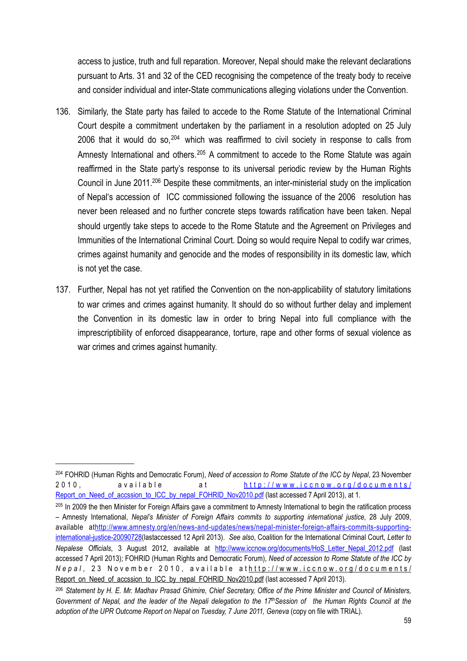access to justice, truth and full reparation. Moreover, Nepal should make the relevant declarations pursuant to Arts. 31 and 32 of the CED recognising the competence of the treaty body to receive and consider individual and inter-State communications alleging violations under the Convention.

- 136. Similarly, the State party has failed to accede to the Rome Statute of the International Criminal Court despite a commitment undertaken by the parliament in a resolution adopted on 25 July 2006 that it would do so,  $204$  which was reaffirmed to civil society in response to calls from Amnesty International and others.<sup>[205](#page-58-1)</sup> A commitment to accede to the Rome Statute was again reaffirmed in the State party's response to its universal periodic review by the Human Rights Council in June 2011[.206](#page-58-2) Despite these commitments, an inter-ministerial study on the implication of Nepal's accession of ICC commissioned following the issuance of the 2006 resolution has never been released and no further concrete steps towards ratification have been taken. Nepal should urgently take steps to accede to the Rome Statute and the Agreement on Privileges and Immunities of the International Criminal Court. Doing so would require Nepal to codify war crimes, crimes against humanity and genocide and the modes of responsibility in its domestic law, which is not yet the case.
- 137. Further, Nepal has not yet ratified the Convention on the non-applicability of statutory limitations to war crimes and crimes against humanity. It should do so without further delay and implement the Convention in its domestic law in order to bring Nepal into full compliance with the imprescriptibility of enforced disappearance, torture, rape and other forms of sexual violence as war crimes and crimes against humanity.

<span id="page-58-0"></span><sup>204</sup> FOHRID (Human Rights and Democratic Forum), *Need of accession to Rome Statute of the ICC by Nepal*, 23 November 2010, available at [http://www.iccnow.org/documents/](http://www.iccnow.org/documents/Report_on_Need_of_accssion_to_ICC_by_nepal_FOHRID_Nov2010.pdf) [Report\\_on\\_Need\\_of\\_accssion\\_to\\_ICC\\_by\\_nepal\\_FOHRID\\_Nov2010.pdf](http://www.iccnow.org/documents/Report_on_Need_of_accssion_to_ICC_by_nepal_FOHRID_Nov2010.pdf) (last accessed 7 April 2013), at 1.

<span id="page-58-1"></span><sup>&</sup>lt;sup>205</sup> In 2009 the then Minister for Foreign Affairs gave a commitment to Amnesty International to begin the ratification process – Amnesty International, *Nepal's Minister of Foreign Affairs commits to supporting international justice*, 28 July 2009, available at[http://www.amnesty.org/en/news-and-updates/news/nepal-minister-foreign-affairs-commits-supporting](http://www.amnesty.org/en/news-and-updates/news/nepal-minister-foreign-affairs-commits-supporting-international-justice-20090728)[international-justice-20090728\(](http://www.amnesty.org/en/news-and-updates/news/nepal-minister-foreign-affairs-commits-supporting-international-justice-20090728)lastaccessed 12 April 2013). *See also*, Coalition for the International Criminal Court, *Letter to Nepalese Officials*, 3 August 2012, available at [http://www.iccnow.org/documents/HoS\\_Letter\\_Nepal\\_2012.pdf](http://www.iccnow.org/documents/HoS_Letter_Nepal_2012.pdf) (last accessed 7 April 2013); FOHRID (Human Rights and Democratic Forum), *Need of accession to Rome Statute of the ICC by Nepal*, 23 November 2010, available at[http://www.iccnow.org/documents/](http://www.iccnow.org/documents/Report_on_Need_of_accssion_to_ICC_by_nepal_FOHRID_Nov2010.pdf) [Report\\_on\\_Need\\_of\\_accssion\\_to\\_ICC\\_by\\_nepal\\_FOHRID\\_Nov2010.pdf](http://www.iccnow.org/documents/Report_on_Need_of_accssion_to_ICC_by_nepal_FOHRID_Nov2010.pdf) (last accessed 7 April 2013).

<span id="page-58-2"></span><sup>206</sup> *Statement by H. E. Mr. Madhav Prasad Ghimire, Chief Secretary, Office of the Prime Minister and Council of Ministers, Government of Nepal, and the leader of the Nepali delegation to the 17thSession of the Human Rights Council at the adoption of the UPR Outcome Report on Nepal on Tuesday, 7 June 2011, Geneva* (copy on file with TRIAL).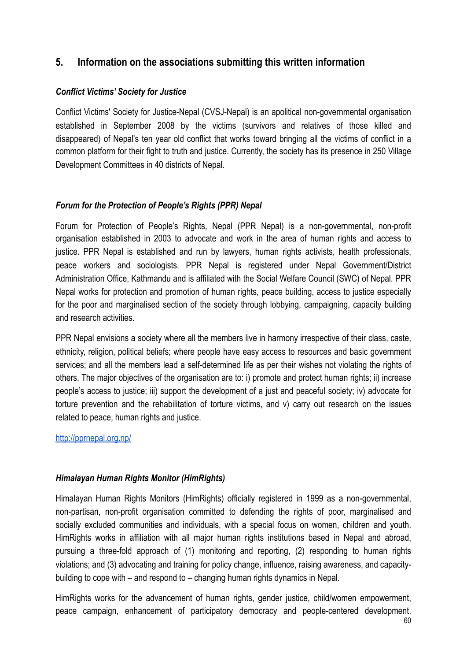## <span id="page-59-0"></span>**5. Information on the associations submitting this written information**

#### *Conflict Victims' Society for Justice*

Conflict Victims' Society for Justice-Nepal (CVSJ-Nepal) is an apolitical non-governmental organisation established in September 2008 by the victims (survivors and relatives of those killed and disappeared) of Nepal's ten year old conflict that works toward bringing all the victims of conflict in a common platform for their fight to truth and justice. Currently, the society has its presence in 250 Village Development Committees in 40 districts of Nepal.

#### *Forum for the Protection of People's Rights (PPR) Nepal*

Forum for Protection of People's Rights, Nepal (PPR Nepal) is a non-governmental, non-profit organisation established in 2003 to advocate and work in the area of human rights and access to justice. PPR Nepal is established and run by lawyers, human rights activists, health professionals, peace workers and sociologists. PPR Nepal is registered under Nepal Government/District Administration Office, Kathmandu and is affiliated with the Social Welfare Council (SWC) of Nepal. PPR Nepal works for protection and promotion of human rights, peace building, access to justice especially for the poor and marginalised section of the society through lobbying, campaigning, capacity building and research activities.

PPR Nepal envisions a society where all the members live in harmony irrespective of their class, caste, ethnicity, religion, political beliefs; where people have easy access to resources and basic government services; and all the members lead a self-determined life as per their wishes not violating the rights of others. The major objectives of the organisation are to: i) promote and protect human rights; ii) increase people's access to justice; iii) support the development of a just and peaceful society; iv) advocate for torture prevention and the rehabilitation of torture victims, and v) carry out research on the issues related to peace, human rights and justice.

#### <http://pprnepal.org.np/>

#### *Himalayan Human Rights Monitor (HimRights)*

Himalayan Human Rights Monitors (HimRights) officially registered in 1999 as a non-governmental, non-partisan, non-profit organisation committed to defending the rights of poor, marginalised and socially excluded communities and individuals, with a special focus on women, children and youth. HimRights works in affiliation with all major human rights institutions based in Nepal and abroad, pursuing a three-fold approach of (1) monitoring and reporting, (2) responding to human rights violations; and (3) advocating and training for policy change, influence, raising awareness, and capacitybuilding to cope with – and respond to – changing human rights dynamics in Nepal.

HimRights works for the advancement of human rights, gender justice, child/women empowerment, peace campaign, enhancement of participatory democracy and people-centered development.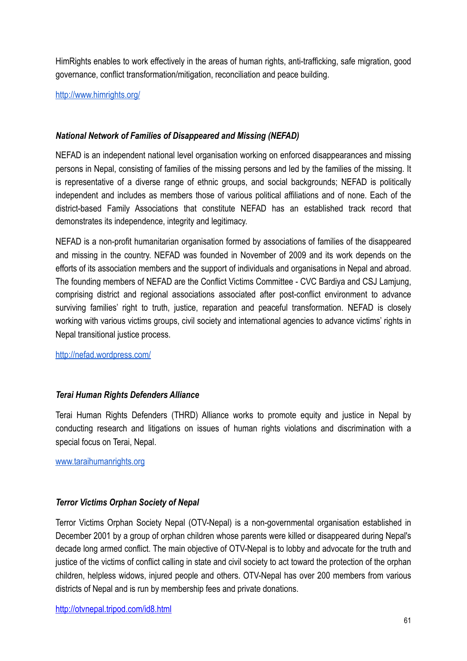HimRights enables to work effectively in the areas of human rights, anti-trafficking, safe migration, good governance, conflict transformation/mitigation, reconciliation and peace building.

<http://www.himrights.org/>

#### *National Network of Families of Disappeared and Missing (NEFAD)*

NEFAD is an independent national level organisation working on enforced disappearances and missing persons in Nepal, consisting of families of the missing persons and led by the families of the missing. It is representative of a diverse range of ethnic groups, and social backgrounds; NEFAD is politically independent and includes as members those of various political affiliations and of none. Each of the district-based Family Associations that constitute NEFAD has an established track record that demonstrates its independence, integrity and legitimacy.

NEFAD is a non-profit humanitarian organisation formed by associations of families of the disappeared and missing in the country. NEFAD was founded in November of 2009 and its work depends on the efforts of its association members and the support of individuals and organisations in Nepal and abroad. The founding members of NEFAD are the Conflict Victims Committee - CVC Bardiya and CSJ Lamjung, comprising district and regional associations associated after post-conflict environment to advance surviving families' right to truth, justice, reparation and peaceful transformation. NEFAD is closely working with various victims groups, civil society and international agencies to advance victims' rights in Nepal transitional justice process.

<http://nefad.wordpress.com/>

#### *Terai Human Rights Defenders Alliance*

Terai Human Rights Defenders (THRD) Alliance works to promote equity and justice in Nepal by conducting research and litigations on issues of human rights violations and discrimination with a special focus on Terai, Nepal.

[www.taraihumanrights.org](http://www.taraihumanrights.org/)

#### *Terror Victims Orphan Society of Nepal*

Terror Victims Orphan Society Nepal (OTV-Nepal) is a non-governmental organisation established in December 2001 by a group of orphan children whose parents were killed or disappeared during Nepal's decade long armed conflict. The main objective of OTV-Nepal is to lobby and advocate for the truth and justice of the victims of conflict calling in state and civil society to act toward the protection of the orphan children, helpless widows, injured people and others. OTV-Nepal has over 200 members from various districts of Nepal and is run by membership fees and private donations.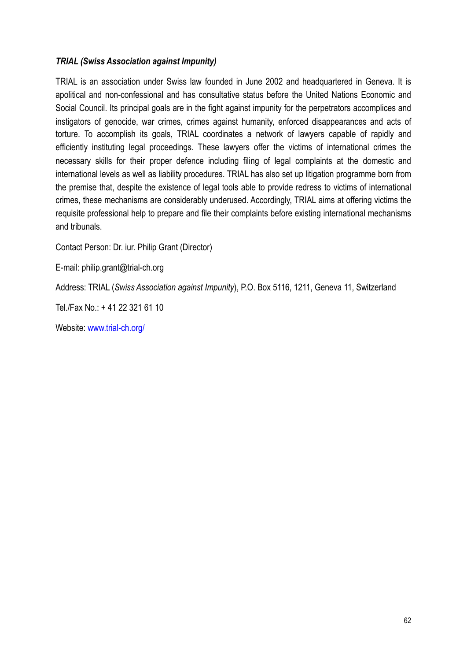#### *TRIAL (Swiss Association against Impunity)*

TRIAL is an association under Swiss law founded in June 2002 and headquartered in Geneva. It is apolitical and non-confessional and has consultative status before the United Nations Economic and Social Council. Its principal goals are in the fight against impunity for the perpetrators accomplices and instigators of genocide, war crimes, crimes against humanity, enforced disappearances and acts of torture. To accomplish its goals, TRIAL coordinates a network of lawyers capable of rapidly and efficiently instituting legal proceedings. These lawyers offer the victims of international crimes the necessary skills for their proper defence including filing of legal complaints at the domestic and international levels as well as liability procedures. TRIAL has also set up litigation programme born from the premise that, despite the existence of legal tools able to provide redress to victims of international crimes, these mechanisms are considerably underused. Accordingly, TRIAL aims at offering victims the requisite professional help to prepare and file their complaints before existing international mechanisms and tribunals.

Contact Person: Dr. iur. Philip Grant (Director)

E-mail: philip.grant@trial-ch.org

Address: TRIAL (*Swiss Association against Impunity*), P.O. Box 5116, 1211, Geneva 11, Switzerland

Tel./Fax No.: + 41 22 321 61 10

Website: [www.trial-ch.org/](http://www.trial-ch.org/)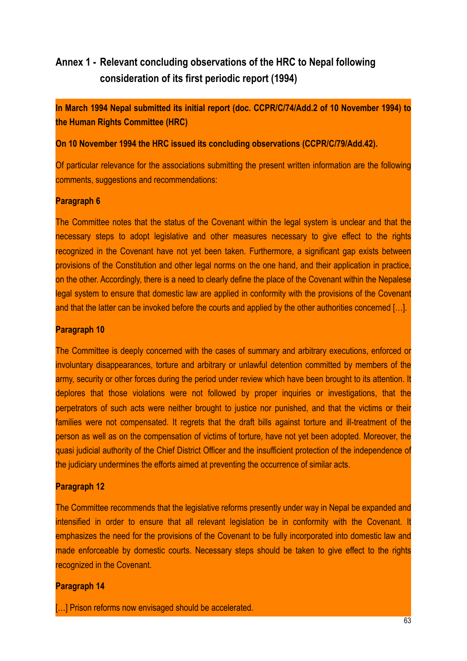# <span id="page-62-0"></span>**Annex 1 - Relevant concluding observations of the HRC to Nepal following consideration of its first periodic report (1994)**

**In March 1994 Nepal submitted its initial report (doc. CCPR/C/74/Add.2 of 10 November 1994) to the Human Rights Committee (HRC)**

**On 10 November 1994 the HRC issued its concluding observations (CCPR/C/79/Add.42).**

Of particular relevance for the associations submitting the present written information are the following comments, suggestions and recommendations:

#### **Paragraph 6**

The Committee notes that the status of the Covenant within the legal system is unclear and that the necessary steps to adopt legislative and other measures necessary to give effect to the rights recognized in the Covenant have not yet been taken. Furthermore, a significant gap exists between provisions of the Constitution and other legal norms on the one hand, and their application in practice, on the other. Accordingly, there is a need to clearly define the place of the Covenant within the Nepalese legal system to ensure that domestic law are applied in conformity with the provisions of the Covenant and that the latter can be invoked before the courts and applied by the other authorities concerned […].

#### **Paragraph 10**

The Committee is deeply concerned with the cases of summary and arbitrary executions, enforced or involuntary disappearances, torture and arbitrary or unlawful detention committed by members of the army, security or other forces during the period under review which have been brought to its attention. It deplores that those violations were not followed by proper inquiries or investigations, that the perpetrators of such acts were neither brought to justice nor punished, and that the victims or their families were not compensated. It regrets that the draft bills against torture and ill-treatment of the person as well as on the compensation of victims of torture, have not yet been adopted. Moreover, the quasi judicial authority of the Chief District Officer and the insufficient protection of the independence of the judiciary undermines the efforts aimed at preventing the occurrence of similar acts.

#### **Paragraph 12**

The Committee recommends that the legislative reforms presently under way in Nepal be expanded and intensified in order to ensure that all relevant legislation be in conformity with the Covenant. It emphasizes the need for the provisions of the Covenant to be fully incorporated into domestic law and made enforceable by domestic courts. Necessary steps should be taken to give effect to the rights recognized in the Covenant.

#### **Paragraph 14**

[...] Prison reforms now envisaged should be accelerated.